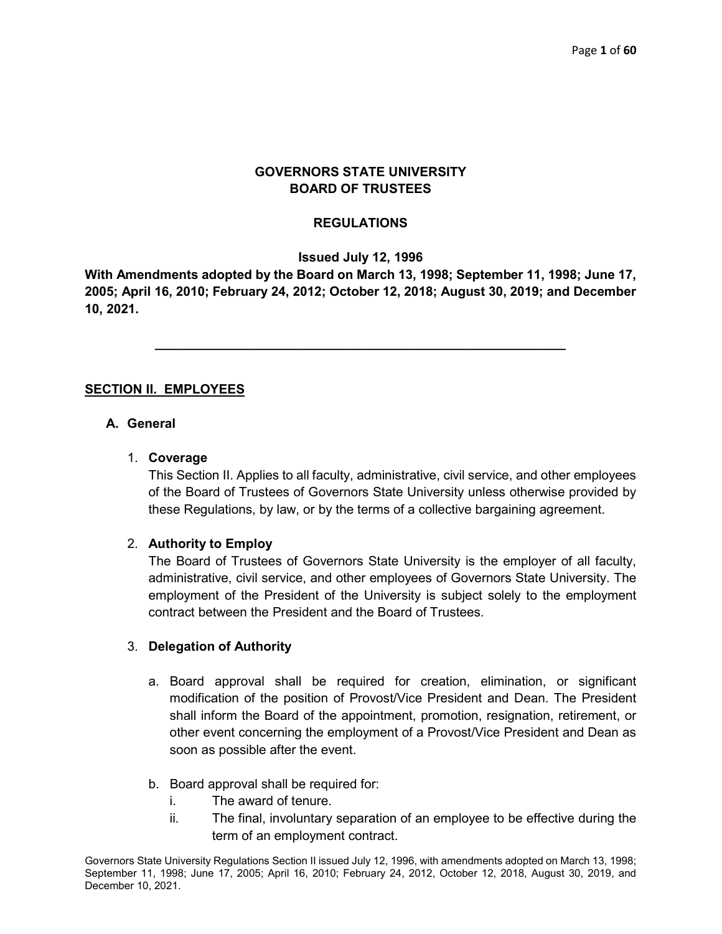## GOVERNORS STATE UNIVERSITY BOARD OF TRUSTEES

## REGULATIONS

Issued July 12, 1996

With Amendments adopted by the Board on March 13, 1998; September 11, 1998; June 17, 2005; April 16, 2010; February 24, 2012; October 12, 2018; August 30, 2019; and December 10, 2021.

\_\_\_\_\_\_\_\_\_\_\_\_\_\_\_\_\_\_\_\_\_\_\_\_\_\_\_\_\_\_\_\_\_\_\_\_\_\_\_\_\_\_\_\_\_\_\_\_\_\_\_\_\_\_\_\_\_

## SECTION II. EMPLOYEES

## A. General

### 1. Coverage

This Section II. Applies to all faculty, administrative, civil service, and other employees of the Board of Trustees of Governors State University unless otherwise provided by these Regulations, by law, or by the terms of a collective bargaining agreement.

## 2. Authority to Employ

The Board of Trustees of Governors State University is the employer of all faculty, administrative, civil service, and other employees of Governors State University. The employment of the President of the University is subject solely to the employment contract between the President and the Board of Trustees.

## 3. Delegation of Authority

- a. Board approval shall be required for creation, elimination, or significant modification of the position of Provost/Vice President and Dean. The President shall inform the Board of the appointment, promotion, resignation, retirement, or other event concerning the employment of a Provost/Vice President and Dean as soon as possible after the event.
- b. Board approval shall be required for:
	- i. The award of tenure.
	- ii. The final, involuntary separation of an employee to be effective during the term of an employment contract.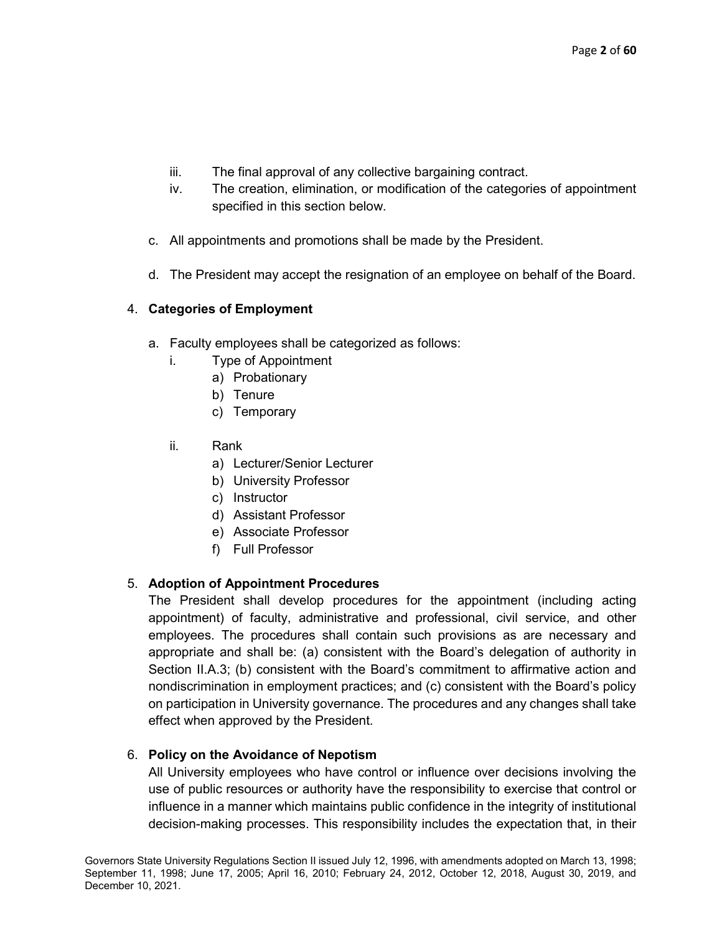- iii. The final approval of any collective bargaining contract.
- iv. The creation, elimination, or modification of the categories of appointment specified in this section below.
- c. All appointments and promotions shall be made by the President.
- d. The President may accept the resignation of an employee on behalf of the Board.

## 4. Categories of Employment

- a. Faculty employees shall be categorized as follows:
	- i. Type of Appointment
		- a) Probationary
		- b) Tenure
		- c) Temporary
	- ii. Rank
		- a) Lecturer/Senior Lecturer
		- b) University Professor
		- c) Instructor
		- d) Assistant Professor
		- e) Associate Professor
		- f) Full Professor

# 5. Adoption of Appointment Procedures

The President shall develop procedures for the appointment (including acting appointment) of faculty, administrative and professional, civil service, and other employees. The procedures shall contain such provisions as are necessary and appropriate and shall be: (a) consistent with the Board's delegation of authority in Section II.A.3; (b) consistent with the Board's commitment to affirmative action and nondiscrimination in employment practices; and (c) consistent with the Board's policy on participation in University governance. The procedures and any changes shall take effect when approved by the President.

## 6. Policy on the Avoidance of Nepotism

All University employees who have control or influence over decisions involving the use of public resources or authority have the responsibility to exercise that control or influence in a manner which maintains public confidence in the integrity of institutional decision-making processes. This responsibility includes the expectation that, in their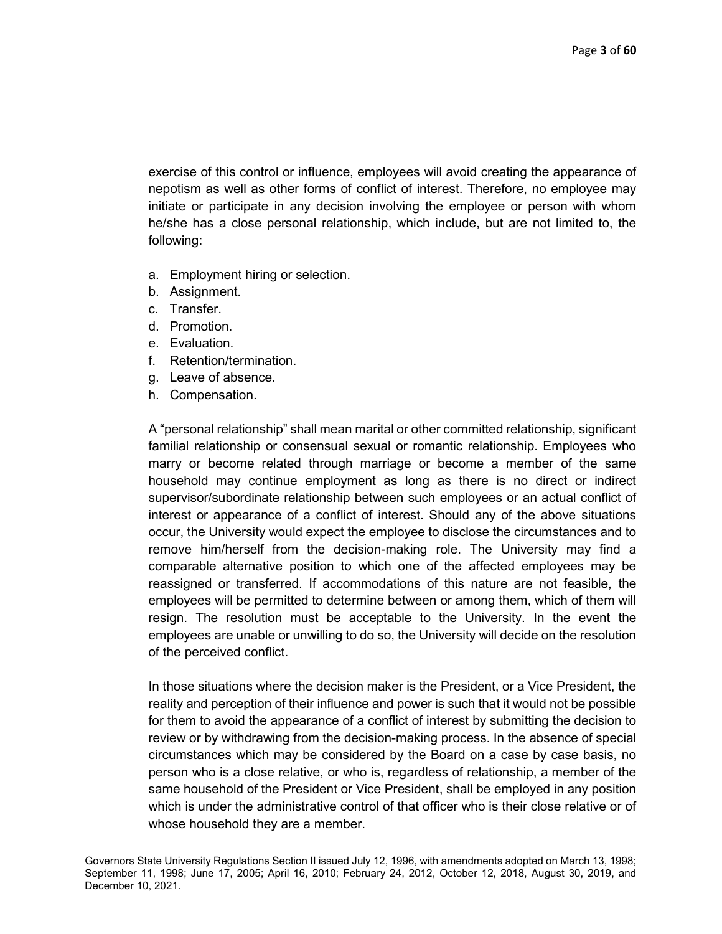exercise of this control or influence, employees will avoid creating the appearance of nepotism as well as other forms of conflict of interest. Therefore, no employee may initiate or participate in any decision involving the employee or person with whom he/she has a close personal relationship, which include, but are not limited to, the following:

- a. Employment hiring or selection.
- b. Assignment.
- c. Transfer.
- d. Promotion.
- e. Evaluation.
- f. Retention/termination.
- g. Leave of absence.
- h. Compensation.

A "personal relationship" shall mean marital or other committed relationship, significant familial relationship or consensual sexual or romantic relationship. Employees who marry or become related through marriage or become a member of the same household may continue employment as long as there is no direct or indirect supervisor/subordinate relationship between such employees or an actual conflict of interest or appearance of a conflict of interest. Should any of the above situations occur, the University would expect the employee to disclose the circumstances and to remove him/herself from the decision-making role. The University may find a comparable alternative position to which one of the affected employees may be reassigned or transferred. If accommodations of this nature are not feasible, the employees will be permitted to determine between or among them, which of them will resign. The resolution must be acceptable to the University. In the event the employees are unable or unwilling to do so, the University will decide on the resolution of the perceived conflict.

In those situations where the decision maker is the President, or a Vice President, the reality and perception of their influence and power is such that it would not be possible for them to avoid the appearance of a conflict of interest by submitting the decision to review or by withdrawing from the decision-making process. In the absence of special circumstances which may be considered by the Board on a case by case basis, no person who is a close relative, or who is, regardless of relationship, a member of the same household of the President or Vice President, shall be employed in any position which is under the administrative control of that officer who is their close relative or of whose household they are a member.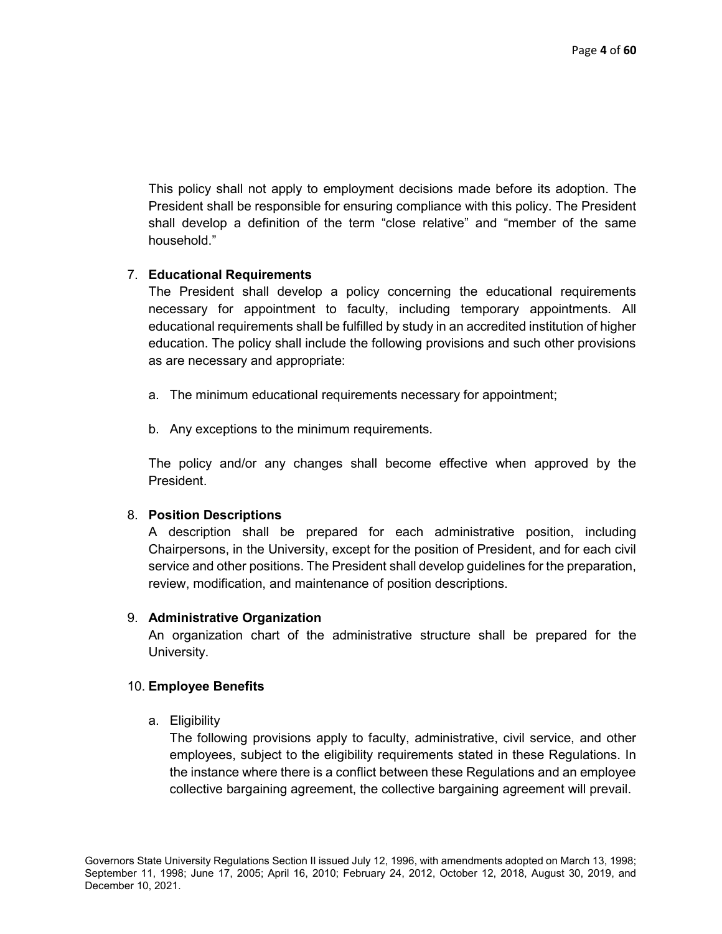This policy shall not apply to employment decisions made before its adoption. The President shall be responsible for ensuring compliance with this policy. The President shall develop a definition of the term "close relative" and "member of the same household."

#### 7. Educational Requirements

The President shall develop a policy concerning the educational requirements necessary for appointment to faculty, including temporary appointments. All educational requirements shall be fulfilled by study in an accredited institution of higher education. The policy shall include the following provisions and such other provisions as are necessary and appropriate:

- a. The minimum educational requirements necessary for appointment;
- b. Any exceptions to the minimum requirements.

The policy and/or any changes shall become effective when approved by the President.

#### 8. Position Descriptions

A description shall be prepared for each administrative position, including Chairpersons, in the University, except for the position of President, and for each civil service and other positions. The President shall develop guidelines for the preparation, review, modification, and maintenance of position descriptions.

#### 9. Administrative Organization

An organization chart of the administrative structure shall be prepared for the University.

#### 10. Employee Benefits

a. Eligibility

The following provisions apply to faculty, administrative, civil service, and other employees, subject to the eligibility requirements stated in these Regulations. In the instance where there is a conflict between these Regulations and an employee collective bargaining agreement, the collective bargaining agreement will prevail.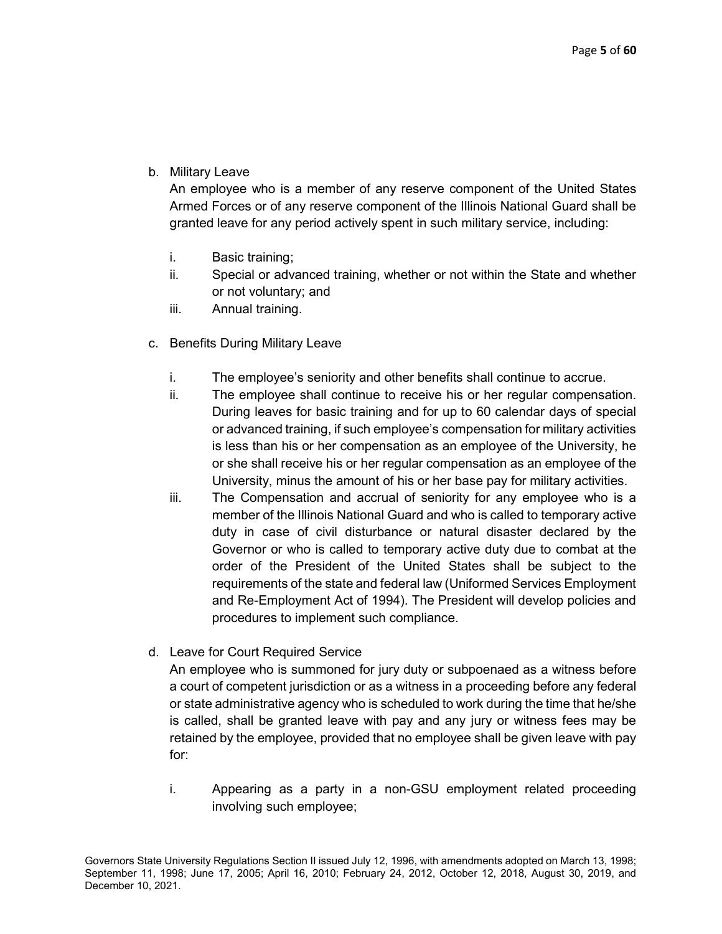b. Military Leave

An employee who is a member of any reserve component of the United States Armed Forces or of any reserve component of the Illinois National Guard shall be granted leave for any period actively spent in such military service, including:

- i. Basic training;
- ii. Special or advanced training, whether or not within the State and whether or not voluntary; and
- iii. Annual training.
- c. Benefits During Military Leave
	- i. The employee's seniority and other benefits shall continue to accrue.
	- ii. The employee shall continue to receive his or her regular compensation. During leaves for basic training and for up to 60 calendar days of special or advanced training, if such employee's compensation for military activities is less than his or her compensation as an employee of the University, he or she shall receive his or her regular compensation as an employee of the University, minus the amount of his or her base pay for military activities.
	- iii. The Compensation and accrual of seniority for any employee who is a member of the Illinois National Guard and who is called to temporary active duty in case of civil disturbance or natural disaster declared by the Governor or who is called to temporary active duty due to combat at the order of the President of the United States shall be subject to the requirements of the state and federal law (Uniformed Services Employment and Re-Employment Act of 1994). The President will develop policies and procedures to implement such compliance.
- d. Leave for Court Required Service

An employee who is summoned for jury duty or subpoenaed as a witness before a court of competent jurisdiction or as a witness in a proceeding before any federal or state administrative agency who is scheduled to work during the time that he/she is called, shall be granted leave with pay and any jury or witness fees may be retained by the employee, provided that no employee shall be given leave with pay for:

i. Appearing as a party in a non-GSU employment related proceeding involving such employee;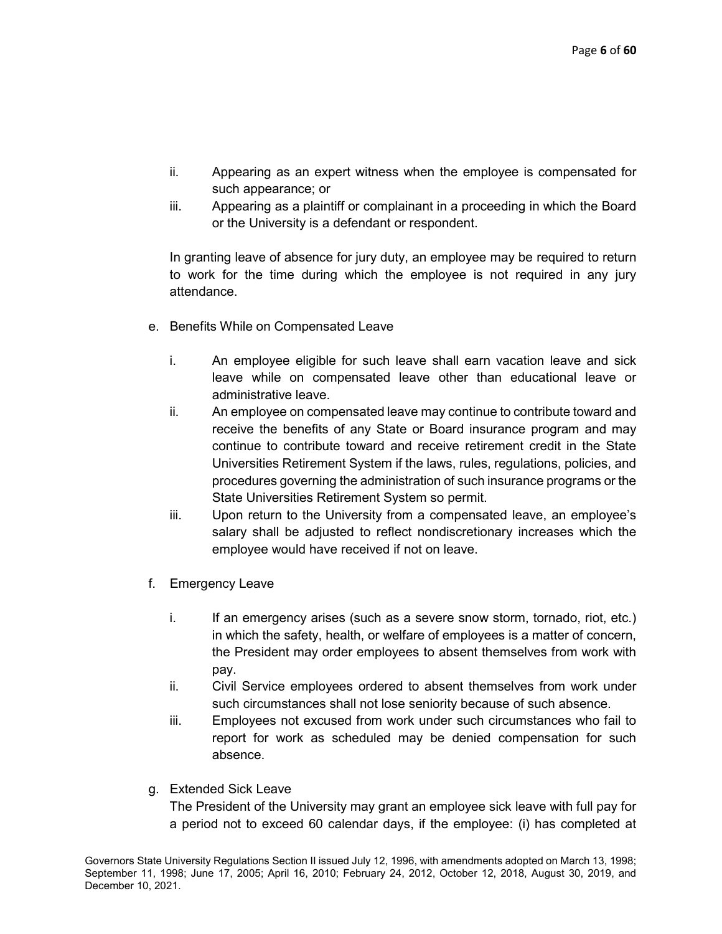- ii. Appearing as an expert witness when the employee is compensated for such appearance; or
- iii. Appearing as a plaintiff or complainant in a proceeding in which the Board or the University is a defendant or respondent.

In granting leave of absence for jury duty, an employee may be required to return to work for the time during which the employee is not required in any jury attendance.

- e. Benefits While on Compensated Leave
	- i. An employee eligible for such leave shall earn vacation leave and sick leave while on compensated leave other than educational leave or administrative leave.
	- ii. An employee on compensated leave may continue to contribute toward and receive the benefits of any State or Board insurance program and may continue to contribute toward and receive retirement credit in the State Universities Retirement System if the laws, rules, regulations, policies, and procedures governing the administration of such insurance programs or the State Universities Retirement System so permit.
	- iii. Upon return to the University from a compensated leave, an employee's salary shall be adjusted to reflect nondiscretionary increases which the employee would have received if not on leave.
- f. Emergency Leave
	- i. If an emergency arises (such as a severe snow storm, tornado, riot, etc.) in which the safety, health, or welfare of employees is a matter of concern, the President may order employees to absent themselves from work with pay.
	- ii. Civil Service employees ordered to absent themselves from work under such circumstances shall not lose seniority because of such absence.
	- iii. Employees not excused from work under such circumstances who fail to report for work as scheduled may be denied compensation for such absence.
- g. Extended Sick Leave

The President of the University may grant an employee sick leave with full pay for a period not to exceed 60 calendar days, if the employee: (i) has completed at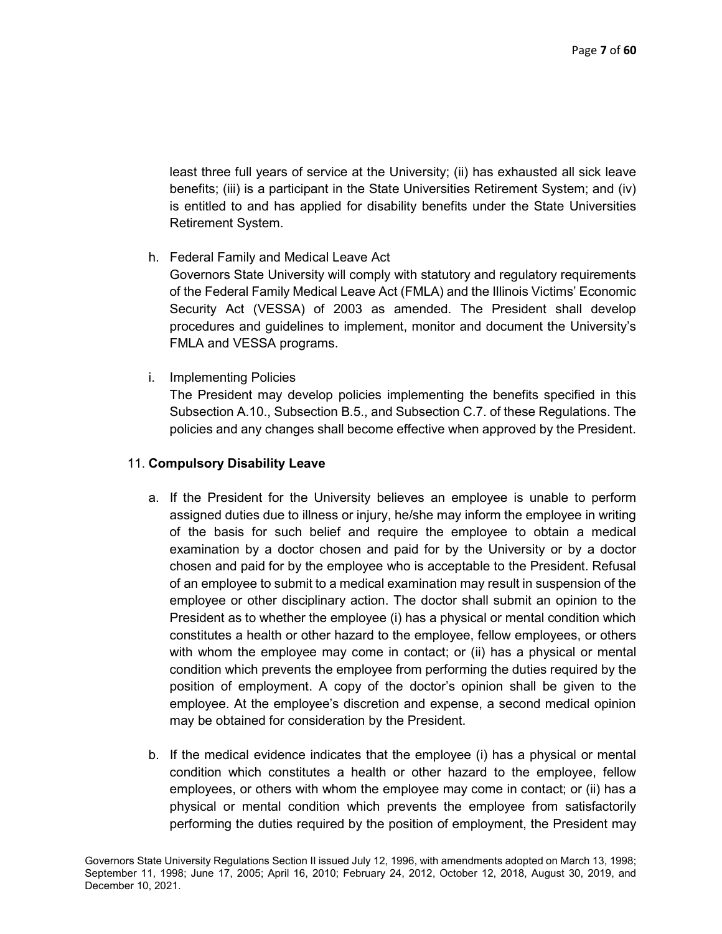least three full years of service at the University; (ii) has exhausted all sick leave benefits; (iii) is a participant in the State Universities Retirement System; and (iv) is entitled to and has applied for disability benefits under the State Universities Retirement System.

h. Federal Family and Medical Leave Act

Governors State University will comply with statutory and regulatory requirements of the Federal Family Medical Leave Act (FMLA) and the Illinois Victims' Economic Security Act (VESSA) of 2003 as amended. The President shall develop procedures and guidelines to implement, monitor and document the University's FMLA and VESSA programs.

i. Implementing Policies

The President may develop policies implementing the benefits specified in this Subsection A.10., Subsection B.5., and Subsection C.7. of these Regulations. The policies and any changes shall become effective when approved by the President.

#### 11. Compulsory Disability Leave

- a. If the President for the University believes an employee is unable to perform assigned duties due to illness or injury, he/she may inform the employee in writing of the basis for such belief and require the employee to obtain a medical examination by a doctor chosen and paid for by the University or by a doctor chosen and paid for by the employee who is acceptable to the President. Refusal of an employee to submit to a medical examination may result in suspension of the employee or other disciplinary action. The doctor shall submit an opinion to the President as to whether the employee (i) has a physical or mental condition which constitutes a health or other hazard to the employee, fellow employees, or others with whom the employee may come in contact; or (ii) has a physical or mental condition which prevents the employee from performing the duties required by the position of employment. A copy of the doctor's opinion shall be given to the employee. At the employee's discretion and expense, a second medical opinion may be obtained for consideration by the President.
- b. If the medical evidence indicates that the employee (i) has a physical or mental condition which constitutes a health or other hazard to the employee, fellow employees, or others with whom the employee may come in contact; or (ii) has a physical or mental condition which prevents the employee from satisfactorily performing the duties required by the position of employment, the President may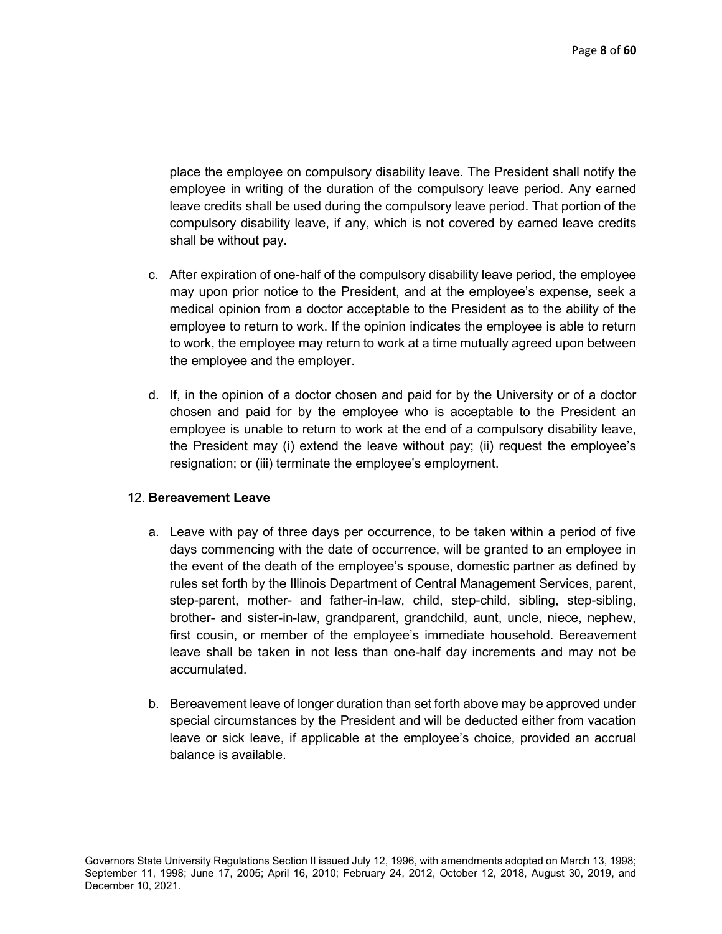place the employee on compulsory disability leave. The President shall notify the employee in writing of the duration of the compulsory leave period. Any earned leave credits shall be used during the compulsory leave period. That portion of the compulsory disability leave, if any, which is not covered by earned leave credits shall be without pay.

- c. After expiration of one-half of the compulsory disability leave period, the employee may upon prior notice to the President, and at the employee's expense, seek a medical opinion from a doctor acceptable to the President as to the ability of the employee to return to work. If the opinion indicates the employee is able to return to work, the employee may return to work at a time mutually agreed upon between the employee and the employer.
- d. If, in the opinion of a doctor chosen and paid for by the University or of a doctor chosen and paid for by the employee who is acceptable to the President an employee is unable to return to work at the end of a compulsory disability leave, the President may (i) extend the leave without pay; (ii) request the employee's resignation; or (iii) terminate the employee's employment.

#### 12. Bereavement Leave

- a. Leave with pay of three days per occurrence, to be taken within a period of five days commencing with the date of occurrence, will be granted to an employee in the event of the death of the employee's spouse, domestic partner as defined by rules set forth by the Illinois Department of Central Management Services, parent, step-parent, mother- and father-in-law, child, step-child, sibling, step-sibling, brother- and sister-in-law, grandparent, grandchild, aunt, uncle, niece, nephew, first cousin, or member of the employee's immediate household. Bereavement leave shall be taken in not less than one-half day increments and may not be accumulated.
- b. Bereavement leave of longer duration than set forth above may be approved under special circumstances by the President and will be deducted either from vacation leave or sick leave, if applicable at the employee's choice, provided an accrual balance is available.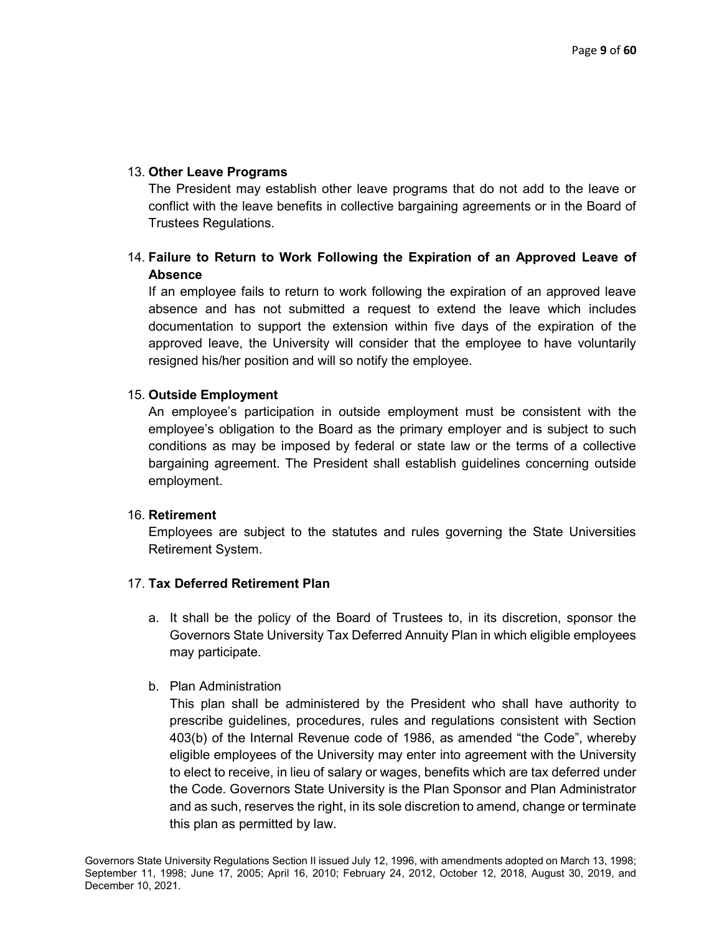#### 13. Other Leave Programs

The President may establish other leave programs that do not add to the leave or conflict with the leave benefits in collective bargaining agreements or in the Board of Trustees Regulations.

# 14. Failure to Return to Work Following the Expiration of an Approved Leave of Absence

If an employee fails to return to work following the expiration of an approved leave absence and has not submitted a request to extend the leave which includes documentation to support the extension within five days of the expiration of the approved leave, the University will consider that the employee to have voluntarily resigned his/her position and will so notify the employee.

### 15. Outside Employment

An employee's participation in outside employment must be consistent with the employee's obligation to the Board as the primary employer and is subject to such conditions as may be imposed by federal or state law or the terms of a collective bargaining agreement. The President shall establish guidelines concerning outside employment.

## 16. Retirement

Employees are subject to the statutes and rules governing the State Universities Retirement System.

#### 17. Tax Deferred Retirement Plan

a. It shall be the policy of the Board of Trustees to, in its discretion, sponsor the Governors State University Tax Deferred Annuity Plan in which eligible employees may participate.

#### b. Plan Administration

This plan shall be administered by the President who shall have authority to prescribe guidelines, procedures, rules and regulations consistent with Section 403(b) of the Internal Revenue code of 1986, as amended "the Code", whereby eligible employees of the University may enter into agreement with the University to elect to receive, in lieu of salary or wages, benefits which are tax deferred under the Code. Governors State University is the Plan Sponsor and Plan Administrator and as such, reserves the right, in its sole discretion to amend, change or terminate this plan as permitted by law.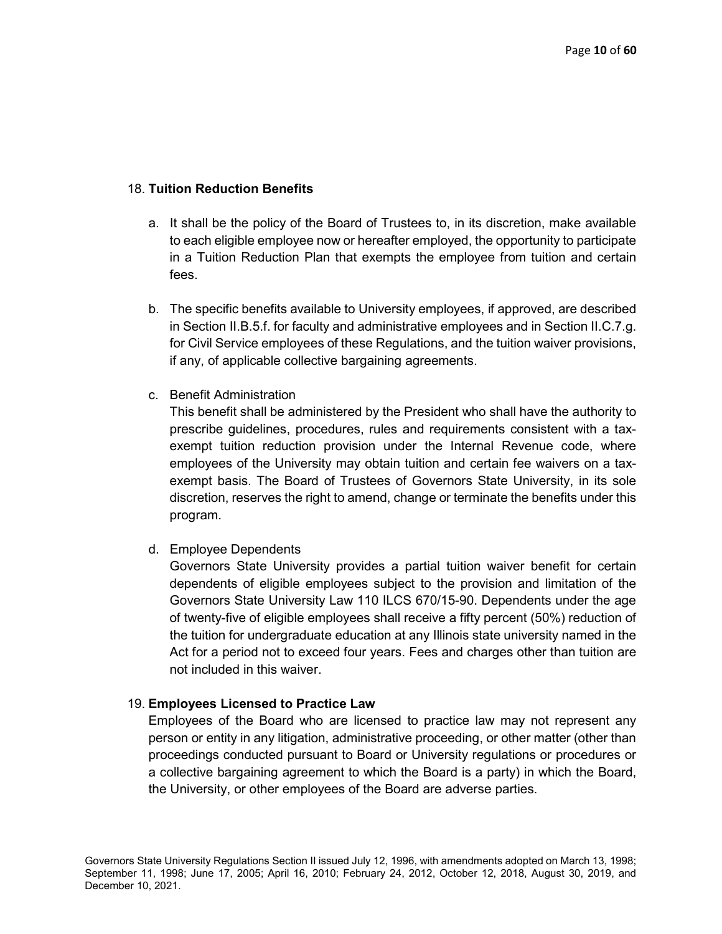### 18. Tuition Reduction Benefits

- a. It shall be the policy of the Board of Trustees to, in its discretion, make available to each eligible employee now or hereafter employed, the opportunity to participate in a Tuition Reduction Plan that exempts the employee from tuition and certain fees.
- b. The specific benefits available to University employees, if approved, are described in Section II.B.5.f. for faculty and administrative employees and in Section II.C.7.g. for Civil Service employees of these Regulations, and the tuition waiver provisions, if any, of applicable collective bargaining agreements.
- c. Benefit Administration

This benefit shall be administered by the President who shall have the authority to prescribe guidelines, procedures, rules and requirements consistent with a taxexempt tuition reduction provision under the Internal Revenue code, where employees of the University may obtain tuition and certain fee waivers on a taxexempt basis. The Board of Trustees of Governors State University, in its sole discretion, reserves the right to amend, change or terminate the benefits under this program.

d. Employee Dependents

Governors State University provides a partial tuition waiver benefit for certain dependents of eligible employees subject to the provision and limitation of the Governors State University Law 110 ILCS 670/15-90. Dependents under the age of twenty-five of eligible employees shall receive a fifty percent (50%) reduction of the tuition for undergraduate education at any Illinois state university named in the Act for a period not to exceed four years. Fees and charges other than tuition are not included in this waiver.

#### 19. Employees Licensed to Practice Law

Employees of the Board who are licensed to practice law may not represent any person or entity in any litigation, administrative proceeding, or other matter (other than proceedings conducted pursuant to Board or University regulations or procedures or a collective bargaining agreement to which the Board is a party) in which the Board, the University, or other employees of the Board are adverse parties.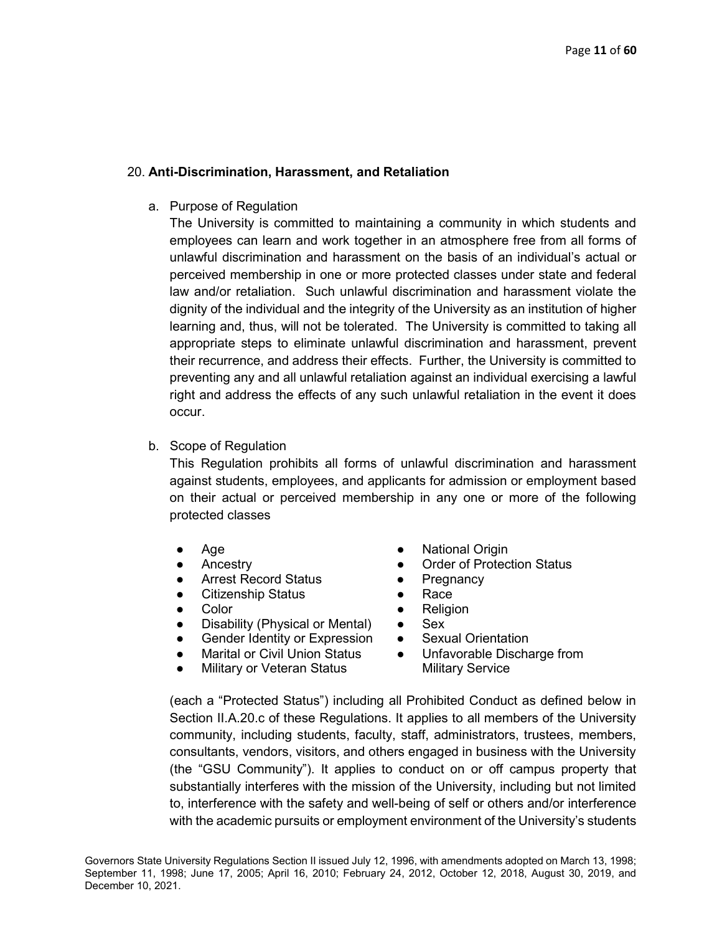#### 20. Anti-Discrimination, Harassment, and Retaliation

a. Purpose of Regulation

The University is committed to maintaining a community in which students and employees can learn and work together in an atmosphere free from all forms of unlawful discrimination and harassment on the basis of an individual's actual or perceived membership in one or more protected classes under state and federal law and/or retaliation. Such unlawful discrimination and harassment violate the dignity of the individual and the integrity of the University as an institution of higher learning and, thus, will not be tolerated. The University is committed to taking all appropriate steps to eliminate unlawful discrimination and harassment, prevent their recurrence, and address their effects. Further, the University is committed to preventing any and all unlawful retaliation against an individual exercising a lawful right and address the effects of any such unlawful retaliation in the event it does occur.

b. Scope of Regulation

This Regulation prohibits all forms of unlawful discrimination and harassment against students, employees, and applicants for admission or employment based on their actual or perceived membership in any one or more of the following protected classes

- 
- 
- Arrest Record Status Pregnancy
- **Citizenship Status Race**
- 
- Disability (Physical or Mental) Sex
- Gender Identity or Expression Sexual Orientation
- 
- Military or Veteran Status Military Service
- Age National Origin
	- Ancestry Order of Protection Status
		-
		-
	- Color Religion
		-
		-
	- Marital or Civil Union Status Unfavorable Discharge from

(each a "Protected Status") including all Prohibited Conduct as defined below in Section II.A.20.c of these Regulations. It applies to all members of the University community, including students, faculty, staff, administrators, trustees, members, consultants, vendors, visitors, and others engaged in business with the University (the "GSU Community"). It applies to conduct on or off campus property that substantially interferes with the mission of the University, including but not limited to, interference with the safety and well-being of self or others and/or interference with the academic pursuits or employment environment of the University's students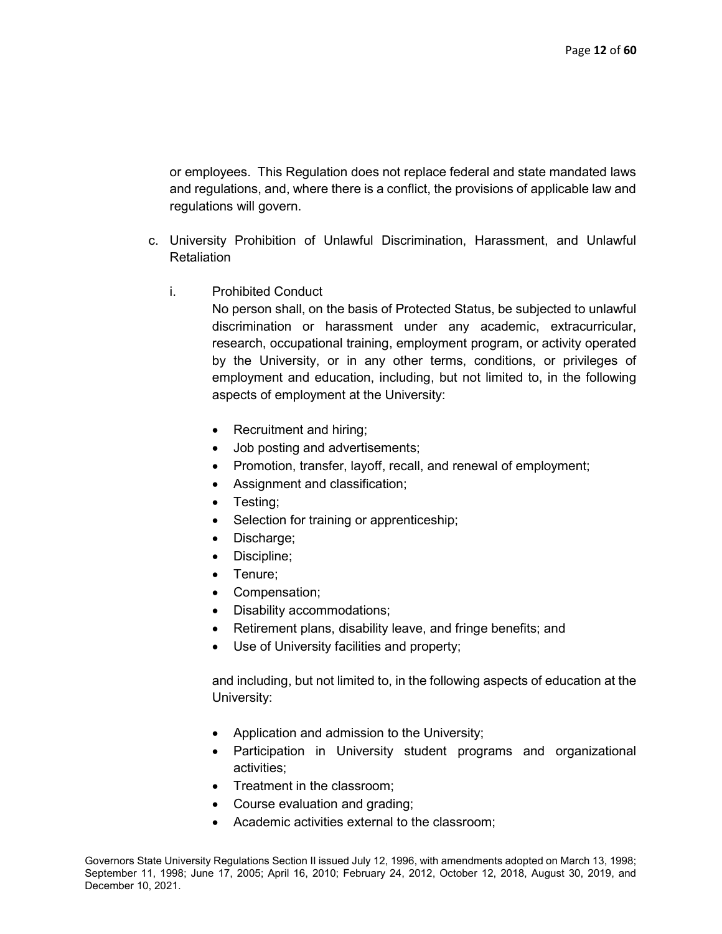or employees. This Regulation does not replace federal and state mandated laws and regulations, and, where there is a conflict, the provisions of applicable law and regulations will govern.

- c. University Prohibition of Unlawful Discrimination, Harassment, and Unlawful Retaliation
	- i. Prohibited Conduct

No person shall, on the basis of Protected Status, be subjected to unlawful discrimination or harassment under any academic, extracurricular, research, occupational training, employment program, or activity operated by the University, or in any other terms, conditions, or privileges of employment and education, including, but not limited to, in the following aspects of employment at the University:

- Recruitment and hiring;
- Job posting and advertisements;
- Promotion, transfer, layoff, recall, and renewal of employment;
- Assignment and classification;
- Testing;
- Selection for training or apprenticeship;
- Discharge;
- Discipline;
- Tenure;
- Compensation;
- Disability accommodations;
- Retirement plans, disability leave, and fringe benefits; and
- Use of University facilities and property;

and including, but not limited to, in the following aspects of education at the University:

- Application and admission to the University;
- Participation in University student programs and organizational activities;
- Treatment in the classroom:
- Course evaluation and grading;
- Academic activities external to the classroom;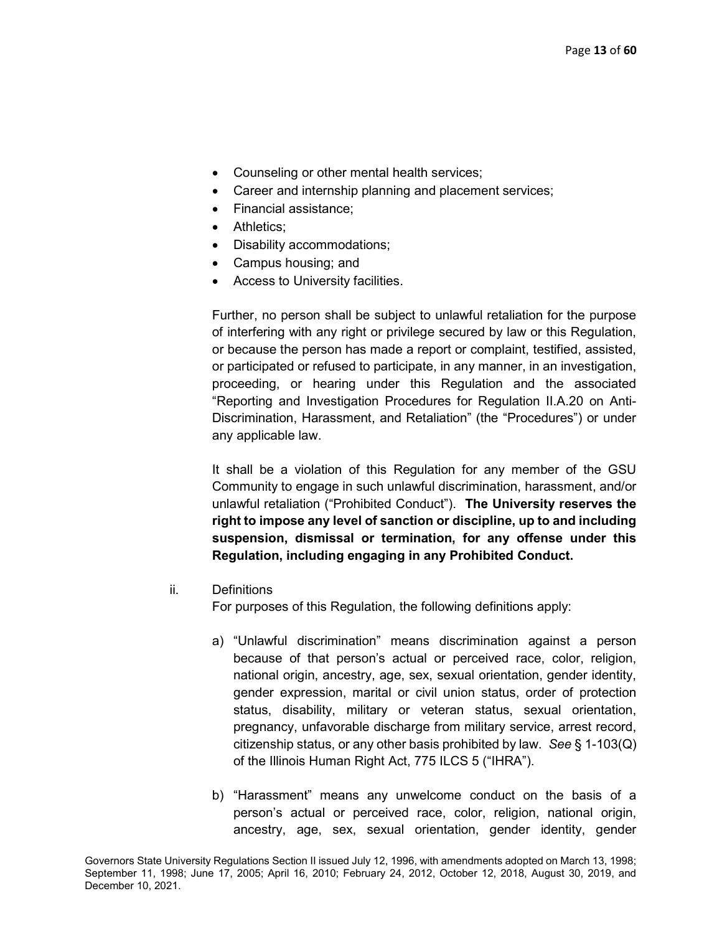- Counseling or other mental health services;
- Career and internship planning and placement services;
- Financial assistance;
- Athletics;
- Disability accommodations;
- Campus housing; and
- Access to University facilities.

Further, no person shall be subject to unlawful retaliation for the purpose of interfering with any right or privilege secured by law or this Regulation, or because the person has made a report or complaint, testified, assisted, or participated or refused to participate, in any manner, in an investigation, proceeding, or hearing under this Regulation and the associated "Reporting and Investigation Procedures for Regulation II.A.20 on Anti-Discrimination, Harassment, and Retaliation" (the "Procedures") or under any applicable law.

It shall be a violation of this Regulation for any member of the GSU Community to engage in such unlawful discrimination, harassment, and/or unlawful retaliation ("Prohibited Conduct"). The University reserves the right to impose any level of sanction or discipline, up to and including suspension, dismissal or termination, for any offense under this Regulation, including engaging in any Prohibited Conduct.

ii. Definitions

For purposes of this Regulation, the following definitions apply:

- a) "Unlawful discrimination" means discrimination against a person because of that person's actual or perceived race, color, religion, national origin, ancestry, age, sex, sexual orientation, gender identity, gender expression, marital or civil union status, order of protection status, disability, military or veteran status, sexual orientation, pregnancy, unfavorable discharge from military service, arrest record, citizenship status, or any other basis prohibited by law. See  $\S 1-103(Q)$ of the Illinois Human Right Act, 775 ILCS 5 ("IHRA").
- b) "Harassment" means any unwelcome conduct on the basis of a person's actual or perceived race, color, religion, national origin, ancestry, age, sex, sexual orientation, gender identity, gender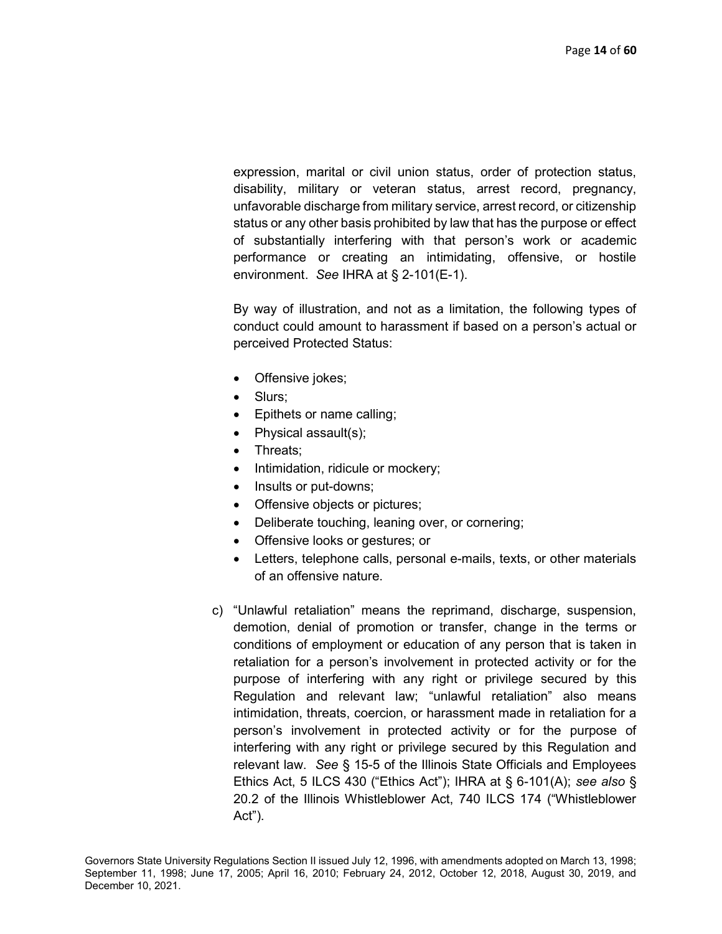expression, marital or civil union status, order of protection status, disability, military or veteran status, arrest record, pregnancy, unfavorable discharge from military service, arrest record, or citizenship status or any other basis prohibited by law that has the purpose or effect of substantially interfering with that person's work or academic performance or creating an intimidating, offensive, or hostile environment. See IHRA at § 2-101(E-1).

By way of illustration, and not as a limitation, the following types of conduct could amount to harassment if based on a person's actual or perceived Protected Status:

- Offensive jokes;
- Slurs;
- Epithets or name calling;
- Physical assault(s);
- Threats;
- Intimidation, ridicule or mockery;
- Insults or put-downs;
- Offensive objects or pictures;
- Deliberate touching, leaning over, or cornering;
- Offensive looks or gestures; or
- Letters, telephone calls, personal e-mails, texts, or other materials of an offensive nature.
- c) "Unlawful retaliation" means the reprimand, discharge, suspension, demotion, denial of promotion or transfer, change in the terms or conditions of employment or education of any person that is taken in retaliation for a person's involvement in protected activity or for the purpose of interfering with any right or privilege secured by this Regulation and relevant law; "unlawful retaliation" also means intimidation, threats, coercion, or harassment made in retaliation for a person's involvement in protected activity or for the purpose of interfering with any right or privilege secured by this Regulation and relevant law. See § 15-5 of the Illinois State Officials and Employees Ethics Act, 5 ILCS 430 ("Ethics Act"); IHRA at § 6-101(A); see also § 20.2 of the Illinois Whistleblower Act, 740 ILCS 174 ("Whistleblower Act").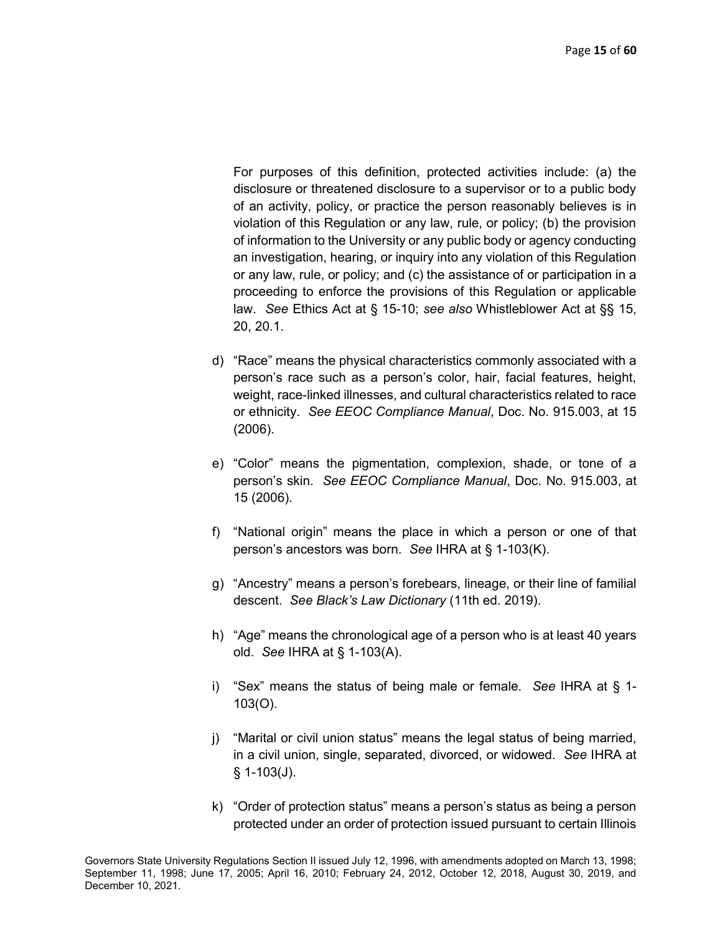For purposes of this definition, protected activities include: (a) the disclosure or threatened disclosure to a supervisor or to a public body of an activity, policy, or practice the person reasonably believes is in violation of this Regulation or any law, rule, or policy; (b) the provision of information to the University or any public body or agency conducting an investigation, hearing, or inquiry into any violation of this Regulation or any law, rule, or policy; and (c) the assistance of or participation in a proceeding to enforce the provisions of this Regulation or applicable law. See Ethics Act at § 15-10; see also Whistleblower Act at §§ 15, 20, 20.1.

- d) "Race" means the physical characteristics commonly associated with a person's race such as a person's color, hair, facial features, height, weight, race-linked illnesses, and cultural characteristics related to race or ethnicity. See EEOC Compliance Manual, Doc. No. 915.003, at 15 (2006).
- e) "Color" means the pigmentation, complexion, shade, or tone of a person's skin. See EEOC Compliance Manual, Doc. No. 915.003, at 15 (2006).
- f) "National origin" means the place in which a person or one of that person's ancestors was born. See IHRA at § 1-103(K).
- g) "Ancestry" means a person's forebears, lineage, or their line of familial descent. See Black's Law Dictionary (11th ed. 2019).
- h) "Age" means the chronological age of a person who is at least 40 years old. See IHRA at § 1-103(A).
- i) "Sex" means the status of being male or female. See IHRA at § 1- 103(O).
- j) "Marital or civil union status" means the legal status of being married, in a civil union, single, separated, divorced, or widowed. See IHRA at  $§$  1-103(J).
- k) "Order of protection status" means a person's status as being a person protected under an order of protection issued pursuant to certain Illinois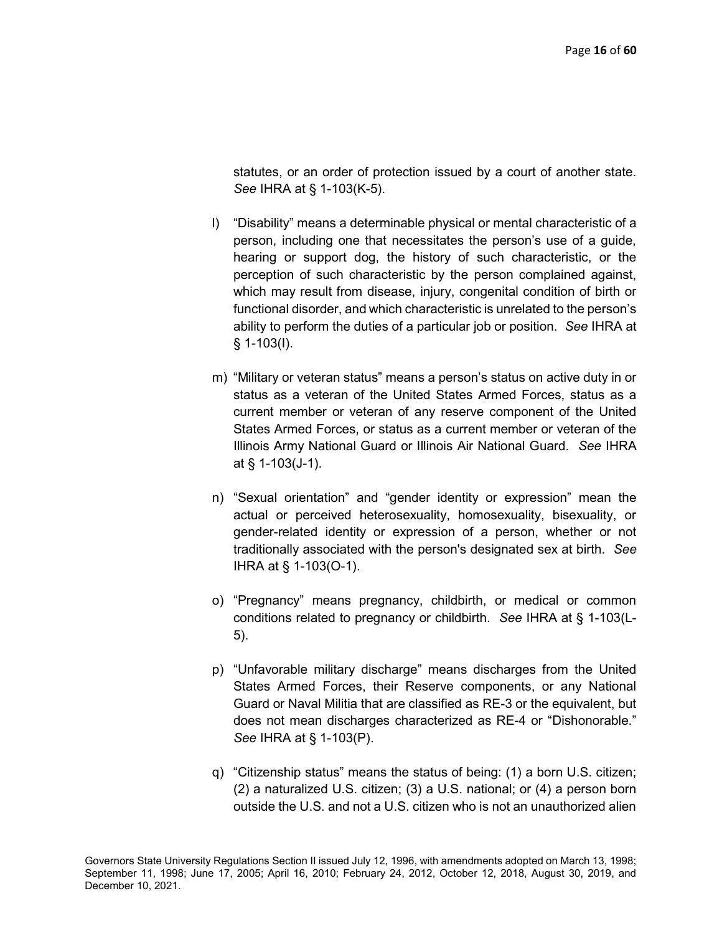statutes, or an order of protection issued by a court of another state. See IHRA at § 1-103(K-5).

- l) "Disability" means a determinable physical or mental characteristic of a person, including one that necessitates the person's use of a guide, hearing or support dog, the history of such characteristic, or the perception of such characteristic by the person complained against, which may result from disease, injury, congenital condition of birth or functional disorder, and which characteristic is unrelated to the person's ability to perform the duties of a particular job or position. See IHRA at § 1-103(I).
- m) "Military or veteran status" means a person's status on active duty in or status as a veteran of the United States Armed Forces, status as a current member or veteran of any reserve component of the United States Armed Forces, or status as a current member or veteran of the Illinois Army National Guard or Illinois Air National Guard. See IHRA at § 1-103(J-1).
- n) "Sexual orientation" and "gender identity or expression" mean the actual or perceived heterosexuality, homosexuality, bisexuality, or gender-related identity or expression of a person, whether or not traditionally associated with the person's designated sex at birth. See IHRA at § 1-103(O-1).
- o) "Pregnancy" means pregnancy, childbirth, or medical or common conditions related to pregnancy or childbirth. See IHRA at § 1-103(L-5).
- p) "Unfavorable military discharge" means discharges from the United States Armed Forces, their Reserve components, or any National Guard or Naval Militia that are classified as RE-3 or the equivalent, but does not mean discharges characterized as RE-4 or "Dishonorable." See IHRA at § 1-103(P).
- q) "Citizenship status" means the status of being: (1) a born U.S. citizen; (2) a naturalized U.S. citizen; (3) a U.S. national; or (4) a person born outside the U.S. and not a U.S. citizen who is not an unauthorized alien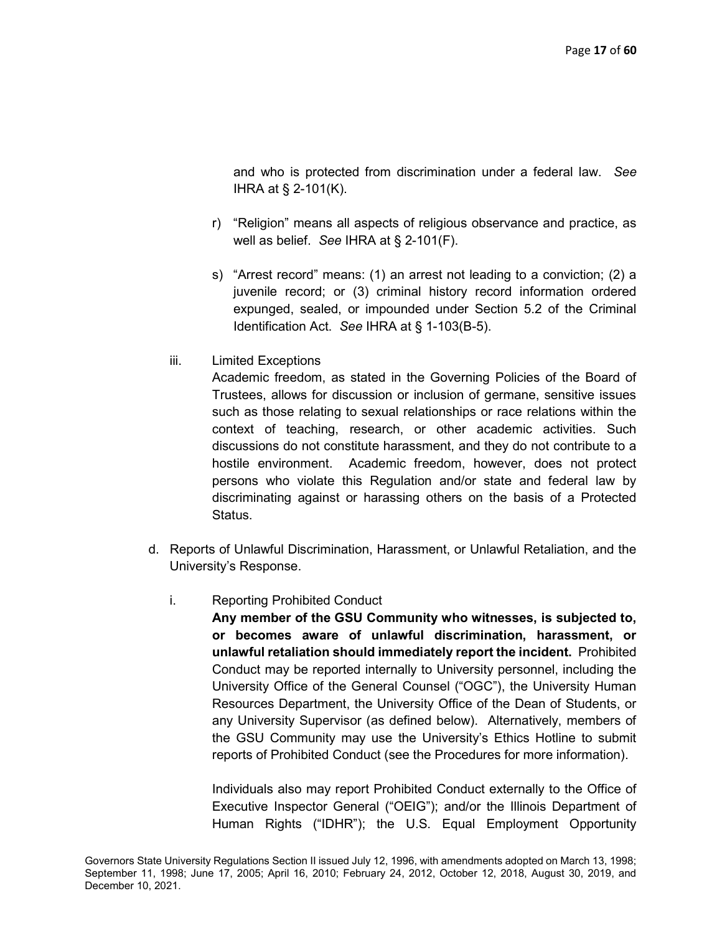and who is protected from discrimination under a federal law. See IHRA at § 2-101(K).

- r) "Religion" means all aspects of religious observance and practice, as well as belief. See IHRA at § 2-101(F).
- s) "Arrest record" means: (1) an arrest not leading to a conviction; (2) a juvenile record; or (3) criminal history record information ordered expunged, sealed, or impounded under Section 5.2 of the Criminal Identification Act. See IHRA at § 1-103(B-5).
- iii. Limited Exceptions

Academic freedom, as stated in the Governing Policies of the Board of Trustees, allows for discussion or inclusion of germane, sensitive issues such as those relating to sexual relationships or race relations within the context of teaching, research, or other academic activities. Such discussions do not constitute harassment, and they do not contribute to a hostile environment. Academic freedom, however, does not protect persons who violate this Regulation and/or state and federal law by discriminating against or harassing others on the basis of a Protected Status.

- d. Reports of Unlawful Discrimination, Harassment, or Unlawful Retaliation, and the University's Response.
	- i. Reporting Prohibited Conduct

Any member of the GSU Community who witnesses, is subjected to, or becomes aware of unlawful discrimination, harassment, or unlawful retaliation should immediately report the incident. Prohibited Conduct may be reported internally to University personnel, including the University Office of the General Counsel ("OGC"), the University Human Resources Department, the University Office of the Dean of Students, or any University Supervisor (as defined below). Alternatively, members of the GSU Community may use the University's Ethics Hotline to submit reports of Prohibited Conduct (see the Procedures for more information).

Individuals also may report Prohibited Conduct externally to the Office of Executive Inspector General ("OEIG"); and/or the Illinois Department of Human Rights ("IDHR"); the U.S. Equal Employment Opportunity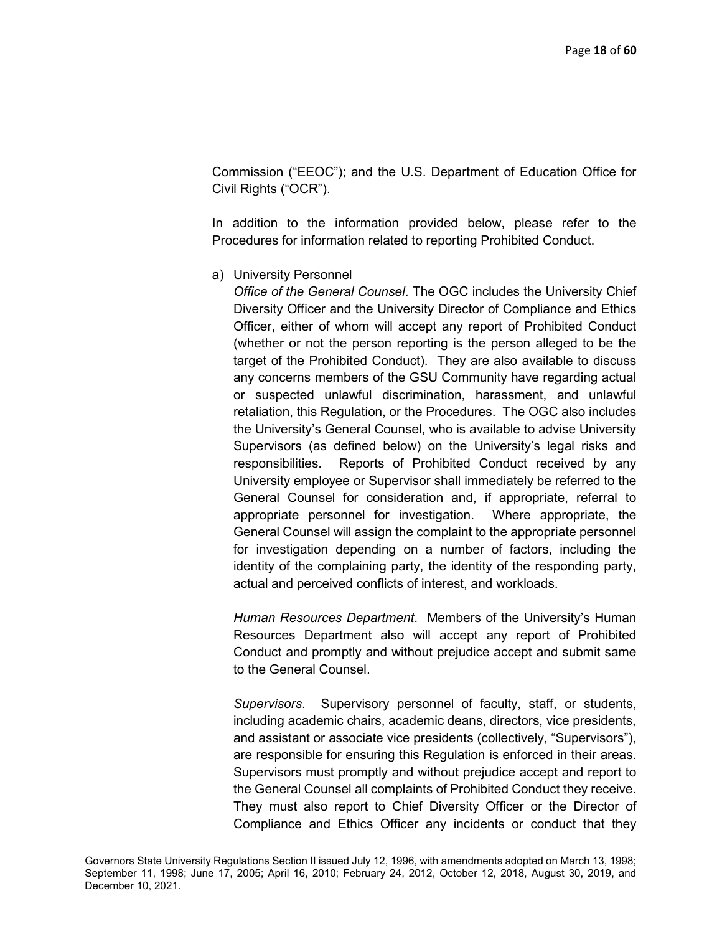Commission ("EEOC"); and the U.S. Department of Education Office for Civil Rights ("OCR").

In addition to the information provided below, please refer to the Procedures for information related to reporting Prohibited Conduct.

a) University Personnel

Office of the General Counsel. The OGC includes the University Chief Diversity Officer and the University Director of Compliance and Ethics Officer, either of whom will accept any report of Prohibited Conduct (whether or not the person reporting is the person alleged to be the target of the Prohibited Conduct). They are also available to discuss any concerns members of the GSU Community have regarding actual or suspected unlawful discrimination, harassment, and unlawful retaliation, this Regulation, or the Procedures. The OGC also includes the University's General Counsel, who is available to advise University Supervisors (as defined below) on the University's legal risks and responsibilities. Reports of Prohibited Conduct received by any University employee or Supervisor shall immediately be referred to the General Counsel for consideration and, if appropriate, referral to appropriate personnel for investigation. Where appropriate, the General Counsel will assign the complaint to the appropriate personnel for investigation depending on a number of factors, including the identity of the complaining party, the identity of the responding party, actual and perceived conflicts of interest, and workloads.

Human Resources Department. Members of the University's Human Resources Department also will accept any report of Prohibited Conduct and promptly and without prejudice accept and submit same to the General Counsel.

Supervisors. Supervisory personnel of faculty, staff, or students, including academic chairs, academic deans, directors, vice presidents, and assistant or associate vice presidents (collectively, "Supervisors"), are responsible for ensuring this Regulation is enforced in their areas. Supervisors must promptly and without prejudice accept and report to the General Counsel all complaints of Prohibited Conduct they receive. They must also report to Chief Diversity Officer or the Director of Compliance and Ethics Officer any incidents or conduct that they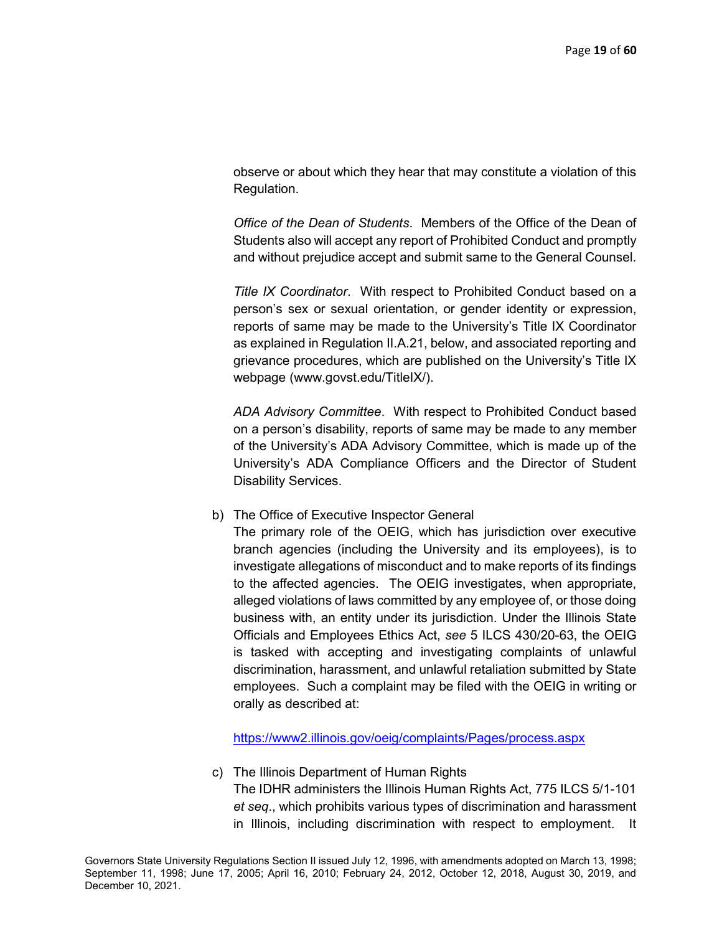observe or about which they hear that may constitute a violation of this Regulation.

Office of the Dean of Students. Members of the Office of the Dean of Students also will accept any report of Prohibited Conduct and promptly and without prejudice accept and submit same to the General Counsel.

Title IX Coordinator. With respect to Prohibited Conduct based on a person's sex or sexual orientation, or gender identity or expression, reports of same may be made to the University's Title IX Coordinator as explained in Regulation II.A.21, below, and associated reporting and grievance procedures, which are published on the University's Title IX webpage (www.govst.edu/TitleIX/).

ADA Advisory Committee. With respect to Prohibited Conduct based on a person's disability, reports of same may be made to any member of the University's ADA Advisory Committee, which is made up of the University's ADA Compliance Officers and the Director of Student Disability Services.

b) The Office of Executive Inspector General

The primary role of the OEIG, which has jurisdiction over executive branch agencies (including the University and its employees), is to investigate allegations of misconduct and to make reports of its findings to the affected agencies. The OEIG investigates, when appropriate, alleged violations of laws committed by any employee of, or those doing business with, an entity under its jurisdiction. Under the Illinois State Officials and Employees Ethics Act, see 5 ILCS 430/20-63, the OEIG is tasked with accepting and investigating complaints of unlawful discrimination, harassment, and unlawful retaliation submitted by State employees. Such a complaint may be filed with the OEIG in writing or orally as described at:

https://www2.illinois.gov/oeig/complaints/Pages/process.aspx

c) The Illinois Department of Human Rights The IDHR administers the Illinois Human Rights Act, 775 ILCS 5/1-101 et seq., which prohibits various types of discrimination and harassment in Illinois, including discrimination with respect to employment. It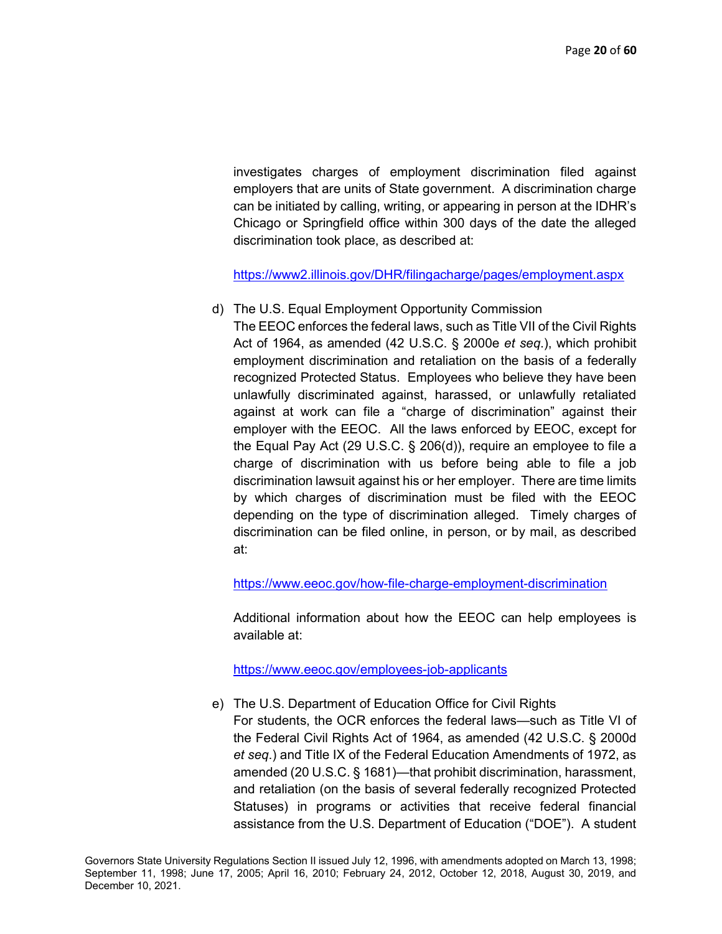investigates charges of employment discrimination filed against employers that are units of State government. A discrimination charge can be initiated by calling, writing, or appearing in person at the IDHR's Chicago or Springfield office within 300 days of the date the alleged discrimination took place, as described at:

https://www2.illinois.gov/DHR/filingacharge/pages/employment.aspx

d) The U.S. Equal Employment Opportunity Commission

The EEOC enforces the federal laws, such as Title VII of the Civil Rights Act of 1964, as amended (42 U.S.C. § 2000e et seq.), which prohibit employment discrimination and retaliation on the basis of a federally recognized Protected Status. Employees who believe they have been unlawfully discriminated against, harassed, or unlawfully retaliated against at work can file a "charge of discrimination" against their employer with the EEOC. All the laws enforced by EEOC, except for the Equal Pay Act (29 U.S.C. § 206(d)), require an employee to file a charge of discrimination with us before being able to file a job discrimination lawsuit against his or her employer. There are time limits by which charges of discrimination must be filed with the EEOC depending on the type of discrimination alleged. Timely charges of discrimination can be filed online, in person, or by mail, as described at:

https://www.eeoc.gov/how-file-charge-employment-discrimination

Additional information about how the EEOC can help employees is available at:

https://www.eeoc.gov/employees-job-applicants

e) The U.S. Department of Education Office for Civil Rights For students, the OCR enforces the federal laws—such as Title VI of the Federal Civil Rights Act of 1964, as amended (42 U.S.C. § 2000d et seq.) and Title IX of the Federal Education Amendments of 1972, as amended (20 U.S.C. § 1681)—that prohibit discrimination, harassment, and retaliation (on the basis of several federally recognized Protected Statuses) in programs or activities that receive federal financial assistance from the U.S. Department of Education ("DOE"). A student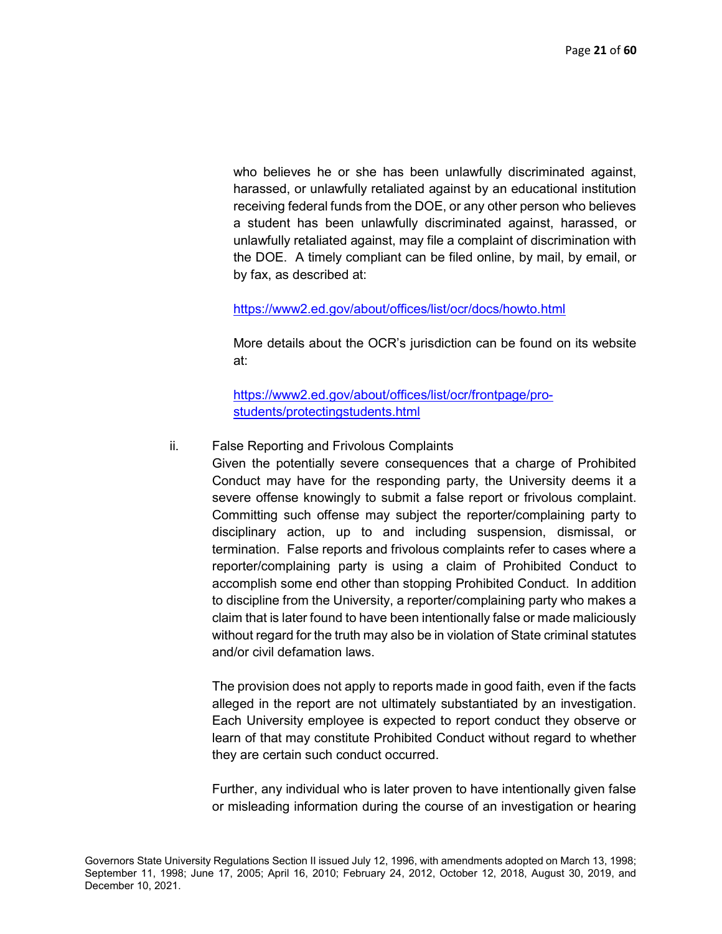who believes he or she has been unlawfully discriminated against, harassed, or unlawfully retaliated against by an educational institution receiving federal funds from the DOE, or any other person who believes a student has been unlawfully discriminated against, harassed, or unlawfully retaliated against, may file a complaint of discrimination with the DOE. A timely compliant can be filed online, by mail, by email, or by fax, as described at:

https://www2.ed.gov/about/offices/list/ocr/docs/howto.html

More details about the OCR's jurisdiction can be found on its website at:

https://www2.ed.gov/about/offices/list/ocr/frontpage/prostudents/protectingstudents.html

#### ii. False Reporting and Frivolous Complaints

Given the potentially severe consequences that a charge of Prohibited Conduct may have for the responding party, the University deems it a severe offense knowingly to submit a false report or frivolous complaint. Committing such offense may subject the reporter/complaining party to disciplinary action, up to and including suspension, dismissal, or termination. False reports and frivolous complaints refer to cases where a reporter/complaining party is using a claim of Prohibited Conduct to accomplish some end other than stopping Prohibited Conduct. In addition to discipline from the University, a reporter/complaining party who makes a claim that is later found to have been intentionally false or made maliciously without regard for the truth may also be in violation of State criminal statutes and/or civil defamation laws.

The provision does not apply to reports made in good faith, even if the facts alleged in the report are not ultimately substantiated by an investigation. Each University employee is expected to report conduct they observe or learn of that may constitute Prohibited Conduct without regard to whether they are certain such conduct occurred.

Further, any individual who is later proven to have intentionally given false or misleading information during the course of an investigation or hearing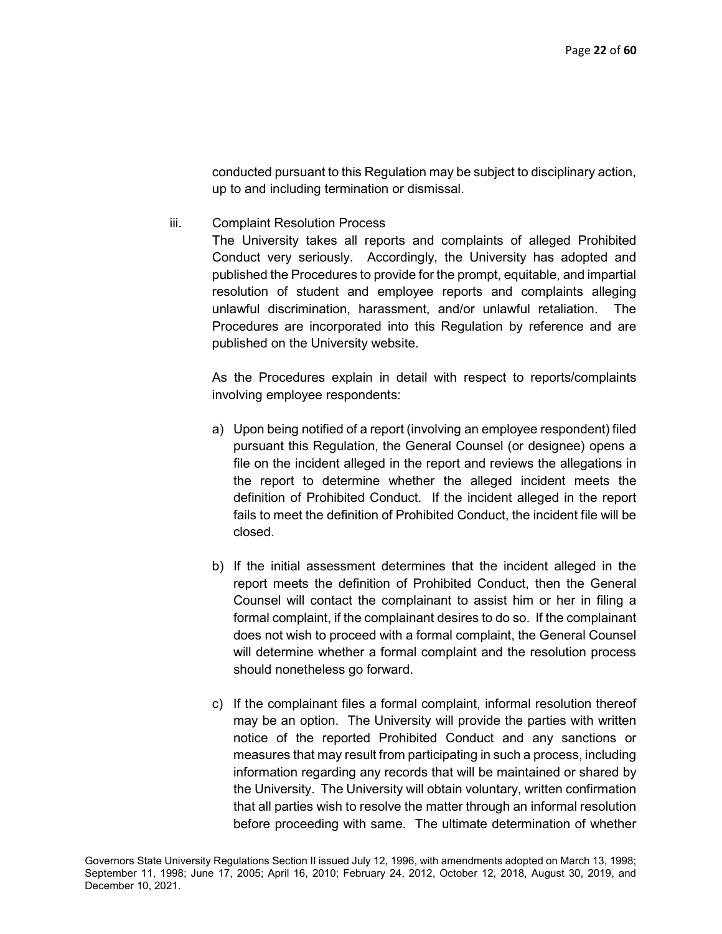conducted pursuant to this Regulation may be subject to disciplinary action, up to and including termination or dismissal.

iii. Complaint Resolution Process

The University takes all reports and complaints of alleged Prohibited Conduct very seriously. Accordingly, the University has adopted and published the Procedures to provide for the prompt, equitable, and impartial resolution of student and employee reports and complaints alleging unlawful discrimination, harassment, and/or unlawful retaliation. The Procedures are incorporated into this Regulation by reference and are published on the University website.

As the Procedures explain in detail with respect to reports/complaints involving employee respondents:

- a) Upon being notified of a report (involving an employee respondent) filed pursuant this Regulation, the General Counsel (or designee) opens a file on the incident alleged in the report and reviews the allegations in the report to determine whether the alleged incident meets the definition of Prohibited Conduct. If the incident alleged in the report fails to meet the definition of Prohibited Conduct, the incident file will be closed.
- b) If the initial assessment determines that the incident alleged in the report meets the definition of Prohibited Conduct, then the General Counsel will contact the complainant to assist him or her in filing a formal complaint, if the complainant desires to do so. If the complainant does not wish to proceed with a formal complaint, the General Counsel will determine whether a formal complaint and the resolution process should nonetheless go forward.
- c) If the complainant files a formal complaint, informal resolution thereof may be an option. The University will provide the parties with written notice of the reported Prohibited Conduct and any sanctions or measures that may result from participating in such a process, including information regarding any records that will be maintained or shared by the University. The University will obtain voluntary, written confirmation that all parties wish to resolve the matter through an informal resolution before proceeding with same. The ultimate determination of whether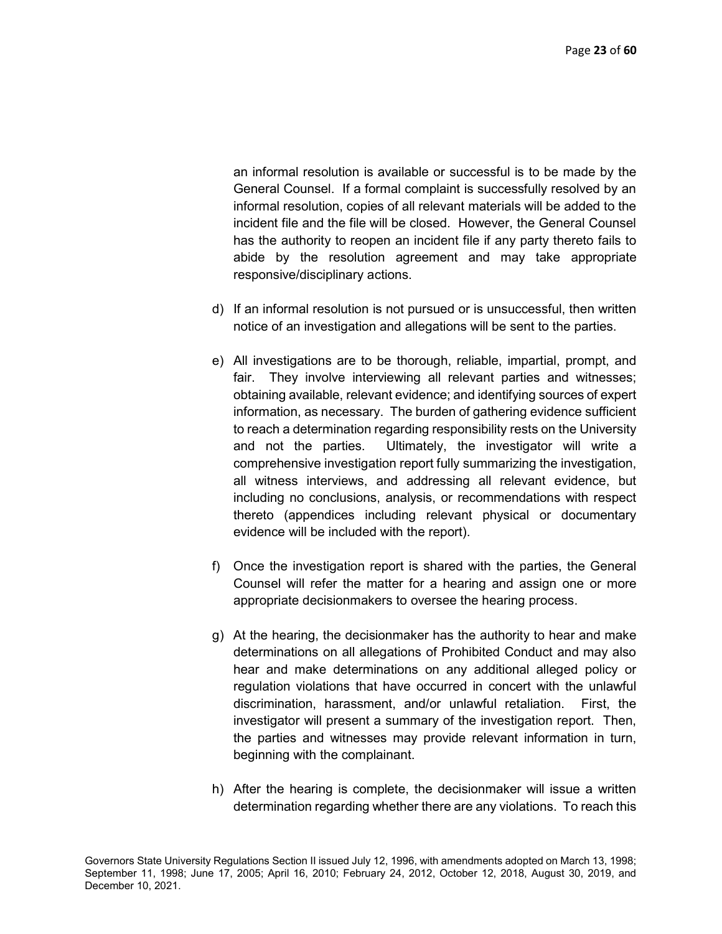an informal resolution is available or successful is to be made by the General Counsel. If a formal complaint is successfully resolved by an informal resolution, copies of all relevant materials will be added to the incident file and the file will be closed. However, the General Counsel has the authority to reopen an incident file if any party thereto fails to abide by the resolution agreement and may take appropriate responsive/disciplinary actions.

- d) If an informal resolution is not pursued or is unsuccessful, then written notice of an investigation and allegations will be sent to the parties.
- e) All investigations are to be thorough, reliable, impartial, prompt, and fair. They involve interviewing all relevant parties and witnesses; obtaining available, relevant evidence; and identifying sources of expert information, as necessary. The burden of gathering evidence sufficient to reach a determination regarding responsibility rests on the University and not the parties. Ultimately, the investigator will write a comprehensive investigation report fully summarizing the investigation, all witness interviews, and addressing all relevant evidence, but including no conclusions, analysis, or recommendations with respect thereto (appendices including relevant physical or documentary evidence will be included with the report).
- f) Once the investigation report is shared with the parties, the General Counsel will refer the matter for a hearing and assign one or more appropriate decisionmakers to oversee the hearing process.
- g) At the hearing, the decisionmaker has the authority to hear and make determinations on all allegations of Prohibited Conduct and may also hear and make determinations on any additional alleged policy or regulation violations that have occurred in concert with the unlawful discrimination, harassment, and/or unlawful retaliation. First, the investigator will present a summary of the investigation report. Then, the parties and witnesses may provide relevant information in turn, beginning with the complainant.
- h) After the hearing is complete, the decisionmaker will issue a written determination regarding whether there are any violations. To reach this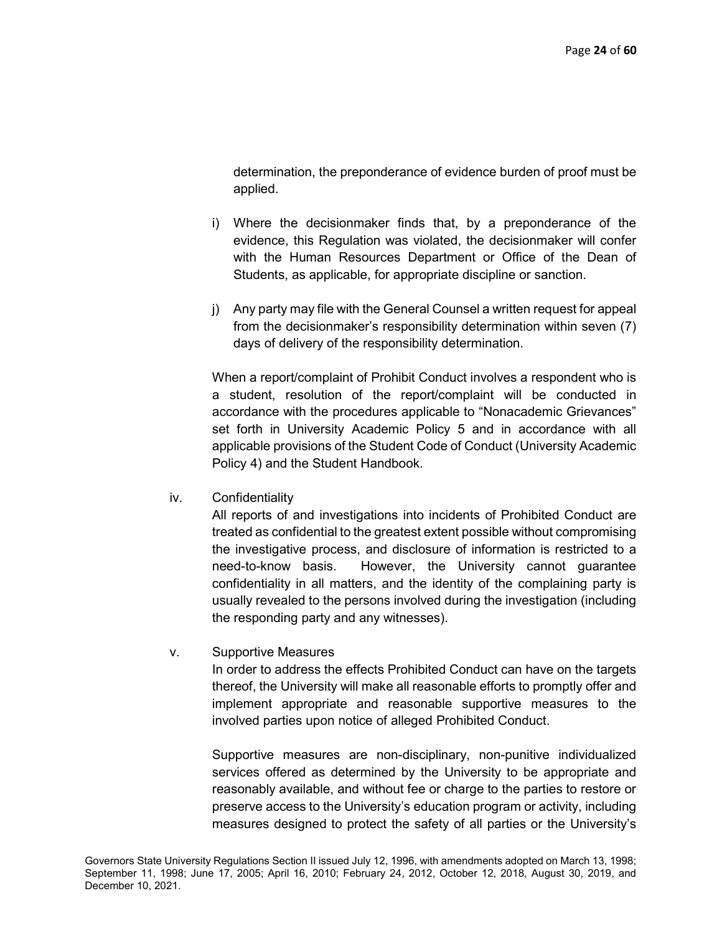determination, the preponderance of evidence burden of proof must be applied.

- i) Where the decisionmaker finds that, by a preponderance of the evidence, this Regulation was violated, the decisionmaker will confer with the Human Resources Department or Office of the Dean of Students, as applicable, for appropriate discipline or sanction.
- j) Any party may file with the General Counsel a written request for appeal from the decisionmaker's responsibility determination within seven (7) days of delivery of the responsibility determination.

When a report/complaint of Prohibit Conduct involves a respondent who is a student, resolution of the report/complaint will be conducted in accordance with the procedures applicable to "Nonacademic Grievances" set forth in University Academic Policy 5 and in accordance with all applicable provisions of the Student Code of Conduct (University Academic Policy 4) and the Student Handbook.

iv. Confidentiality

All reports of and investigations into incidents of Prohibited Conduct are treated as confidential to the greatest extent possible without compromising the investigative process, and disclosure of information is restricted to a need-to-know basis. However, the University cannot guarantee confidentiality in all matters, and the identity of the complaining party is usually revealed to the persons involved during the investigation (including the responding party and any witnesses).

v. Supportive Measures

In order to address the effects Prohibited Conduct can have on the targets thereof, the University will make all reasonable efforts to promptly offer and implement appropriate and reasonable supportive measures to the involved parties upon notice of alleged Prohibited Conduct.

Supportive measures are non-disciplinary, non-punitive individualized services offered as determined by the University to be appropriate and reasonably available, and without fee or charge to the parties to restore or preserve access to the University's education program or activity, including measures designed to protect the safety of all parties or the University's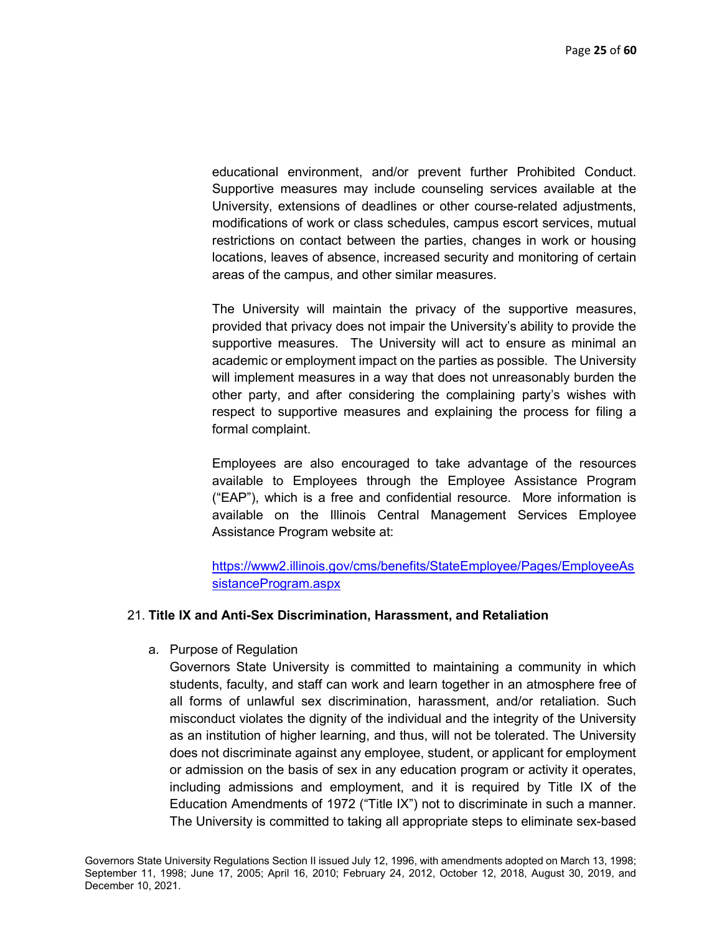educational environment, and/or prevent further Prohibited Conduct. Supportive measures may include counseling services available at the University, extensions of deadlines or other course-related adjustments, modifications of work or class schedules, campus escort services, mutual restrictions on contact between the parties, changes in work or housing locations, leaves of absence, increased security and monitoring of certain areas of the campus, and other similar measures.

The University will maintain the privacy of the supportive measures, provided that privacy does not impair the University's ability to provide the supportive measures. The University will act to ensure as minimal an academic or employment impact on the parties as possible. The University will implement measures in a way that does not unreasonably burden the other party, and after considering the complaining party's wishes with respect to supportive measures and explaining the process for filing a formal complaint.

Employees are also encouraged to take advantage of the resources available to Employees through the Employee Assistance Program ("EAP"), which is a free and confidential resource. More information is available on the Illinois Central Management Services Employee Assistance Program website at:

https://www2.illinois.gov/cms/benefits/StateEmployee/Pages/EmployeeAs sistanceProgram.aspx

### 21. Title IX and Anti-Sex Discrimination, Harassment, and Retaliation

a. Purpose of Regulation

Governors State University is committed to maintaining a community in which students, faculty, and staff can work and learn together in an atmosphere free of all forms of unlawful sex discrimination, harassment, and/or retaliation. Such misconduct violates the dignity of the individual and the integrity of the University as an institution of higher learning, and thus, will not be tolerated. The University does not discriminate against any employee, student, or applicant for employment or admission on the basis of sex in any education program or activity it operates, including admissions and employment, and it is required by Title IX of the Education Amendments of 1972 ("Title IX") not to discriminate in such a manner. The University is committed to taking all appropriate steps to eliminate sex-based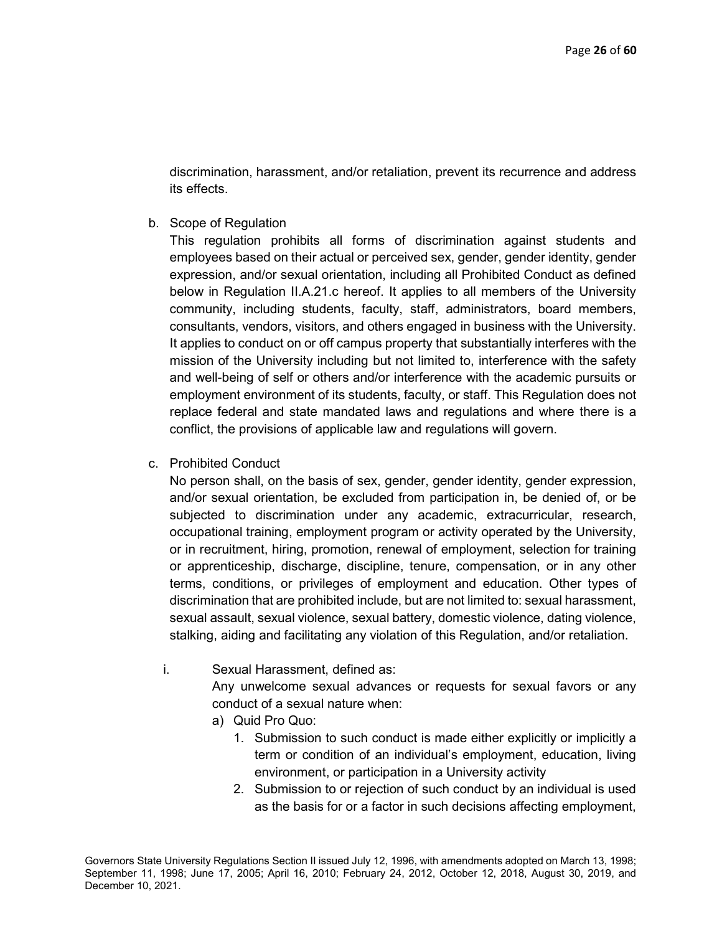discrimination, harassment, and/or retaliation, prevent its recurrence and address its effects.

b. Scope of Regulation

This regulation prohibits all forms of discrimination against students and employees based on their actual or perceived sex, gender, gender identity, gender expression, and/or sexual orientation, including all Prohibited Conduct as defined below in Regulation II.A.21.c hereof. It applies to all members of the University community, including students, faculty, staff, administrators, board members, consultants, vendors, visitors, and others engaged in business with the University. It applies to conduct on or off campus property that substantially interferes with the mission of the University including but not limited to, interference with the safety and well-being of self or others and/or interference with the academic pursuits or employment environment of its students, faculty, or staff. This Regulation does not replace federal and state mandated laws and regulations and where there is a conflict, the provisions of applicable law and regulations will govern.

c. Prohibited Conduct

No person shall, on the basis of sex, gender, gender identity, gender expression, and/or sexual orientation, be excluded from participation in, be denied of, or be subjected to discrimination under any academic, extracurricular, research, occupational training, employment program or activity operated by the University, or in recruitment, hiring, promotion, renewal of employment, selection for training or apprenticeship, discharge, discipline, tenure, compensation, or in any other terms, conditions, or privileges of employment and education. Other types of discrimination that are prohibited include, but are not limited to: sexual harassment, sexual assault, sexual violence, sexual battery, domestic violence, dating violence, stalking, aiding and facilitating any violation of this Regulation, and/or retaliation.

i. Sexual Harassment, defined as:

Any unwelcome sexual advances or requests for sexual favors or any conduct of a sexual nature when:

- a) Quid Pro Quo:
	- 1. Submission to such conduct is made either explicitly or implicitly a term or condition of an individual's employment, education, living environment, or participation in a University activity
	- 2. Submission to or rejection of such conduct by an individual is used as the basis for or a factor in such decisions affecting employment,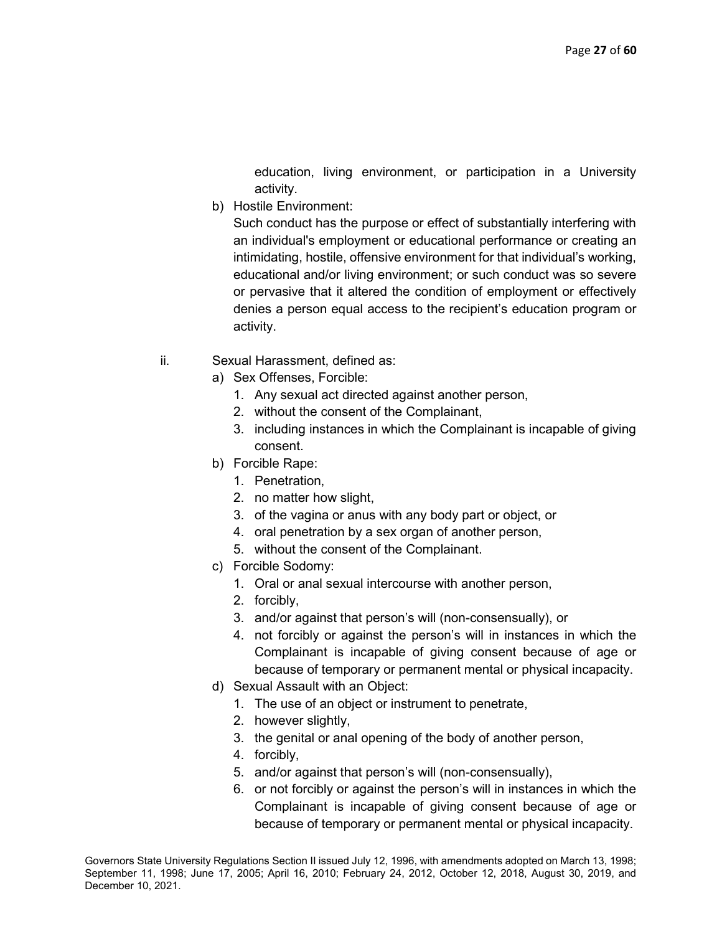education, living environment, or participation in a University activity.

b) Hostile Environment:

Such conduct has the purpose or effect of substantially interfering with an individual's employment or educational performance or creating an intimidating, hostile, offensive environment for that individual's working, educational and/or living environment; or such conduct was so severe or pervasive that it altered the condition of employment or effectively denies a person equal access to the recipient's education program or activity.

- ii. Sexual Harassment, defined as:
	- a) Sex Offenses, Forcible:
		- 1. Any sexual act directed against another person,
		- 2. without the consent of the Complainant,
		- 3. including instances in which the Complainant is incapable of giving consent.
	- b) Forcible Rape:
		- 1. Penetration,
		- 2. no matter how slight,
		- 3. of the vagina or anus with any body part or object, or
		- 4. oral penetration by a sex organ of another person,
		- 5. without the consent of the Complainant.
	- c) Forcible Sodomy:
		- 1. Oral or anal sexual intercourse with another person,
		- 2. forcibly,
		- 3. and/or against that person's will (non-consensually), or
		- 4. not forcibly or against the person's will in instances in which the Complainant is incapable of giving consent because of age or because of temporary or permanent mental or physical incapacity.
	- d) Sexual Assault with an Object:
		- 1. The use of an object or instrument to penetrate,
		- 2. however slightly,
		- 3. the genital or anal opening of the body of another person,
		- 4. forcibly,
		- 5. and/or against that person's will (non-consensually),
		- 6. or not forcibly or against the person's will in instances in which the Complainant is incapable of giving consent because of age or because of temporary or permanent mental or physical incapacity.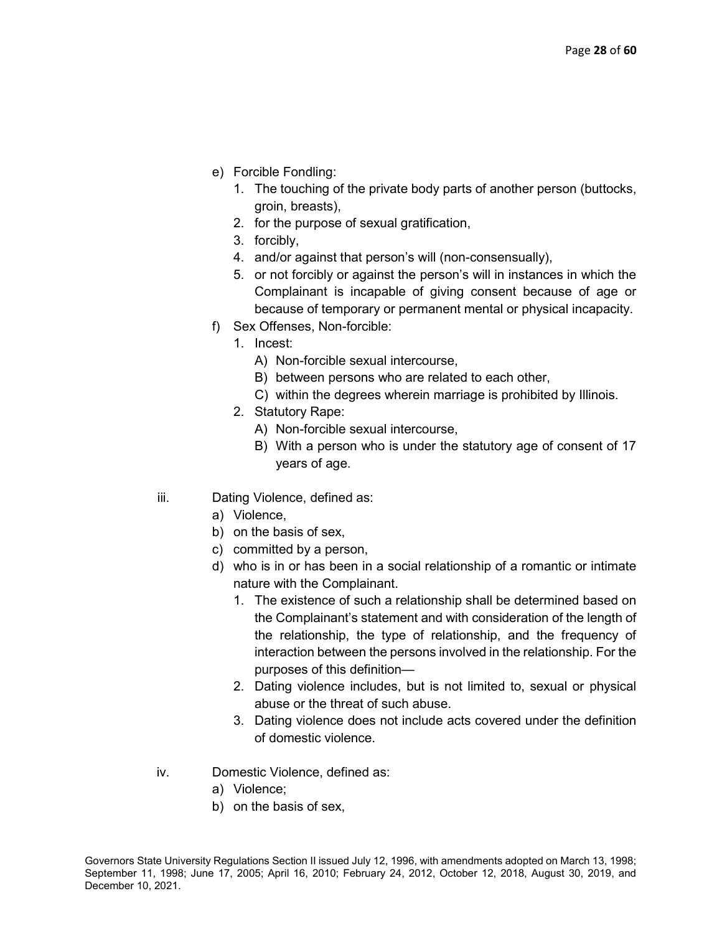- e) Forcible Fondling:
	- 1. The touching of the private body parts of another person (buttocks, groin, breasts),
	- 2. for the purpose of sexual gratification,
	- 3. forcibly,
	- 4. and/or against that person's will (non-consensually),
	- 5. or not forcibly or against the person's will in instances in which the Complainant is incapable of giving consent because of age or because of temporary or permanent mental or physical incapacity.
- f) Sex Offenses, Non-forcible:
	- 1. Incest:
		- A) Non-forcible sexual intercourse,
		- B) between persons who are related to each other,
		- C) within the degrees wherein marriage is prohibited by Illinois.
	- 2. Statutory Rape:
		- A) Non-forcible sexual intercourse,
		- B) With a person who is under the statutory age of consent of 17 years of age.
- iii. Dating Violence, defined as:
	- a) Violence,
	- b) on the basis of sex,
	- c) committed by a person,
	- d) who is in or has been in a social relationship of a romantic or intimate nature with the Complainant.
		- 1. The existence of such a relationship shall be determined based on the Complainant's statement and with consideration of the length of the relationship, the type of relationship, and the frequency of interaction between the persons involved in the relationship. For the purposes of this definition—
		- 2. Dating violence includes, but is not limited to, sexual or physical abuse or the threat of such abuse.
		- 3. Dating violence does not include acts covered under the definition of domestic violence.
- iv. Domestic Violence, defined as:
	- a) Violence;
	- b) on the basis of sex,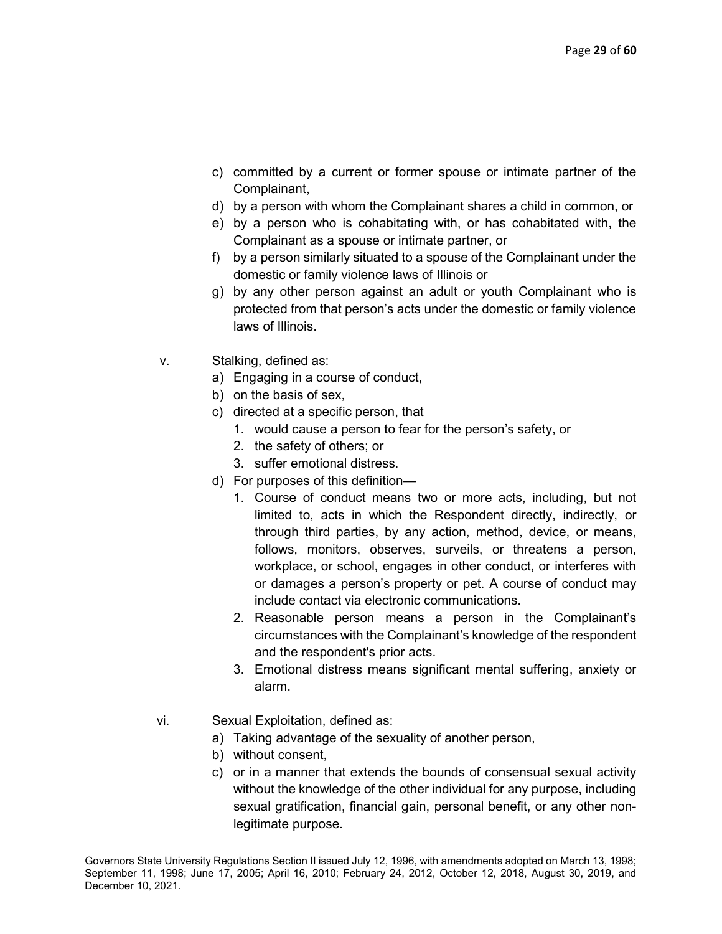- c) committed by a current or former spouse or intimate partner of the Complainant,
- d) by a person with whom the Complainant shares a child in common, or
- e) by a person who is cohabitating with, or has cohabitated with, the Complainant as a spouse or intimate partner, or
- f) by a person similarly situated to a spouse of the Complainant under the domestic or family violence laws of Illinois or
- g) by any other person against an adult or youth Complainant who is protected from that person's acts under the domestic or family violence laws of Illinois.
- v. Stalking, defined as:
	- a) Engaging in a course of conduct,
	- b) on the basis of sex,
	- c) directed at a specific person, that
		- 1. would cause a person to fear for the person's safety, or
		- 2. the safety of others; or
		- 3. suffer emotional distress.
	- d) For purposes of this definition—
		- 1. Course of conduct means two or more acts, including, but not limited to, acts in which the Respondent directly, indirectly, or through third parties, by any action, method, device, or means, follows, monitors, observes, surveils, or threatens a person, workplace, or school, engages in other conduct, or interferes with or damages a person's property or pet. A course of conduct may include contact via electronic communications.
		- 2. Reasonable person means a person in the Complainant's circumstances with the Complainant's knowledge of the respondent and the respondent's prior acts.
		- 3. Emotional distress means significant mental suffering, anxiety or alarm.
- vi. Sexual Exploitation, defined as:
	- a) Taking advantage of the sexuality of another person,
	- b) without consent,
	- c) or in a manner that extends the bounds of consensual sexual activity without the knowledge of the other individual for any purpose, including sexual gratification, financial gain, personal benefit, or any other nonlegitimate purpose.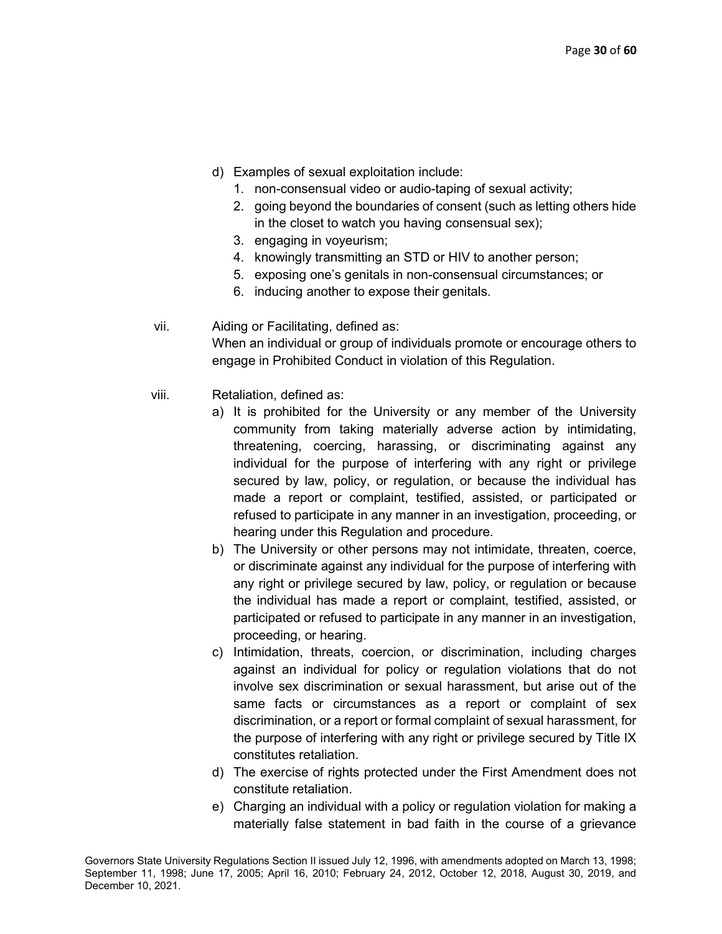- d) Examples of sexual exploitation include:
	- 1. non-consensual video or audio-taping of sexual activity;
	- 2. going beyond the boundaries of consent (such as letting others hide in the closet to watch you having consensual sex);
	- 3. engaging in voyeurism;
	- 4. knowingly transmitting an STD or HIV to another person;
	- 5. exposing one's genitals in non-consensual circumstances; or
	- 6. inducing another to expose their genitals.
- vii. Aiding or Facilitating, defined as: When an individual or group of individuals promote or encourage others to engage in Prohibited Conduct in violation of this Regulation.
- viii. Retaliation, defined as:
	- a) It is prohibited for the University or any member of the University community from taking materially adverse action by intimidating, threatening, coercing, harassing, or discriminating against any individual for the purpose of interfering with any right or privilege secured by law, policy, or regulation, or because the individual has made a report or complaint, testified, assisted, or participated or refused to participate in any manner in an investigation, proceeding, or hearing under this Regulation and procedure.
	- b) The University or other persons may not intimidate, threaten, coerce, or discriminate against any individual for the purpose of interfering with any right or privilege secured by law, policy, or regulation or because the individual has made a report or complaint, testified, assisted, or participated or refused to participate in any manner in an investigation, proceeding, or hearing.
	- c) Intimidation, threats, coercion, or discrimination, including charges against an individual for policy or regulation violations that do not involve sex discrimination or sexual harassment, but arise out of the same facts or circumstances as a report or complaint of sex discrimination, or a report or formal complaint of sexual harassment, for the purpose of interfering with any right or privilege secured by Title IX constitutes retaliation.
	- d) The exercise of rights protected under the First Amendment does not constitute retaliation.
	- e) Charging an individual with a policy or regulation violation for making a materially false statement in bad faith in the course of a grievance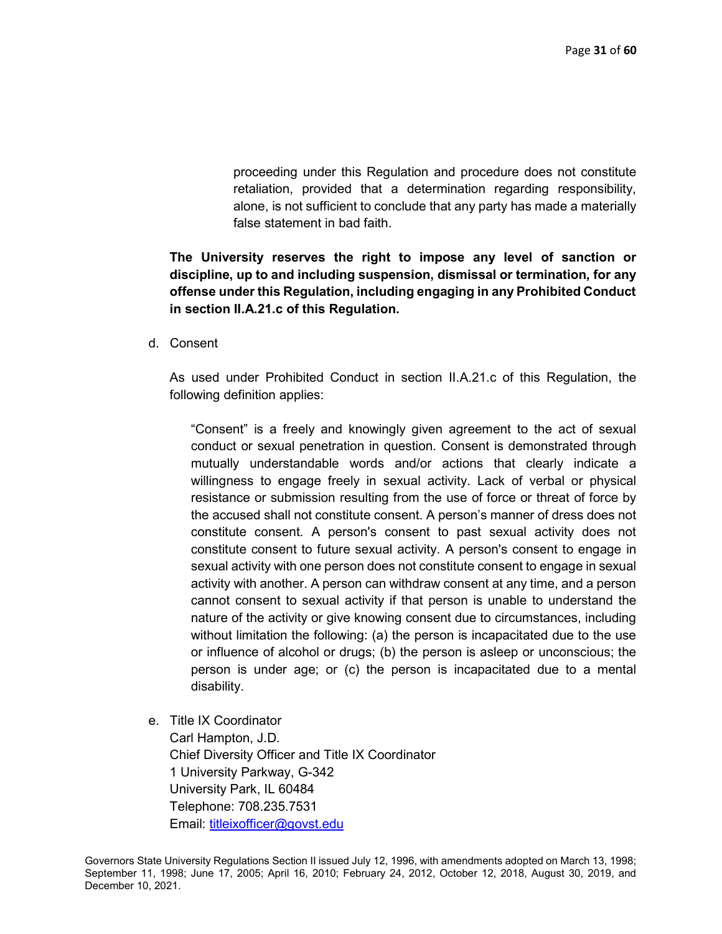proceeding under this Regulation and procedure does not constitute retaliation, provided that a determination regarding responsibility, alone, is not sufficient to conclude that any party has made a materially false statement in bad faith.

# The University reserves the right to impose any level of sanction or discipline, up to and including suspension, dismissal or termination, for any offense under this Regulation, including engaging in any Prohibited Conduct in section II.A.21.c of this Regulation.

d. Consent

As used under Prohibited Conduct in section II.A.21.c of this Regulation, the following definition applies:

"Consent" is a freely and knowingly given agreement to the act of sexual conduct or sexual penetration in question. Consent is demonstrated through mutually understandable words and/or actions that clearly indicate a willingness to engage freely in sexual activity. Lack of verbal or physical resistance or submission resulting from the use of force or threat of force by the accused shall not constitute consent. A person's manner of dress does not constitute consent. A person's consent to past sexual activity does not constitute consent to future sexual activity. A person's consent to engage in sexual activity with one person does not constitute consent to engage in sexual activity with another. A person can withdraw consent at any time, and a person cannot consent to sexual activity if that person is unable to understand the nature of the activity or give knowing consent due to circumstances, including without limitation the following: (a) the person is incapacitated due to the use or influence of alcohol or drugs; (b) the person is asleep or unconscious; the person is under age; or (c) the person is incapacitated due to a mental disability.

e. Title IX Coordinator Carl Hampton, J.D. Chief Diversity Officer and Title IX Coordinator 1 University Parkway, G-342 University Park, IL 60484 Telephone: 708.235.7531 Email: titleixofficer@govst.edu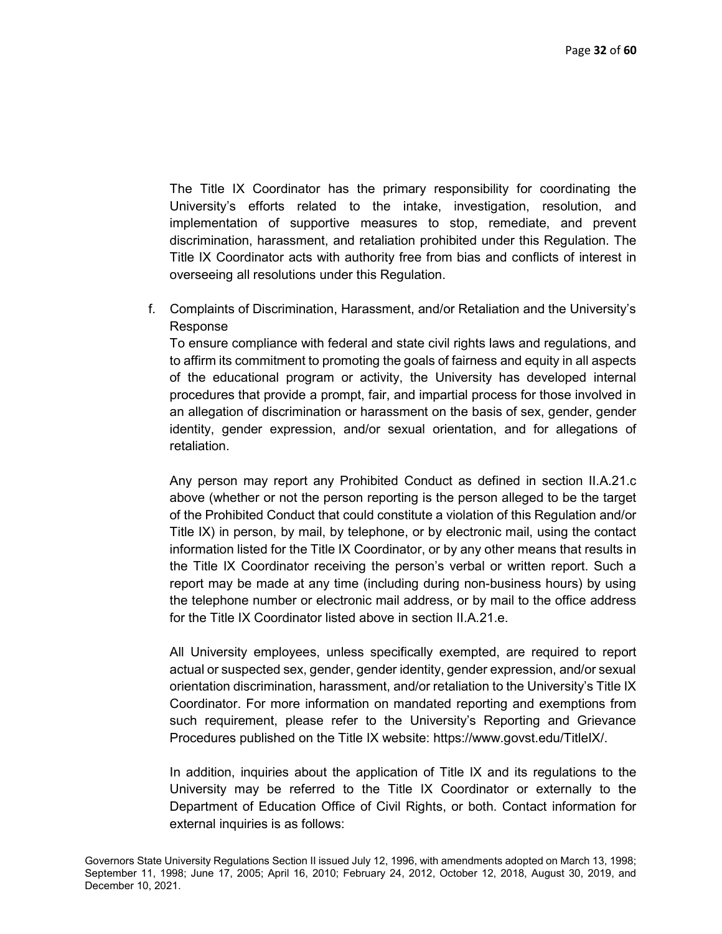The Title IX Coordinator has the primary responsibility for coordinating the University's efforts related to the intake, investigation, resolution, and implementation of supportive measures to stop, remediate, and prevent discrimination, harassment, and retaliation prohibited under this Regulation. The Title IX Coordinator acts with authority free from bias and conflicts of interest in overseeing all resolutions under this Regulation.

f. Complaints of Discrimination, Harassment, and/or Retaliation and the University's Response

To ensure compliance with federal and state civil rights laws and regulations, and to affirm its commitment to promoting the goals of fairness and equity in all aspects of the educational program or activity, the University has developed internal procedures that provide a prompt, fair, and impartial process for those involved in an allegation of discrimination or harassment on the basis of sex, gender, gender identity, gender expression, and/or sexual orientation, and for allegations of retaliation.

Any person may report any Prohibited Conduct as defined in section II.A.21.c above (whether or not the person reporting is the person alleged to be the target of the Prohibited Conduct that could constitute a violation of this Regulation and/or Title IX) in person, by mail, by telephone, or by electronic mail, using the contact information listed for the Title IX Coordinator, or by any other means that results in the Title IX Coordinator receiving the person's verbal or written report. Such a report may be made at any time (including during non-business hours) by using the telephone number or electronic mail address, or by mail to the office address for the Title IX Coordinator listed above in section II.A.21.e.

All University employees, unless specifically exempted, are required to report actual or suspected sex, gender, gender identity, gender expression, and/or sexual orientation discrimination, harassment, and/or retaliation to the University's Title IX Coordinator. For more information on mandated reporting and exemptions from such requirement, please refer to the University's Reporting and Grievance Procedures published on the Title IX website: https://www.govst.edu/TitleIX/.

In addition, inquiries about the application of Title IX and its regulations to the University may be referred to the Title IX Coordinator or externally to the Department of Education Office of Civil Rights, or both. Contact information for external inquiries is as follows: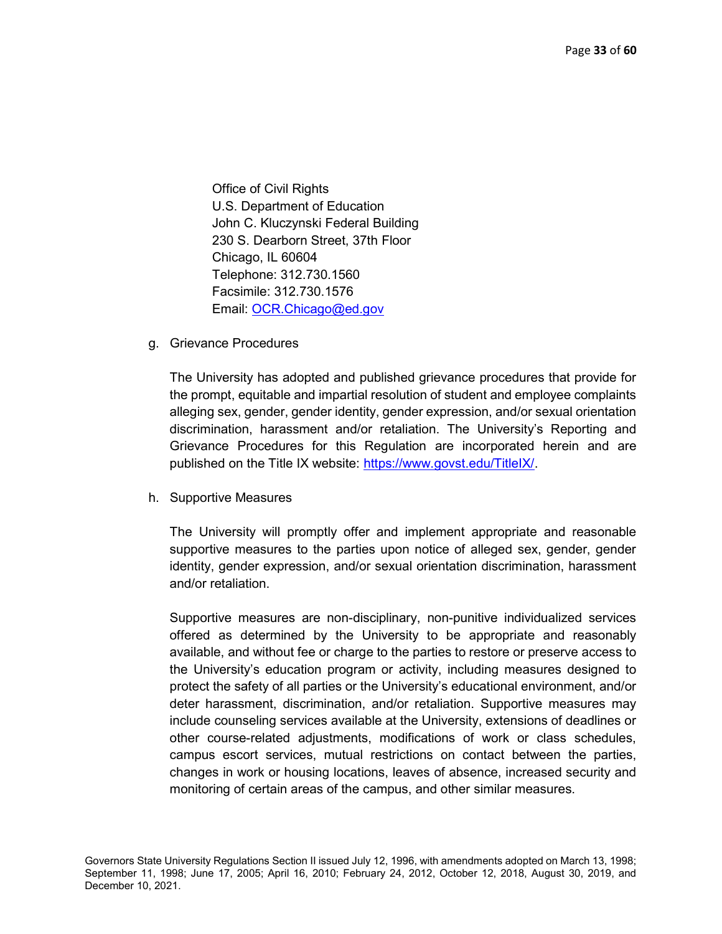Office of Civil Rights U.S. Department of Education John C. Kluczynski Federal Building 230 S. Dearborn Street, 37th Floor Chicago, IL 60604 Telephone: 312.730.1560 Facsimile: 312.730.1576 Email: OCR.Chicago@ed.gov

g. Grievance Procedures

The University has adopted and published grievance procedures that provide for the prompt, equitable and impartial resolution of student and employee complaints alleging sex, gender, gender identity, gender expression, and/or sexual orientation discrimination, harassment and/or retaliation. The University's Reporting and Grievance Procedures for this Regulation are incorporated herein and are published on the Title IX website: https://www.govst.edu/TitleIX/.

h. Supportive Measures

The University will promptly offer and implement appropriate and reasonable supportive measures to the parties upon notice of alleged sex, gender, gender identity, gender expression, and/or sexual orientation discrimination, harassment and/or retaliation.

Supportive measures are non-disciplinary, non-punitive individualized services offered as determined by the University to be appropriate and reasonably available, and without fee or charge to the parties to restore or preserve access to the University's education program or activity, including measures designed to protect the safety of all parties or the University's educational environment, and/or deter harassment, discrimination, and/or retaliation. Supportive measures may include counseling services available at the University, extensions of deadlines or other course-related adjustments, modifications of work or class schedules, campus escort services, mutual restrictions on contact between the parties, changes in work or housing locations, leaves of absence, increased security and monitoring of certain areas of the campus, and other similar measures.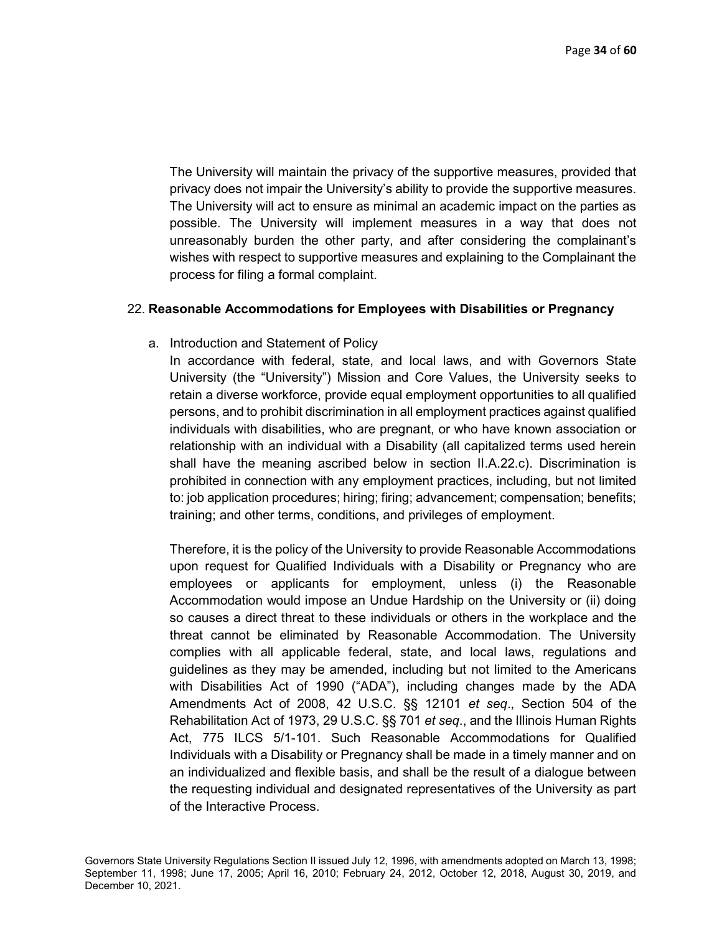The University will maintain the privacy of the supportive measures, provided that privacy does not impair the University's ability to provide the supportive measures. The University will act to ensure as minimal an academic impact on the parties as possible. The University will implement measures in a way that does not unreasonably burden the other party, and after considering the complainant's wishes with respect to supportive measures and explaining to the Complainant the process for filing a formal complaint.

#### 22. Reasonable Accommodations for Employees with Disabilities or Pregnancy

a. Introduction and Statement of Policy

In accordance with federal, state, and local laws, and with Governors State University (the "University") Mission and Core Values, the University seeks to retain a diverse workforce, provide equal employment opportunities to all qualified persons, and to prohibit discrimination in all employment practices against qualified individuals with disabilities, who are pregnant, or who have known association or relationship with an individual with a Disability (all capitalized terms used herein shall have the meaning ascribed below in section II.A.22.c). Discrimination is prohibited in connection with any employment practices, including, but not limited to: job application procedures; hiring; firing; advancement; compensation; benefits; training; and other terms, conditions, and privileges of employment.

Therefore, it is the policy of the University to provide Reasonable Accommodations upon request for Qualified Individuals with a Disability or Pregnancy who are employees or applicants for employment, unless (i) the Reasonable Accommodation would impose an Undue Hardship on the University or (ii) doing so causes a direct threat to these individuals or others in the workplace and the threat cannot be eliminated by Reasonable Accommodation. The University complies with all applicable federal, state, and local laws, regulations and guidelines as they may be amended, including but not limited to the Americans with Disabilities Act of 1990 ("ADA"), including changes made by the ADA Amendments Act of 2008, 42 U.S.C. §§ 12101 et seq., Section 504 of the Rehabilitation Act of 1973, 29 U.S.C. §§ 701 et seq., and the Illinois Human Rights Act, 775 ILCS 5/1-101. Such Reasonable Accommodations for Qualified Individuals with a Disability or Pregnancy shall be made in a timely manner and on an individualized and flexible basis, and shall be the result of a dialogue between the requesting individual and designated representatives of the University as part of the Interactive Process.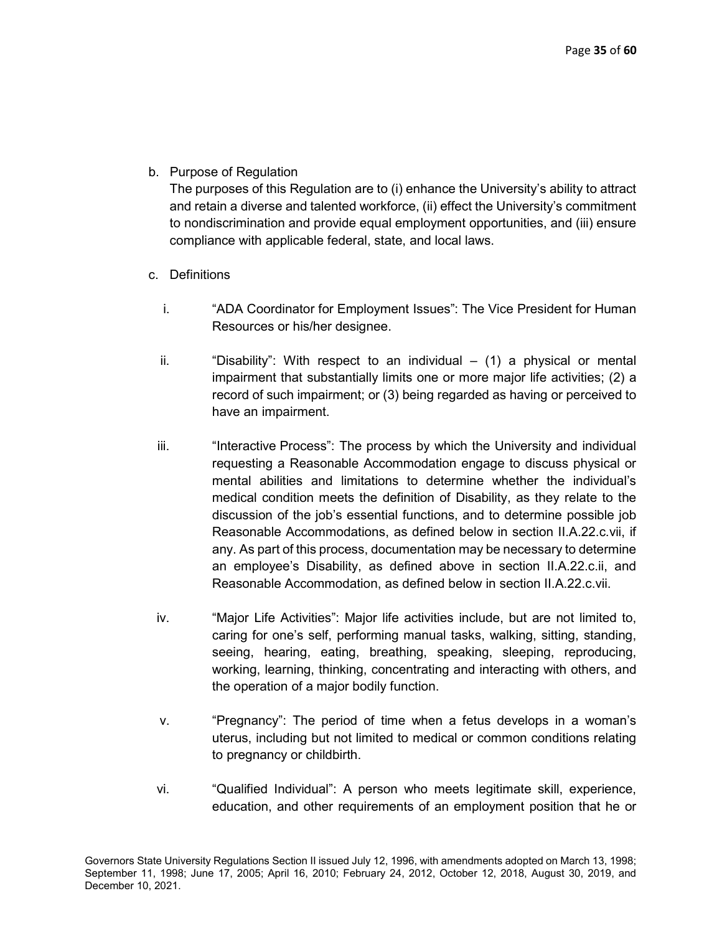b. Purpose of Regulation

The purposes of this Regulation are to (i) enhance the University's ability to attract and retain a diverse and talented workforce, (ii) effect the University's commitment to nondiscrimination and provide equal employment opportunities, and (iii) ensure compliance with applicable federal, state, and local laws.

- c. Definitions
	- i. "ADA Coordinator for Employment Issues": The Vice President for Human Resources or his/her designee.
	- ii. "Disability": With respect to an individual  $-$  (1) a physical or mental impairment that substantially limits one or more major life activities; (2) a record of such impairment; or (3) being regarded as having or perceived to have an impairment.
	- iii. "Interactive Process": The process by which the University and individual requesting a Reasonable Accommodation engage to discuss physical or mental abilities and limitations to determine whether the individual's medical condition meets the definition of Disability, as they relate to the discussion of the job's essential functions, and to determine possible job Reasonable Accommodations, as defined below in section II.A.22.c.vii, if any. As part of this process, documentation may be necessary to determine an employee's Disability, as defined above in section II.A.22.c.ii, and Reasonable Accommodation, as defined below in section II.A.22.c.vii.
	- iv. "Major Life Activities": Major life activities include, but are not limited to, caring for one's self, performing manual tasks, walking, sitting, standing, seeing, hearing, eating, breathing, speaking, sleeping, reproducing, working, learning, thinking, concentrating and interacting with others, and the operation of a major bodily function.
	- v. "Pregnancy": The period of time when a fetus develops in a woman's uterus, including but not limited to medical or common conditions relating to pregnancy or childbirth.
	- vi. "Qualified Individual": A person who meets legitimate skill, experience, education, and other requirements of an employment position that he or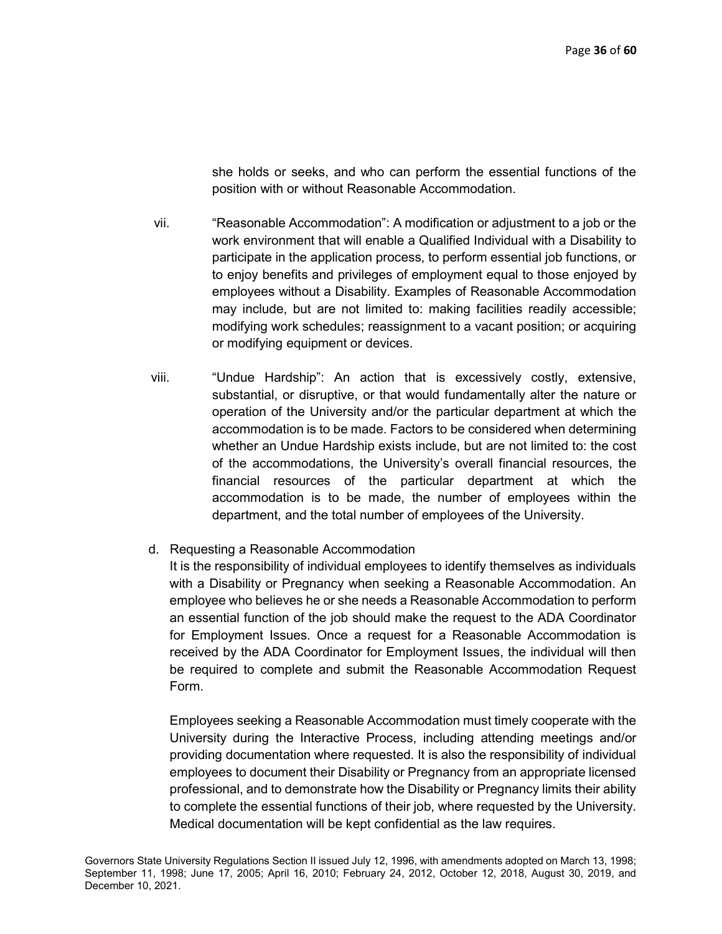she holds or seeks, and who can perform the essential functions of the position with or without Reasonable Accommodation.

- vii. "Reasonable Accommodation": A modification or adjustment to a job or the work environment that will enable a Qualified Individual with a Disability to participate in the application process, to perform essential job functions, or to enjoy benefits and privileges of employment equal to those enjoyed by employees without a Disability. Examples of Reasonable Accommodation may include, but are not limited to: making facilities readily accessible; modifying work schedules; reassignment to a vacant position; or acquiring or modifying equipment or devices.
- viii. "Undue Hardship": An action that is excessively costly, extensive, substantial, or disruptive, or that would fundamentally alter the nature or operation of the University and/or the particular department at which the accommodation is to be made. Factors to be considered when determining whether an Undue Hardship exists include, but are not limited to: the cost of the accommodations, the University's overall financial resources, the financial resources of the particular department at which the accommodation is to be made, the number of employees within the department, and the total number of employees of the University.
- d. Requesting a Reasonable Accommodation

It is the responsibility of individual employees to identify themselves as individuals with a Disability or Pregnancy when seeking a Reasonable Accommodation. An employee who believes he or she needs a Reasonable Accommodation to perform an essential function of the job should make the request to the ADA Coordinator for Employment Issues. Once a request for a Reasonable Accommodation is received by the ADA Coordinator for Employment Issues, the individual will then be required to complete and submit the Reasonable Accommodation Request Form.

Employees seeking a Reasonable Accommodation must timely cooperate with the University during the Interactive Process, including attending meetings and/or providing documentation where requested. It is also the responsibility of individual employees to document their Disability or Pregnancy from an appropriate licensed professional, and to demonstrate how the Disability or Pregnancy limits their ability to complete the essential functions of their job, where requested by the University. Medical documentation will be kept confidential as the law requires.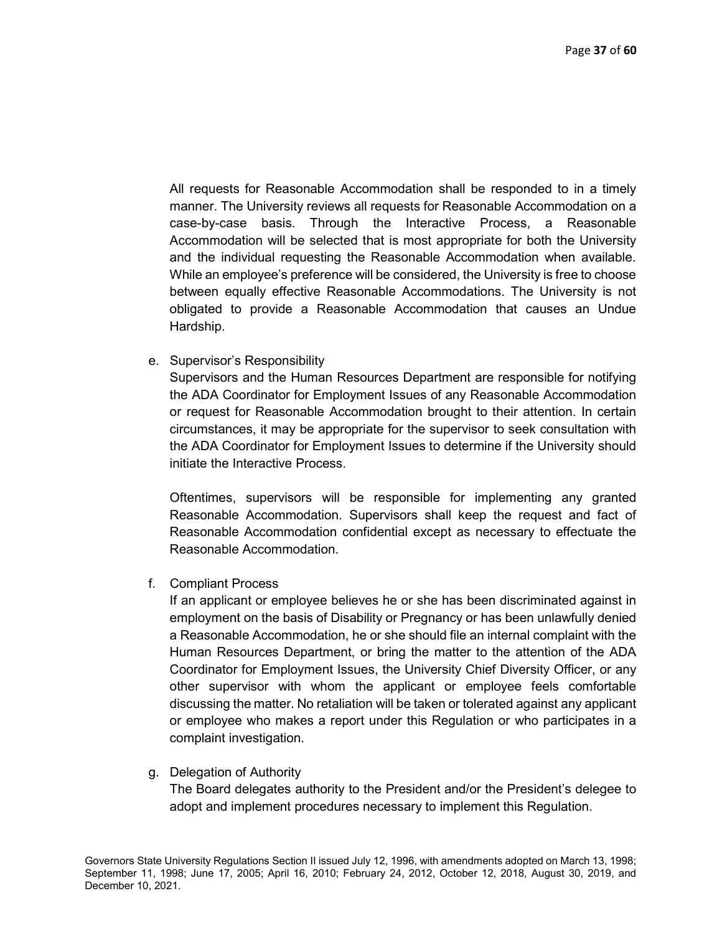All requests for Reasonable Accommodation shall be responded to in a timely manner. The University reviews all requests for Reasonable Accommodation on a case-by-case basis. Through the Interactive Process, a Reasonable Accommodation will be selected that is most appropriate for both the University and the individual requesting the Reasonable Accommodation when available. While an employee's preference will be considered, the University is free to choose between equally effective Reasonable Accommodations. The University is not obligated to provide a Reasonable Accommodation that causes an Undue Hardship.

e. Supervisor's Responsibility

Supervisors and the Human Resources Department are responsible for notifying the ADA Coordinator for Employment Issues of any Reasonable Accommodation or request for Reasonable Accommodation brought to their attention. In certain circumstances, it may be appropriate for the supervisor to seek consultation with the ADA Coordinator for Employment Issues to determine if the University should initiate the Interactive Process.

Oftentimes, supervisors will be responsible for implementing any granted Reasonable Accommodation. Supervisors shall keep the request and fact of Reasonable Accommodation confidential except as necessary to effectuate the Reasonable Accommodation.

f. Compliant Process

If an applicant or employee believes he or she has been discriminated against in employment on the basis of Disability or Pregnancy or has been unlawfully denied a Reasonable Accommodation, he or she should file an internal complaint with the Human Resources Department, or bring the matter to the attention of the ADA Coordinator for Employment Issues, the University Chief Diversity Officer, or any other supervisor with whom the applicant or employee feels comfortable discussing the matter. No retaliation will be taken or tolerated against any applicant or employee who makes a report under this Regulation or who participates in a complaint investigation.

g. Delegation of Authority

The Board delegates authority to the President and/or the President's delegee to adopt and implement procedures necessary to implement this Regulation.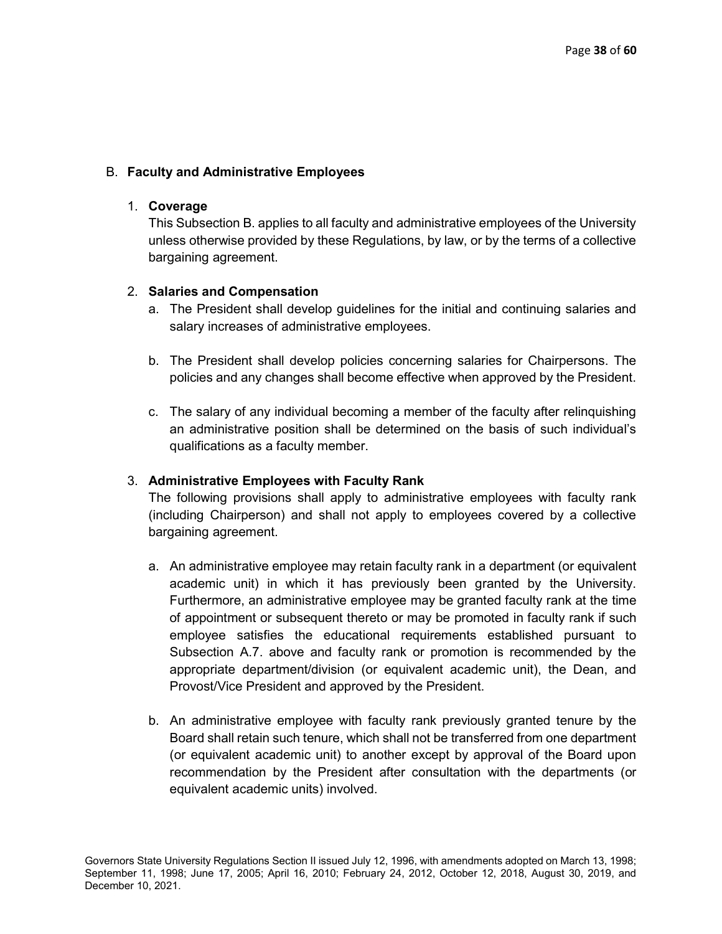### B. Faculty and Administrative Employees

#### 1. Coverage

This Subsection B. applies to all faculty and administrative employees of the University unless otherwise provided by these Regulations, by law, or by the terms of a collective bargaining agreement.

#### 2. Salaries and Compensation

- a. The President shall develop guidelines for the initial and continuing salaries and salary increases of administrative employees.
- b. The President shall develop policies concerning salaries for Chairpersons. The policies and any changes shall become effective when approved by the President.
- c. The salary of any individual becoming a member of the faculty after relinquishing an administrative position shall be determined on the basis of such individual's qualifications as a faculty member.

#### 3. Administrative Employees with Faculty Rank

The following provisions shall apply to administrative employees with faculty rank (including Chairperson) and shall not apply to employees covered by a collective bargaining agreement.

- a. An administrative employee may retain faculty rank in a department (or equivalent academic unit) in which it has previously been granted by the University. Furthermore, an administrative employee may be granted faculty rank at the time of appointment or subsequent thereto or may be promoted in faculty rank if such employee satisfies the educational requirements established pursuant to Subsection A.7. above and faculty rank or promotion is recommended by the appropriate department/division (or equivalent academic unit), the Dean, and Provost/Vice President and approved by the President.
- b. An administrative employee with faculty rank previously granted tenure by the Board shall retain such tenure, which shall not be transferred from one department (or equivalent academic unit) to another except by approval of the Board upon recommendation by the President after consultation with the departments (or equivalent academic units) involved.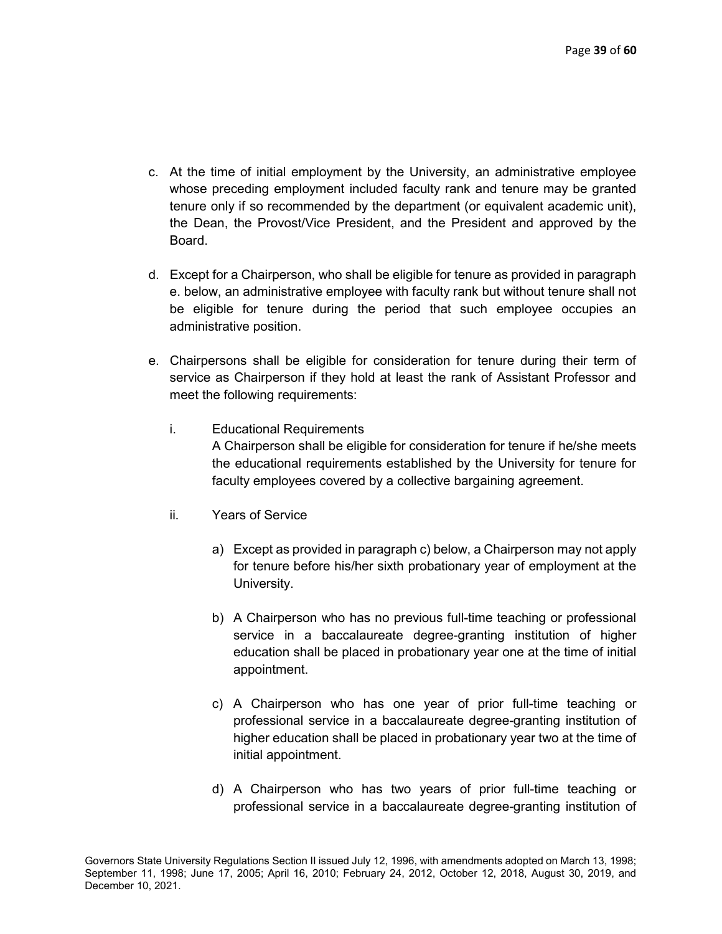- c. At the time of initial employment by the University, an administrative employee whose preceding employment included faculty rank and tenure may be granted tenure only if so recommended by the department (or equivalent academic unit), the Dean, the Provost/Vice President, and the President and approved by the Board.
- d. Except for a Chairperson, who shall be eligible for tenure as provided in paragraph e. below, an administrative employee with faculty rank but without tenure shall not be eligible for tenure during the period that such employee occupies an administrative position.
- e. Chairpersons shall be eligible for consideration for tenure during their term of service as Chairperson if they hold at least the rank of Assistant Professor and meet the following requirements:
	- i. Educational Requirements A Chairperson shall be eligible for consideration for tenure if he/she meets the educational requirements established by the University for tenure for faculty employees covered by a collective bargaining agreement.
	- ii. Years of Service
		- a) Except as provided in paragraph c) below, a Chairperson may not apply for tenure before his/her sixth probationary year of employment at the University.
		- b) A Chairperson who has no previous full-time teaching or professional service in a baccalaureate degree-granting institution of higher education shall be placed in probationary year one at the time of initial appointment.
		- c) A Chairperson who has one year of prior full-time teaching or professional service in a baccalaureate degree-granting institution of higher education shall be placed in probationary year two at the time of initial appointment.
		- d) A Chairperson who has two years of prior full-time teaching or professional service in a baccalaureate degree-granting institution of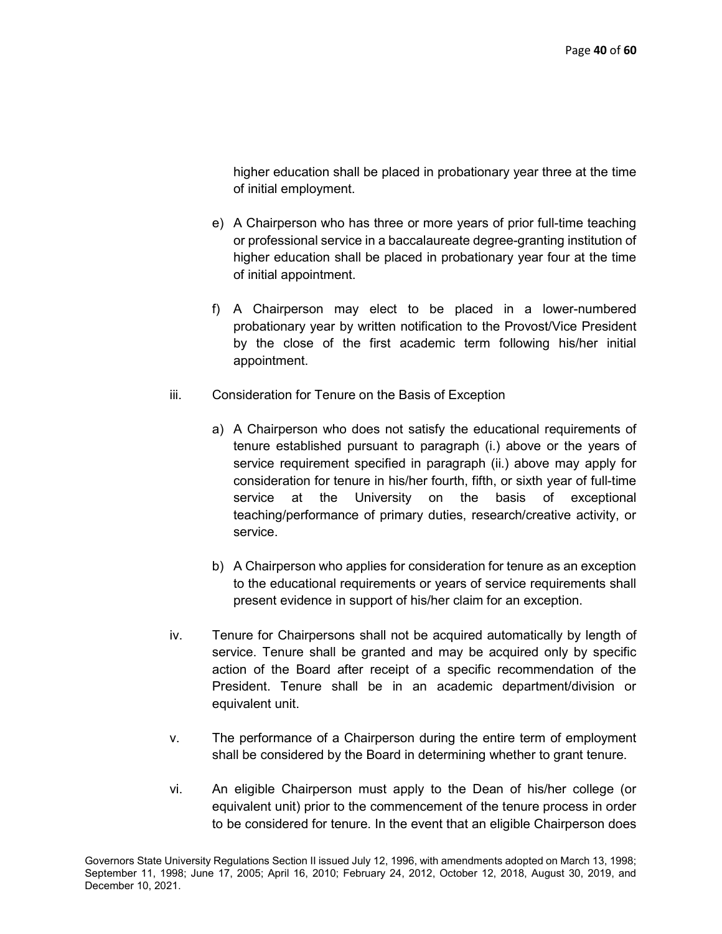higher education shall be placed in probationary year three at the time of initial employment.

- e) A Chairperson who has three or more years of prior full-time teaching or professional service in a baccalaureate degree-granting institution of higher education shall be placed in probationary year four at the time of initial appointment.
- f) A Chairperson may elect to be placed in a lower-numbered probationary year by written notification to the Provost/Vice President by the close of the first academic term following his/her initial appointment.
- iii. Consideration for Tenure on the Basis of Exception
	- a) A Chairperson who does not satisfy the educational requirements of tenure established pursuant to paragraph (i.) above or the years of service requirement specified in paragraph (ii.) above may apply for consideration for tenure in his/her fourth, fifth, or sixth year of full-time service at the University on the basis of exceptional teaching/performance of primary duties, research/creative activity, or service.
	- b) A Chairperson who applies for consideration for tenure as an exception to the educational requirements or years of service requirements shall present evidence in support of his/her claim for an exception.
- iv. Tenure for Chairpersons shall not be acquired automatically by length of service. Tenure shall be granted and may be acquired only by specific action of the Board after receipt of a specific recommendation of the President. Tenure shall be in an academic department/division or equivalent unit.
- v. The performance of a Chairperson during the entire term of employment shall be considered by the Board in determining whether to grant tenure.
- vi. An eligible Chairperson must apply to the Dean of his/her college (or equivalent unit) prior to the commencement of the tenure process in order to be considered for tenure. In the event that an eligible Chairperson does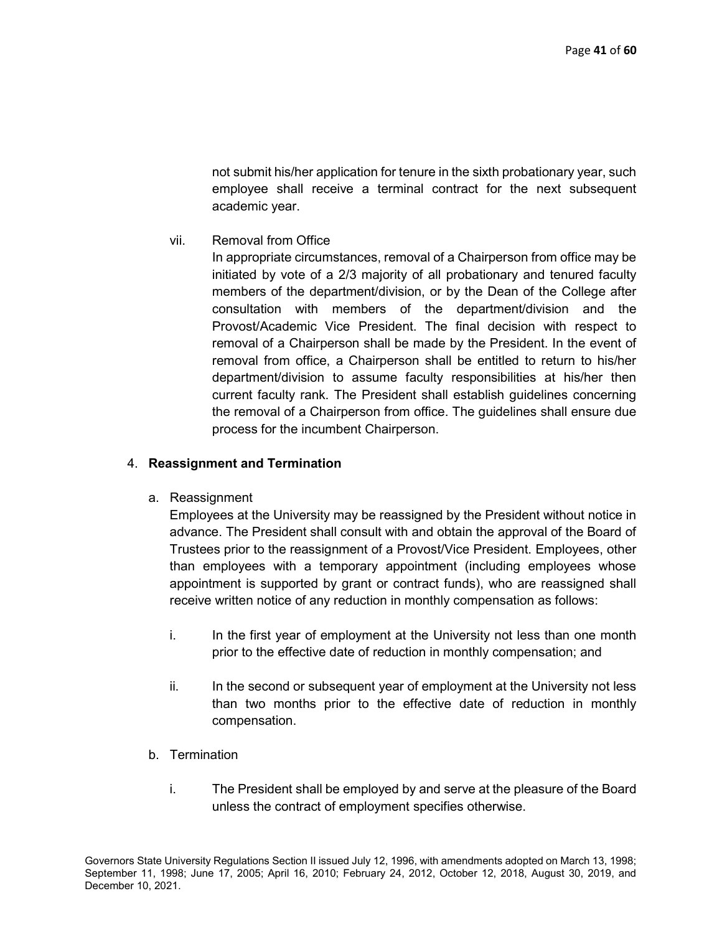not submit his/her application for tenure in the sixth probationary year, such employee shall receive a terminal contract for the next subsequent academic year.

vii. Removal from Office

In appropriate circumstances, removal of a Chairperson from office may be initiated by vote of a 2/3 majority of all probationary and tenured faculty members of the department/division, or by the Dean of the College after consultation with members of the department/division and the Provost/Academic Vice President. The final decision with respect to removal of a Chairperson shall be made by the President. In the event of removal from office, a Chairperson shall be entitled to return to his/her department/division to assume faculty responsibilities at his/her then current faculty rank. The President shall establish guidelines concerning the removal of a Chairperson from office. The guidelines shall ensure due process for the incumbent Chairperson.

#### 4. Reassignment and Termination

a. Reassignment

Employees at the University may be reassigned by the President without notice in advance. The President shall consult with and obtain the approval of the Board of Trustees prior to the reassignment of a Provost/Vice President. Employees, other than employees with a temporary appointment (including employees whose appointment is supported by grant or contract funds), who are reassigned shall receive written notice of any reduction in monthly compensation as follows:

- i. In the first year of employment at the University not less than one month prior to the effective date of reduction in monthly compensation; and
- ii. In the second or subsequent year of employment at the University not less than two months prior to the effective date of reduction in monthly compensation.
- b. Termination
	- i. The President shall be employed by and serve at the pleasure of the Board unless the contract of employment specifies otherwise.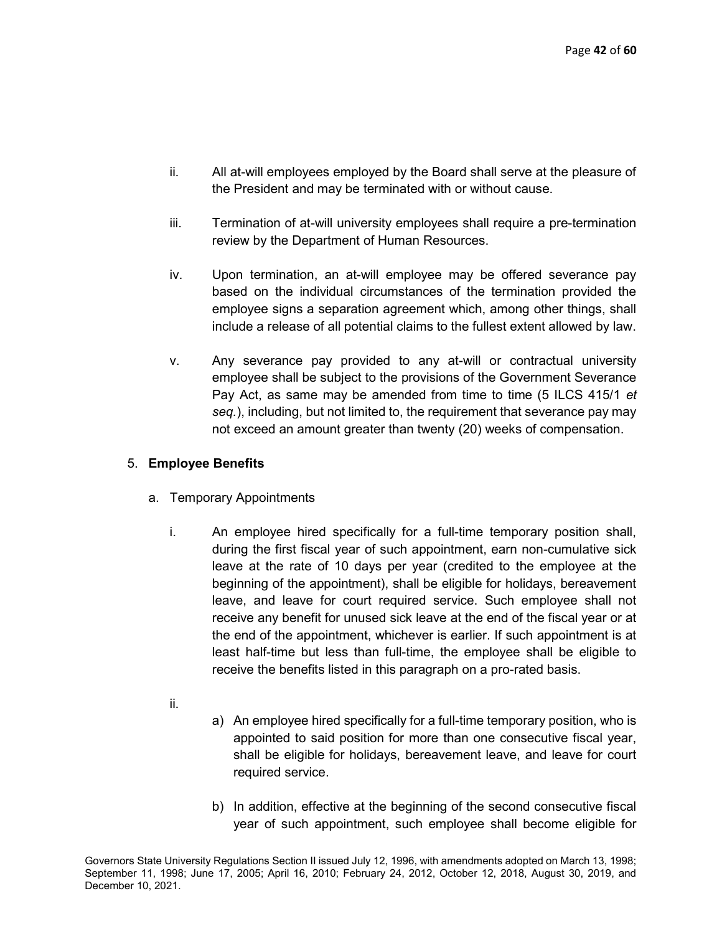- ii. All at-will employees employed by the Board shall serve at the pleasure of the President and may be terminated with or without cause.
- iii. Termination of at-will university employees shall require a pre-termination review by the Department of Human Resources.
- iv. Upon termination, an at-will employee may be offered severance pay based on the individual circumstances of the termination provided the employee signs a separation agreement which, among other things, shall include a release of all potential claims to the fullest extent allowed by law.
- v. Any severance pay provided to any at-will or contractual university employee shall be subject to the provisions of the Government Severance Pay Act, as same may be amended from time to time (5 ILCS 415/1 et seq.), including, but not limited to, the requirement that severance pay may not exceed an amount greater than twenty (20) weeks of compensation.

### 5. Employee Benefits

- a. Temporary Appointments
	- i. An employee hired specifically for a full-time temporary position shall, during the first fiscal year of such appointment, earn non-cumulative sick leave at the rate of 10 days per year (credited to the employee at the beginning of the appointment), shall be eligible for holidays, bereavement leave, and leave for court required service. Such employee shall not receive any benefit for unused sick leave at the end of the fiscal year or at the end of the appointment, whichever is earlier. If such appointment is at least half-time but less than full-time, the employee shall be eligible to receive the benefits listed in this paragraph on a pro-rated basis.
	- ii.
- a) An employee hired specifically for a full-time temporary position, who is appointed to said position for more than one consecutive fiscal year, shall be eligible for holidays, bereavement leave, and leave for court required service.
- b) In addition, effective at the beginning of the second consecutive fiscal year of such appointment, such employee shall become eligible for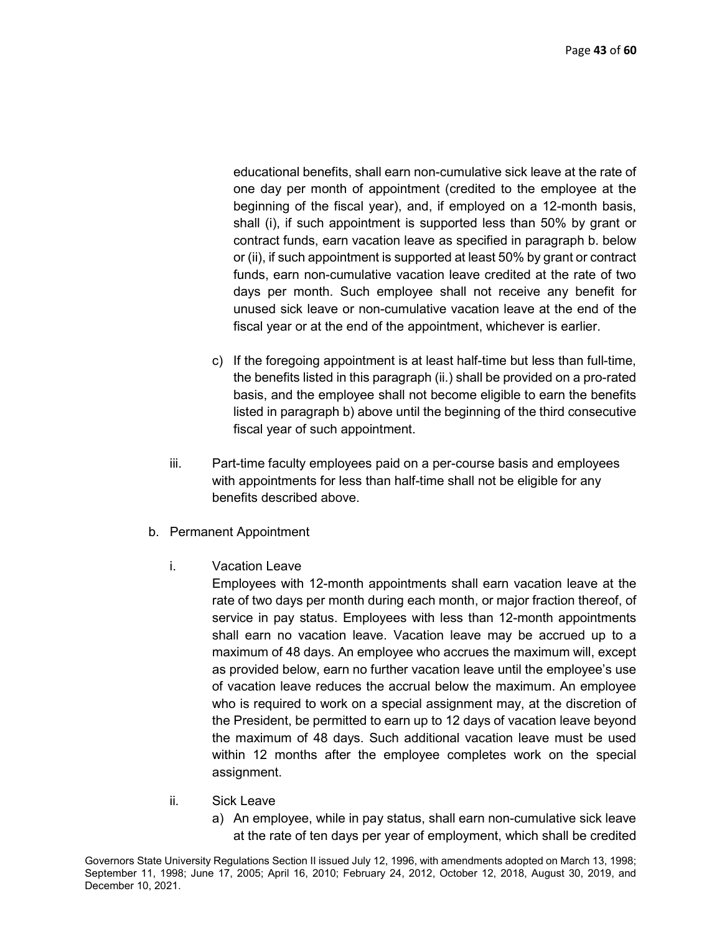educational benefits, shall earn non-cumulative sick leave at the rate of one day per month of appointment (credited to the employee at the beginning of the fiscal year), and, if employed on a 12-month basis, shall (i), if such appointment is supported less than 50% by grant or contract funds, earn vacation leave as specified in paragraph b. below or (ii), if such appointment is supported at least 50% by grant or contract funds, earn non-cumulative vacation leave credited at the rate of two days per month. Such employee shall not receive any benefit for unused sick leave or non-cumulative vacation leave at the end of the fiscal year or at the end of the appointment, whichever is earlier.

- c) If the foregoing appointment is at least half-time but less than full-time, the benefits listed in this paragraph (ii.) shall be provided on a pro-rated basis, and the employee shall not become eligible to earn the benefits listed in paragraph b) above until the beginning of the third consecutive fiscal year of such appointment.
- iii. Part-time faculty employees paid on a per-course basis and employees with appointments for less than half-time shall not be eligible for any benefits described above.
- b. Permanent Appointment
	- i. Vacation Leave

Employees with 12-month appointments shall earn vacation leave at the rate of two days per month during each month, or major fraction thereof, of service in pay status. Employees with less than 12-month appointments shall earn no vacation leave. Vacation leave may be accrued up to a maximum of 48 days. An employee who accrues the maximum will, except as provided below, earn no further vacation leave until the employee's use of vacation leave reduces the accrual below the maximum. An employee who is required to work on a special assignment may, at the discretion of the President, be permitted to earn up to 12 days of vacation leave beyond the maximum of 48 days. Such additional vacation leave must be used within 12 months after the employee completes work on the special assignment.

- ii. Sick Leave
	- a) An employee, while in pay status, shall earn non-cumulative sick leave at the rate of ten days per year of employment, which shall be credited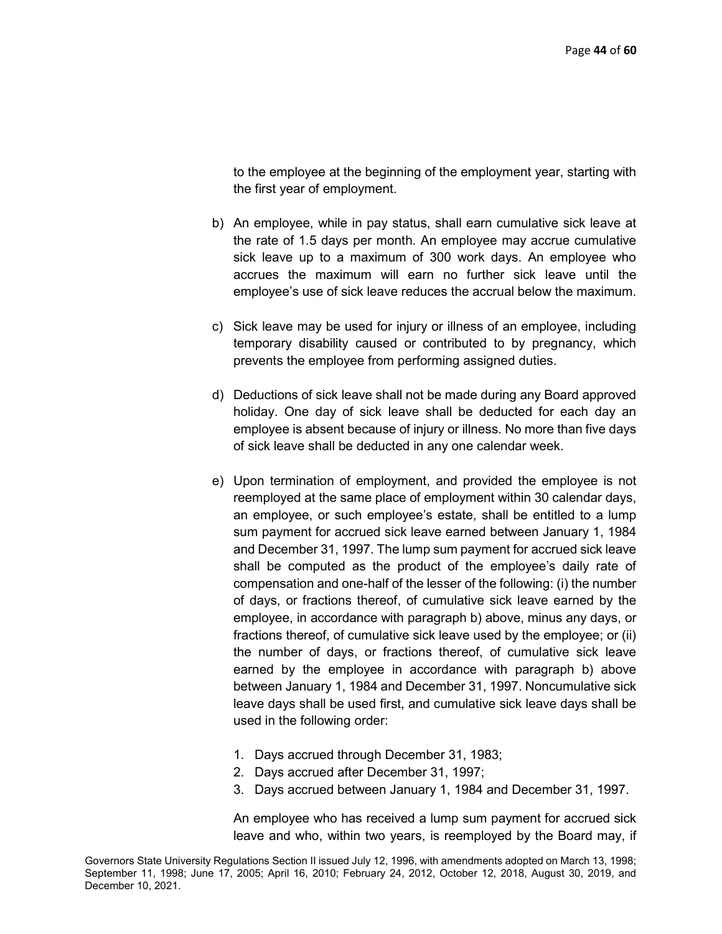to the employee at the beginning of the employment year, starting with the first year of employment.

- b) An employee, while in pay status, shall earn cumulative sick leave at the rate of 1.5 days per month. An employee may accrue cumulative sick leave up to a maximum of 300 work days. An employee who accrues the maximum will earn no further sick leave until the employee's use of sick leave reduces the accrual below the maximum.
- c) Sick leave may be used for injury or illness of an employee, including temporary disability caused or contributed to by pregnancy, which prevents the employee from performing assigned duties.
- d) Deductions of sick leave shall not be made during any Board approved holiday. One day of sick leave shall be deducted for each day an employee is absent because of injury or illness. No more than five days of sick leave shall be deducted in any one calendar week.
- e) Upon termination of employment, and provided the employee is not reemployed at the same place of employment within 30 calendar days, an employee, or such employee's estate, shall be entitled to a lump sum payment for accrued sick leave earned between January 1, 1984 and December 31, 1997. The lump sum payment for accrued sick leave shall be computed as the product of the employee's daily rate of compensation and one-half of the lesser of the following: (i) the number of days, or fractions thereof, of cumulative sick leave earned by the employee, in accordance with paragraph b) above, minus any days, or fractions thereof, of cumulative sick leave used by the employee; or (ii) the number of days, or fractions thereof, of cumulative sick leave earned by the employee in accordance with paragraph b) above between January 1, 1984 and December 31, 1997. Noncumulative sick leave days shall be used first, and cumulative sick leave days shall be used in the following order:
	- 1. Days accrued through December 31, 1983;
	- 2. Days accrued after December 31, 1997;
	- 3. Days accrued between January 1, 1984 and December 31, 1997.

An employee who has received a lump sum payment for accrued sick leave and who, within two years, is reemployed by the Board may, if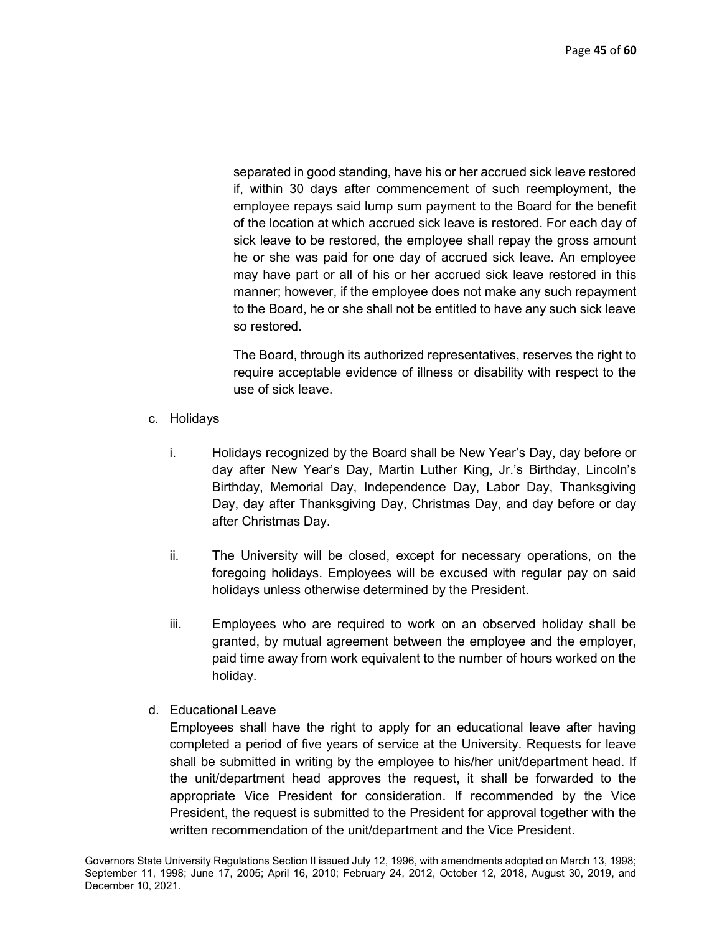separated in good standing, have his or her accrued sick leave restored if, within 30 days after commencement of such reemployment, the employee repays said lump sum payment to the Board for the benefit of the location at which accrued sick leave is restored. For each day of sick leave to be restored, the employee shall repay the gross amount he or she was paid for one day of accrued sick leave. An employee may have part or all of his or her accrued sick leave restored in this manner; however, if the employee does not make any such repayment to the Board, he or she shall not be entitled to have any such sick leave so restored.

The Board, through its authorized representatives, reserves the right to require acceptable evidence of illness or disability with respect to the use of sick leave.

- c. Holidays
	- i. Holidays recognized by the Board shall be New Year's Day, day before or day after New Year's Day, Martin Luther King, Jr.'s Birthday, Lincoln's Birthday, Memorial Day, Independence Day, Labor Day, Thanksgiving Day, day after Thanksgiving Day, Christmas Day, and day before or day after Christmas Day.
	- ii. The University will be closed, except for necessary operations, on the foregoing holidays. Employees will be excused with regular pay on said holidays unless otherwise determined by the President.
	- iii. Employees who are required to work on an observed holiday shall be granted, by mutual agreement between the employee and the employer, paid time away from work equivalent to the number of hours worked on the holiday.
- d. Educational Leave

Employees shall have the right to apply for an educational leave after having completed a period of five years of service at the University. Requests for leave shall be submitted in writing by the employee to his/her unit/department head. If the unit/department head approves the request, it shall be forwarded to the appropriate Vice President for consideration. If recommended by the Vice President, the request is submitted to the President for approval together with the written recommendation of the unit/department and the Vice President.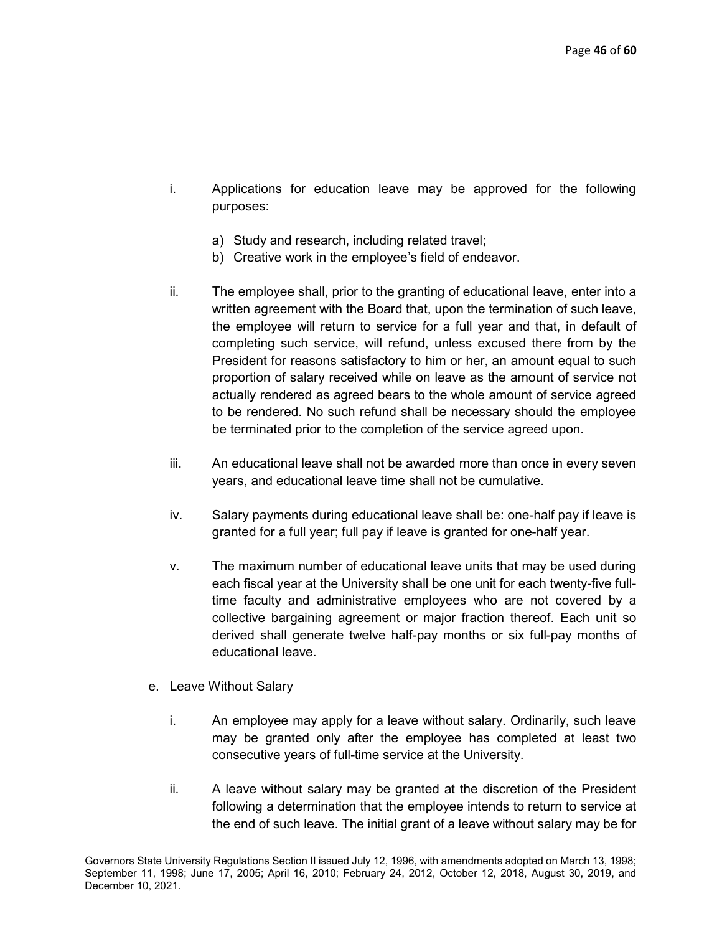- i. Applications for education leave may be approved for the following purposes:
	- a) Study and research, including related travel;
	- b) Creative work in the employee's field of endeavor.
- ii. The employee shall, prior to the granting of educational leave, enter into a written agreement with the Board that, upon the termination of such leave, the employee will return to service for a full year and that, in default of completing such service, will refund, unless excused there from by the President for reasons satisfactory to him or her, an amount equal to such proportion of salary received while on leave as the amount of service not actually rendered as agreed bears to the whole amount of service agreed to be rendered. No such refund shall be necessary should the employee be terminated prior to the completion of the service agreed upon.
- iii. An educational leave shall not be awarded more than once in every seven years, and educational leave time shall not be cumulative.
- iv. Salary payments during educational leave shall be: one-half pay if leave is granted for a full year; full pay if leave is granted for one-half year.
- v. The maximum number of educational leave units that may be used during each fiscal year at the University shall be one unit for each twenty-five fulltime faculty and administrative employees who are not covered by a collective bargaining agreement or major fraction thereof. Each unit so derived shall generate twelve half-pay months or six full-pay months of educational leave.
- e. Leave Without Salary
	- i. An employee may apply for a leave without salary. Ordinarily, such leave may be granted only after the employee has completed at least two consecutive years of full-time service at the University.
	- ii. A leave without salary may be granted at the discretion of the President following a determination that the employee intends to return to service at the end of such leave. The initial grant of a leave without salary may be for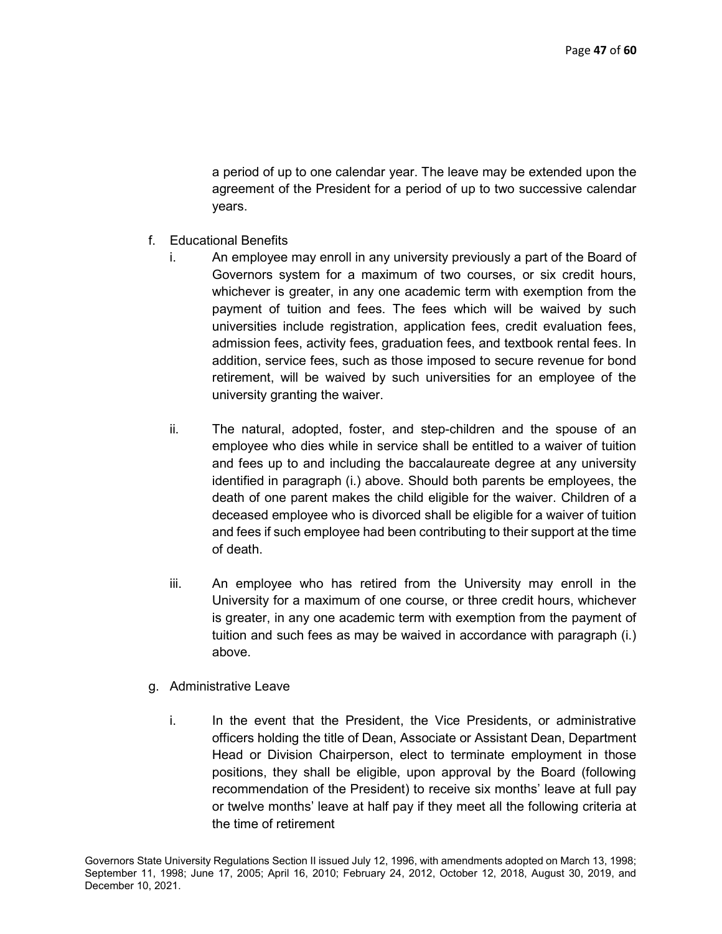a period of up to one calendar year. The leave may be extended upon the agreement of the President for a period of up to two successive calendar years.

- f. Educational Benefits
	- i. An employee may enroll in any university previously a part of the Board of Governors system for a maximum of two courses, or six credit hours, whichever is greater, in any one academic term with exemption from the payment of tuition and fees. The fees which will be waived by such universities include registration, application fees, credit evaluation fees, admission fees, activity fees, graduation fees, and textbook rental fees. In addition, service fees, such as those imposed to secure revenue for bond retirement, will be waived by such universities for an employee of the university granting the waiver.
	- ii. The natural, adopted, foster, and step-children and the spouse of an employee who dies while in service shall be entitled to a waiver of tuition and fees up to and including the baccalaureate degree at any university identified in paragraph (i.) above. Should both parents be employees, the death of one parent makes the child eligible for the waiver. Children of a deceased employee who is divorced shall be eligible for a waiver of tuition and fees if such employee had been contributing to their support at the time of death.
	- iii. An employee who has retired from the University may enroll in the University for a maximum of one course, or three credit hours, whichever is greater, in any one academic term with exemption from the payment of tuition and such fees as may be waived in accordance with paragraph (i.) above.
- g. Administrative Leave
	- i. In the event that the President, the Vice Presidents, or administrative officers holding the title of Dean, Associate or Assistant Dean, Department Head or Division Chairperson, elect to terminate employment in those positions, they shall be eligible, upon approval by the Board (following recommendation of the President) to receive six months' leave at full pay or twelve months' leave at half pay if they meet all the following criteria at the time of retirement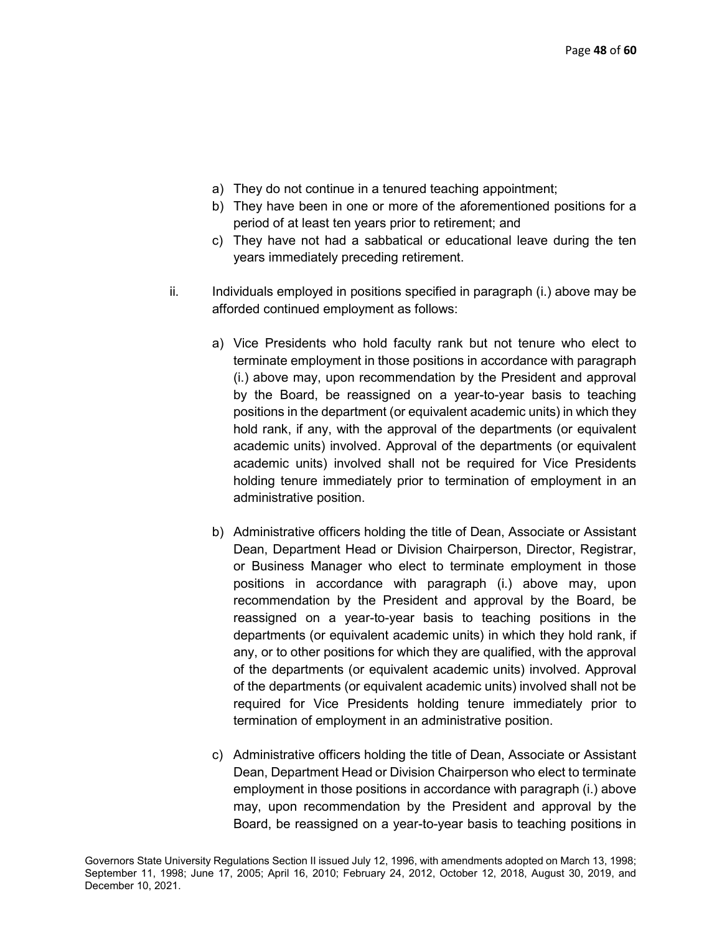- a) They do not continue in a tenured teaching appointment;
- b) They have been in one or more of the aforementioned positions for a period of at least ten years prior to retirement; and
- c) They have not had a sabbatical or educational leave during the ten years immediately preceding retirement.
- ii. Individuals employed in positions specified in paragraph (i.) above may be afforded continued employment as follows:
	- a) Vice Presidents who hold faculty rank but not tenure who elect to terminate employment in those positions in accordance with paragraph (i.) above may, upon recommendation by the President and approval by the Board, be reassigned on a year-to-year basis to teaching positions in the department (or equivalent academic units) in which they hold rank, if any, with the approval of the departments (or equivalent academic units) involved. Approval of the departments (or equivalent academic units) involved shall not be required for Vice Presidents holding tenure immediately prior to termination of employment in an administrative position.
	- b) Administrative officers holding the title of Dean, Associate or Assistant Dean, Department Head or Division Chairperson, Director, Registrar, or Business Manager who elect to terminate employment in those positions in accordance with paragraph (i.) above may, upon recommendation by the President and approval by the Board, be reassigned on a year-to-year basis to teaching positions in the departments (or equivalent academic units) in which they hold rank, if any, or to other positions for which they are qualified, with the approval of the departments (or equivalent academic units) involved. Approval of the departments (or equivalent academic units) involved shall not be required for Vice Presidents holding tenure immediately prior to termination of employment in an administrative position.
	- c) Administrative officers holding the title of Dean, Associate or Assistant Dean, Department Head or Division Chairperson who elect to terminate employment in those positions in accordance with paragraph (i.) above may, upon recommendation by the President and approval by the Board, be reassigned on a year-to-year basis to teaching positions in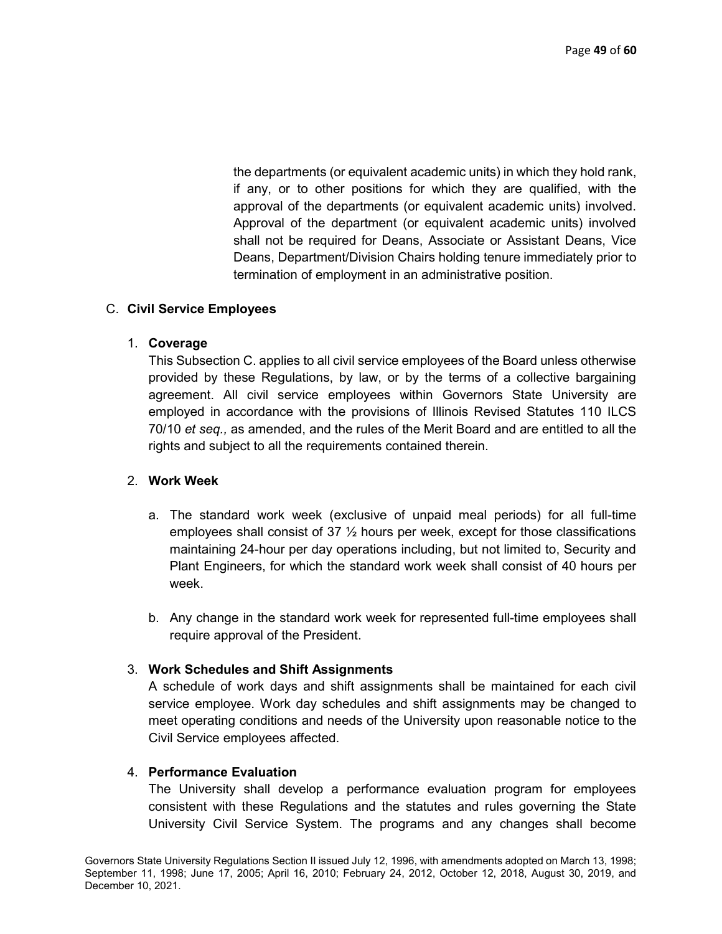the departments (or equivalent academic units) in which they hold rank, if any, or to other positions for which they are qualified, with the approval of the departments (or equivalent academic units) involved. Approval of the department (or equivalent academic units) involved shall not be required for Deans, Associate or Assistant Deans, Vice Deans, Department/Division Chairs holding tenure immediately prior to termination of employment in an administrative position.

### C. Civil Service Employees

#### 1. Coverage

This Subsection C. applies to all civil service employees of the Board unless otherwise provided by these Regulations, by law, or by the terms of a collective bargaining agreement. All civil service employees within Governors State University are employed in accordance with the provisions of Illinois Revised Statutes 110 ILCS 70/10 et seq., as amended, and the rules of the Merit Board and are entitled to all the rights and subject to all the requirements contained therein.

#### 2. Work Week

- a. The standard work week (exclusive of unpaid meal periods) for all full-time employees shall consist of 37  $\frac{1}{2}$  hours per week, except for those classifications maintaining 24-hour per day operations including, but not limited to, Security and Plant Engineers, for which the standard work week shall consist of 40 hours per week.
- b. Any change in the standard work week for represented full-time employees shall require approval of the President.

#### 3. Work Schedules and Shift Assignments

A schedule of work days and shift assignments shall be maintained for each civil service employee. Work day schedules and shift assignments may be changed to meet operating conditions and needs of the University upon reasonable notice to the Civil Service employees affected.

### 4. Performance Evaluation

The University shall develop a performance evaluation program for employees consistent with these Regulations and the statutes and rules governing the State University Civil Service System. The programs and any changes shall become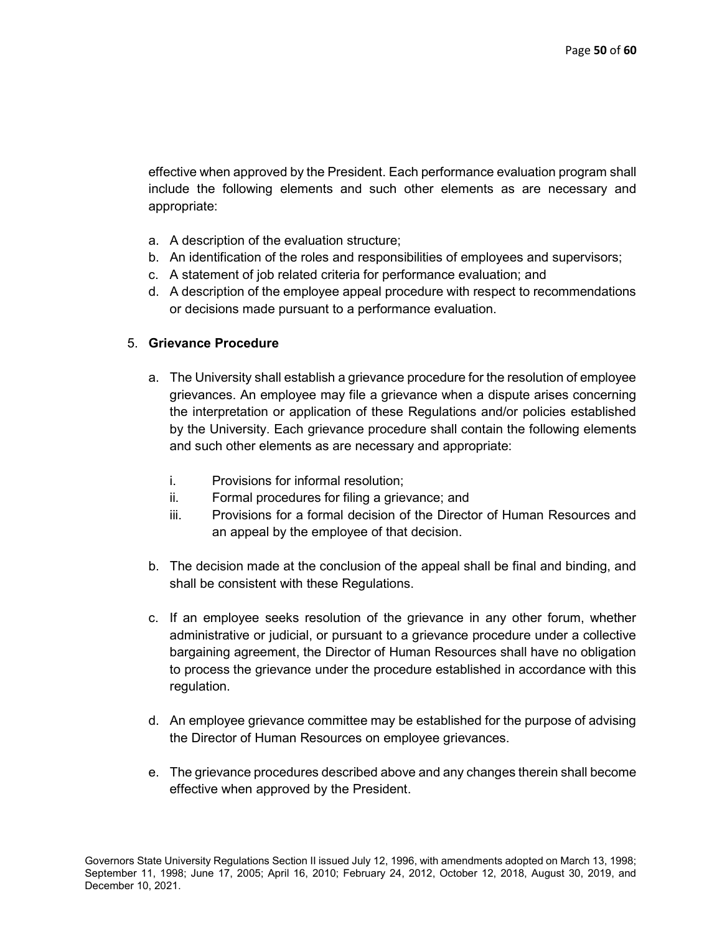effective when approved by the President. Each performance evaluation program shall include the following elements and such other elements as are necessary and appropriate:

- a. A description of the evaluation structure;
- b. An identification of the roles and responsibilities of employees and supervisors;
- c. A statement of job related criteria for performance evaluation; and
- d. A description of the employee appeal procedure with respect to recommendations or decisions made pursuant to a performance evaluation.

### 5. Grievance Procedure

- a. The University shall establish a grievance procedure for the resolution of employee grievances. An employee may file a grievance when a dispute arises concerning the interpretation or application of these Regulations and/or policies established by the University. Each grievance procedure shall contain the following elements and such other elements as are necessary and appropriate:
	- i. Provisions for informal resolution;
	- ii. Formal procedures for filing a grievance; and
	- iii. Provisions for a formal decision of the Director of Human Resources and an appeal by the employee of that decision.
- b. The decision made at the conclusion of the appeal shall be final and binding, and shall be consistent with these Regulations.
- c. If an employee seeks resolution of the grievance in any other forum, whether administrative or judicial, or pursuant to a grievance procedure under a collective bargaining agreement, the Director of Human Resources shall have no obligation to process the grievance under the procedure established in accordance with this regulation.
- d. An employee grievance committee may be established for the purpose of advising the Director of Human Resources on employee grievances.
- e. The grievance procedures described above and any changes therein shall become effective when approved by the President.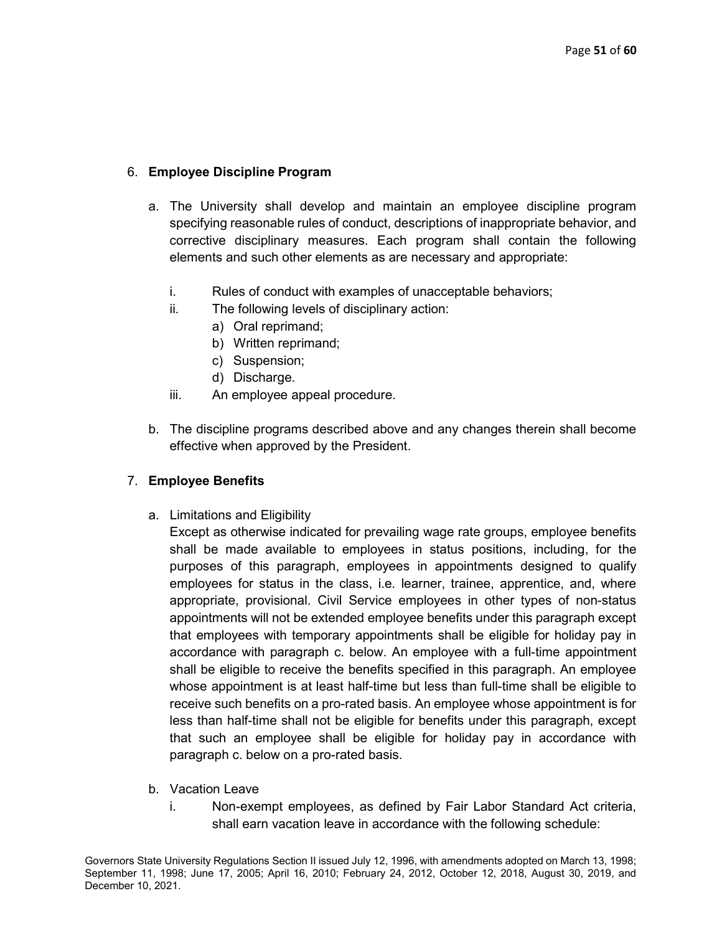### 6. Employee Discipline Program

- a. The University shall develop and maintain an employee discipline program specifying reasonable rules of conduct, descriptions of inappropriate behavior, and corrective disciplinary measures. Each program shall contain the following elements and such other elements as are necessary and appropriate:
	- i. Rules of conduct with examples of unacceptable behaviors;
	- ii. The following levels of disciplinary action:
		- a) Oral reprimand;
		- b) Written reprimand;
		- c) Suspension;
		- d) Discharge.
	- iii. An employee appeal procedure.
- b. The discipline programs described above and any changes therein shall become effective when approved by the President.

#### 7. Employee Benefits

a. Limitations and Eligibility

Except as otherwise indicated for prevailing wage rate groups, employee benefits shall be made available to employees in status positions, including, for the purposes of this paragraph, employees in appointments designed to qualify employees for status in the class, i.e. learner, trainee, apprentice, and, where appropriate, provisional. Civil Service employees in other types of non-status appointments will not be extended employee benefits under this paragraph except that employees with temporary appointments shall be eligible for holiday pay in accordance with paragraph c. below. An employee with a full-time appointment shall be eligible to receive the benefits specified in this paragraph. An employee whose appointment is at least half-time but less than full-time shall be eligible to receive such benefits on a pro-rated basis. An employee whose appointment is for less than half-time shall not be eligible for benefits under this paragraph, except that such an employee shall be eligible for holiday pay in accordance with paragraph c. below on a pro-rated basis.

- b. Vacation Leave
	- i. Non-exempt employees, as defined by Fair Labor Standard Act criteria, shall earn vacation leave in accordance with the following schedule:

Governors State University Regulations Section II issued July 12, 1996, with amendments adopted on March 13, 1998; September 11, 1998; June 17, 2005; April 16, 2010; February 24, 2012, October 12, 2018, August 30, 2019, and December 10, 2021.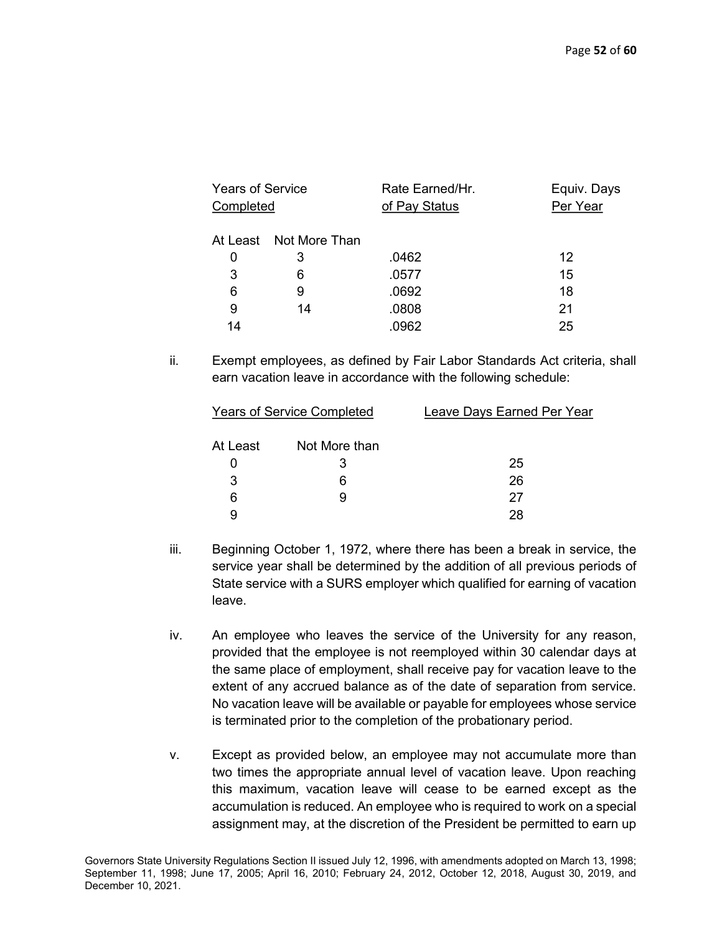|  | <b>Years of Service</b><br>Completed |                        | Rate Earned/Hr.<br>of Pay Status | Equiv. Days |
|--|--------------------------------------|------------------------|----------------------------------|-------------|
|  |                                      |                        |                                  | Per Year    |
|  |                                      |                        |                                  |             |
|  |                                      | At Least Not More Than |                                  |             |
|  | 0                                    | 3                      | .0462                            | 12          |
|  | 3                                    | 6                      | .0577                            | 15          |
|  | 6                                    | 9                      | .0692                            | 18          |
|  | 9                                    | 14                     | .0808                            | 21          |
|  | 14                                   |                        | .0962                            | 25          |

ii. Exempt employees, as defined by Fair Labor Standards Act criteria, shall earn vacation leave in accordance with the following schedule:

|          | <b>Years of Service Completed</b> | Leave Days Earned Per Year |
|----------|-----------------------------------|----------------------------|
| At Least | Not More than                     |                            |
|          | З                                 | 25                         |
| 3        | 6                                 | 26                         |
| 6        |                                   | 27                         |
|          |                                   |                            |

- iii. Beginning October 1, 1972, where there has been a break in service, the service year shall be determined by the addition of all previous periods of State service with a SURS employer which qualified for earning of vacation leave.
- iv. An employee who leaves the service of the University for any reason, provided that the employee is not reemployed within 30 calendar days at the same place of employment, shall receive pay for vacation leave to the extent of any accrued balance as of the date of separation from service. No vacation leave will be available or payable for employees whose service is terminated prior to the completion of the probationary period.
- v. Except as provided below, an employee may not accumulate more than two times the appropriate annual level of vacation leave. Upon reaching this maximum, vacation leave will cease to be earned except as the accumulation is reduced. An employee who is required to work on a special assignment may, at the discretion of the President be permitted to earn up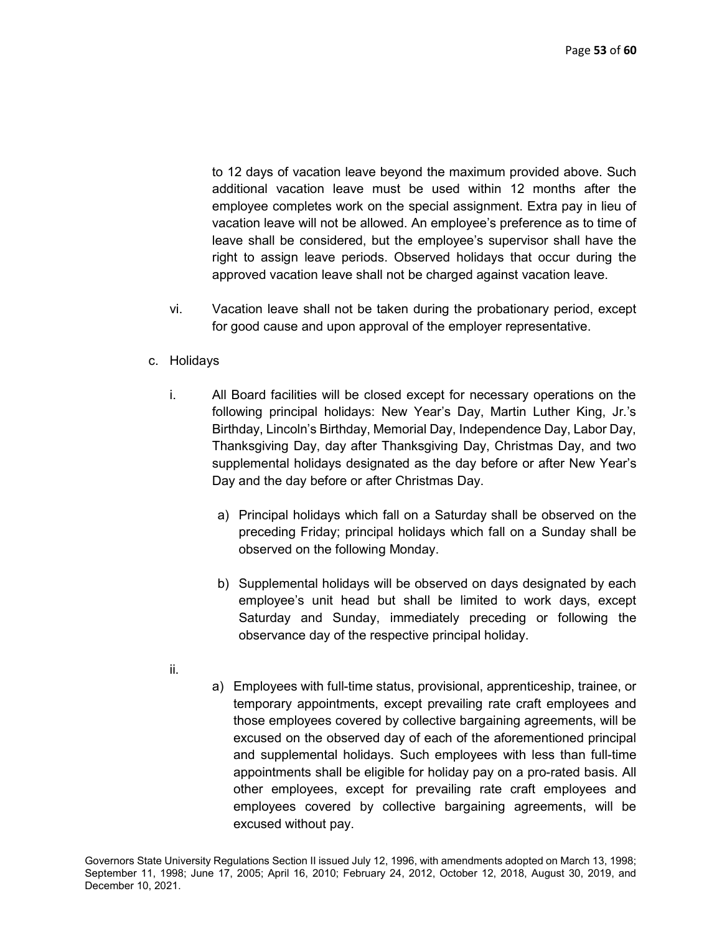to 12 days of vacation leave beyond the maximum provided above. Such additional vacation leave must be used within 12 months after the employee completes work on the special assignment. Extra pay in lieu of vacation leave will not be allowed. An employee's preference as to time of leave shall be considered, but the employee's supervisor shall have the right to assign leave periods. Observed holidays that occur during the approved vacation leave shall not be charged against vacation leave.

- vi. Vacation leave shall not be taken during the probationary period, except for good cause and upon approval of the employer representative.
- c. Holidays
	- i. All Board facilities will be closed except for necessary operations on the following principal holidays: New Year's Day, Martin Luther King, Jr.'s Birthday, Lincoln's Birthday, Memorial Day, Independence Day, Labor Day, Thanksgiving Day, day after Thanksgiving Day, Christmas Day, and two supplemental holidays designated as the day before or after New Year's Day and the day before or after Christmas Day.
		- a) Principal holidays which fall on a Saturday shall be observed on the preceding Friday; principal holidays which fall on a Sunday shall be observed on the following Monday.
		- b) Supplemental holidays will be observed on days designated by each employee's unit head but shall be limited to work days, except Saturday and Sunday, immediately preceding or following the observance day of the respective principal holiday.
	- ii.
- a) Employees with full-time status, provisional, apprenticeship, trainee, or temporary appointments, except prevailing rate craft employees and those employees covered by collective bargaining agreements, will be excused on the observed day of each of the aforementioned principal and supplemental holidays. Such employees with less than full-time appointments shall be eligible for holiday pay on a pro-rated basis. All other employees, except for prevailing rate craft employees and employees covered by collective bargaining agreements, will be excused without pay.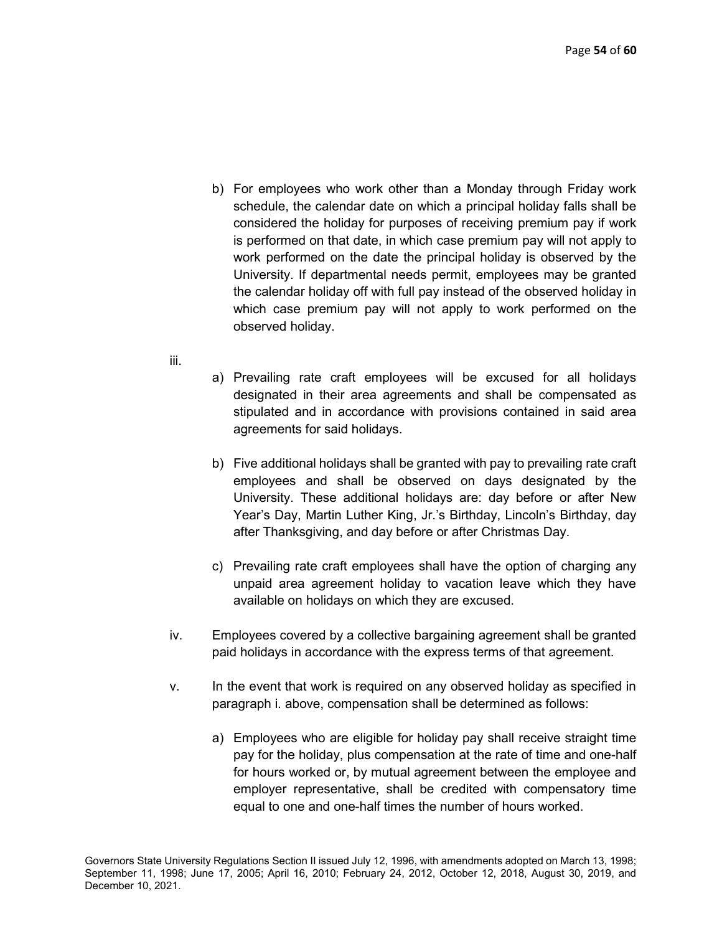- b) For employees who work other than a Monday through Friday work schedule, the calendar date on which a principal holiday falls shall be considered the holiday for purposes of receiving premium pay if work is performed on that date, in which case premium pay will not apply to work performed on the date the principal holiday is observed by the University. If departmental needs permit, employees may be granted the calendar holiday off with full pay instead of the observed holiday in which case premium pay will not apply to work performed on the observed holiday.
- iii.
- a) Prevailing rate craft employees will be excused for all holidays designated in their area agreements and shall be compensated as stipulated and in accordance with provisions contained in said area agreements for said holidays.
- b) Five additional holidays shall be granted with pay to prevailing rate craft employees and shall be observed on days designated by the University. These additional holidays are: day before or after New Year's Day, Martin Luther King, Jr.'s Birthday, Lincoln's Birthday, day after Thanksgiving, and day before or after Christmas Day.
- c) Prevailing rate craft employees shall have the option of charging any unpaid area agreement holiday to vacation leave which they have available on holidays on which they are excused.
- iv. Employees covered by a collective bargaining agreement shall be granted paid holidays in accordance with the express terms of that agreement.
- v. In the event that work is required on any observed holiday as specified in paragraph i. above, compensation shall be determined as follows:
	- a) Employees who are eligible for holiday pay shall receive straight time pay for the holiday, plus compensation at the rate of time and one-half for hours worked or, by mutual agreement between the employee and employer representative, shall be credited with compensatory time equal to one and one-half times the number of hours worked.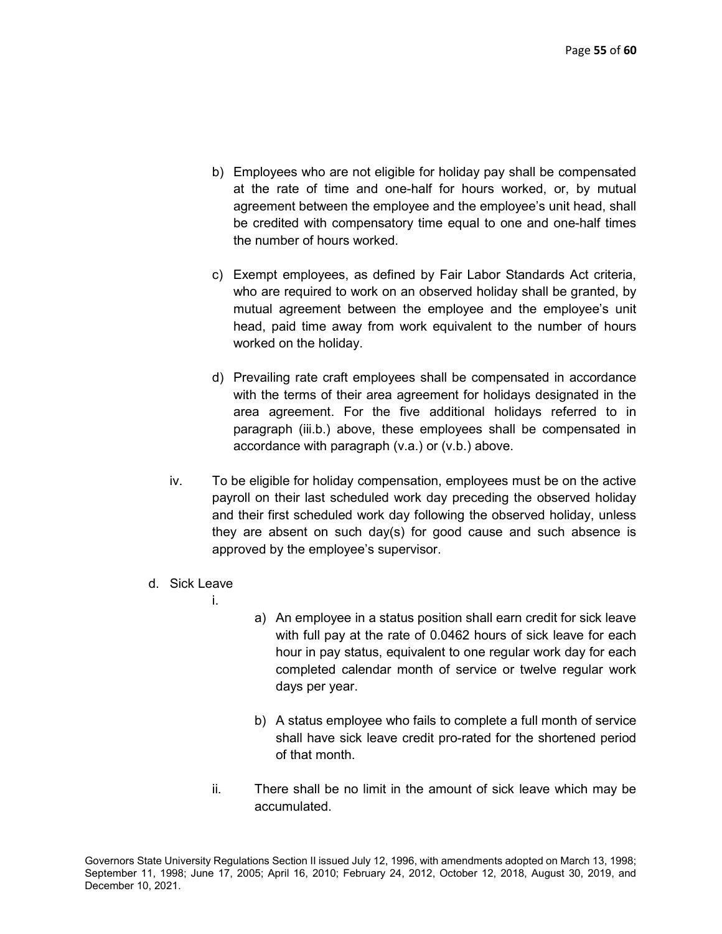- b) Employees who are not eligible for holiday pay shall be compensated at the rate of time and one-half for hours worked, or, by mutual agreement between the employee and the employee's unit head, shall be credited with compensatory time equal to one and one-half times the number of hours worked.
- c) Exempt employees, as defined by Fair Labor Standards Act criteria, who are required to work on an observed holiday shall be granted, by mutual agreement between the employee and the employee's unit head, paid time away from work equivalent to the number of hours worked on the holiday.
- d) Prevailing rate craft employees shall be compensated in accordance with the terms of their area agreement for holidays designated in the area agreement. For the five additional holidays referred to in paragraph (iii.b.) above, these employees shall be compensated in accordance with paragraph (v.a.) or (v.b.) above.
- iv. To be eligible for holiday compensation, employees must be on the active payroll on their last scheduled work day preceding the observed holiday and their first scheduled work day following the observed holiday, unless they are absent on such day(s) for good cause and such absence is approved by the employee's supervisor.
- d. Sick Leave
	- i.
- a) An employee in a status position shall earn credit for sick leave with full pay at the rate of 0.0462 hours of sick leave for each hour in pay status, equivalent to one regular work day for each completed calendar month of service or twelve regular work days per year.
- b) A status employee who fails to complete a full month of service shall have sick leave credit pro-rated for the shortened period of that month.
- ii. There shall be no limit in the amount of sick leave which may be accumulated.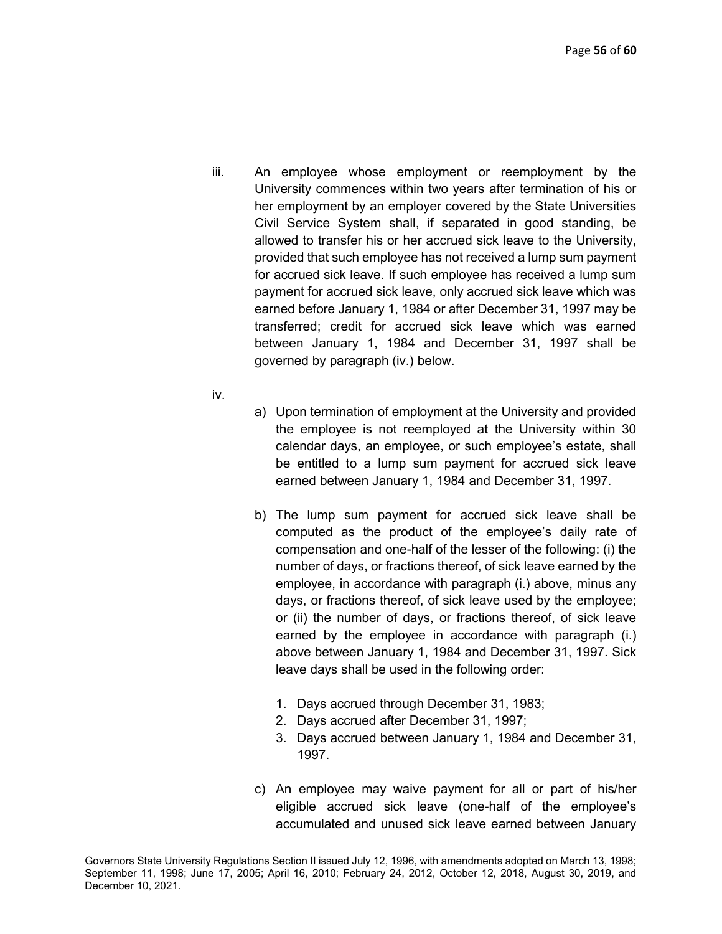- iii. An employee whose employment or reemployment by the University commences within two years after termination of his or her employment by an employer covered by the State Universities Civil Service System shall, if separated in good standing, be allowed to transfer his or her accrued sick leave to the University, provided that such employee has not received a lump sum payment for accrued sick leave. If such employee has received a lump sum payment for accrued sick leave, only accrued sick leave which was earned before January 1, 1984 or after December 31, 1997 may be transferred; credit for accrued sick leave which was earned between January 1, 1984 and December 31, 1997 shall be governed by paragraph (iv.) below.
- iv.
- a) Upon termination of employment at the University and provided the employee is not reemployed at the University within 30 calendar days, an employee, or such employee's estate, shall be entitled to a lump sum payment for accrued sick leave earned between January 1, 1984 and December 31, 1997.
- b) The lump sum payment for accrued sick leave shall be computed as the product of the employee's daily rate of compensation and one-half of the lesser of the following: (i) the number of days, or fractions thereof, of sick leave earned by the employee, in accordance with paragraph (i.) above, minus any days, or fractions thereof, of sick leave used by the employee; or (ii) the number of days, or fractions thereof, of sick leave earned by the employee in accordance with paragraph (i.) above between January 1, 1984 and December 31, 1997. Sick leave days shall be used in the following order:
	- 1. Days accrued through December 31, 1983;
	- 2. Days accrued after December 31, 1997;
	- 3. Days accrued between January 1, 1984 and December 31, 1997.
- c) An employee may waive payment for all or part of his/her eligible accrued sick leave (one-half of the employee's accumulated and unused sick leave earned between January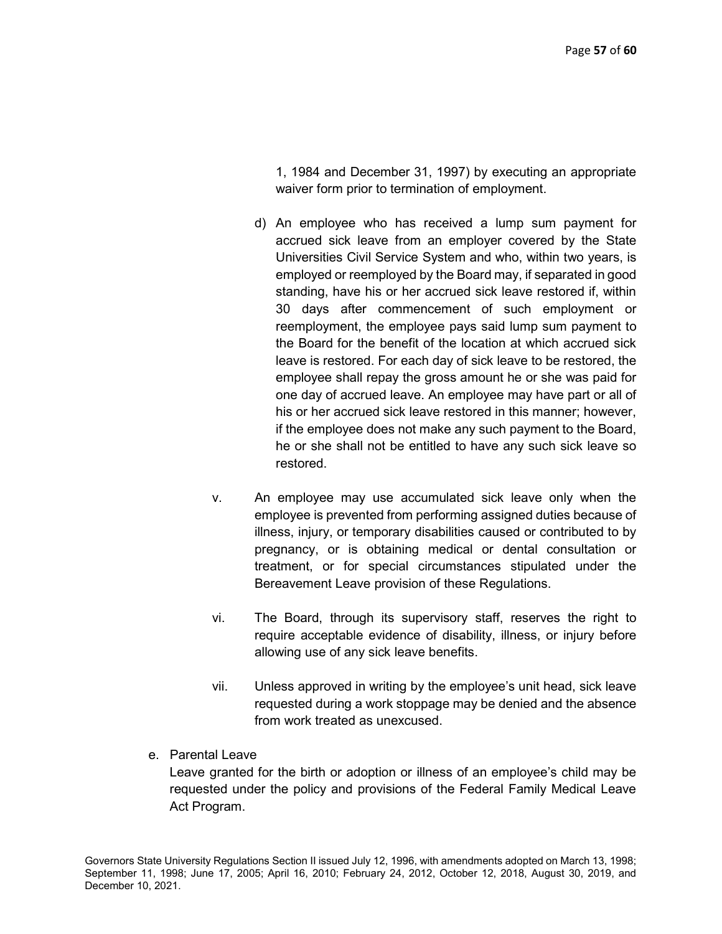1, 1984 and December 31, 1997) by executing an appropriate waiver form prior to termination of employment.

- d) An employee who has received a lump sum payment for accrued sick leave from an employer covered by the State Universities Civil Service System and who, within two years, is employed or reemployed by the Board may, if separated in good standing, have his or her accrued sick leave restored if, within 30 days after commencement of such employment or reemployment, the employee pays said lump sum payment to the Board for the benefit of the location at which accrued sick leave is restored. For each day of sick leave to be restored, the employee shall repay the gross amount he or she was paid for one day of accrued leave. An employee may have part or all of his or her accrued sick leave restored in this manner; however, if the employee does not make any such payment to the Board, he or she shall not be entitled to have any such sick leave so restored.
- v. An employee may use accumulated sick leave only when the employee is prevented from performing assigned duties because of illness, injury, or temporary disabilities caused or contributed to by pregnancy, or is obtaining medical or dental consultation or treatment, or for special circumstances stipulated under the Bereavement Leave provision of these Regulations.
- vi. The Board, through its supervisory staff, reserves the right to require acceptable evidence of disability, illness, or injury before allowing use of any sick leave benefits.
- vii. Unless approved in writing by the employee's unit head, sick leave requested during a work stoppage may be denied and the absence from work treated as unexcused.
- e. Parental Leave

Leave granted for the birth or adoption or illness of an employee's child may be requested under the policy and provisions of the Federal Family Medical Leave Act Program.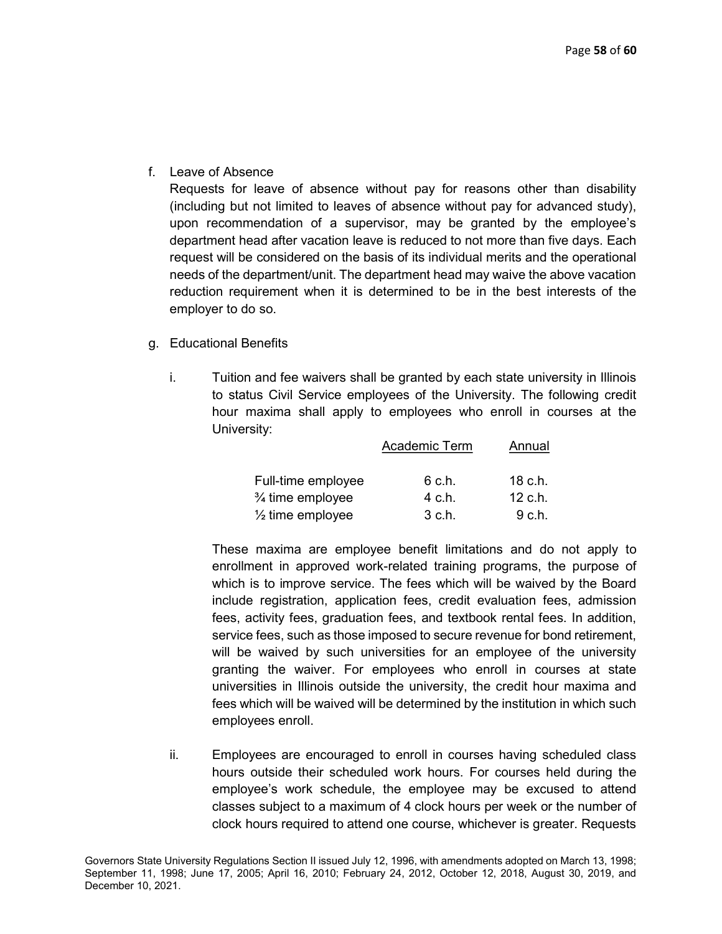f. Leave of Absence

Requests for leave of absence without pay for reasons other than disability (including but not limited to leaves of absence without pay for advanced study), upon recommendation of a supervisor, may be granted by the employee's department head after vacation leave is reduced to not more than five days. Each request will be considered on the basis of its individual merits and the operational needs of the department/unit. The department head may waive the above vacation reduction requirement when it is determined to be in the best interests of the employer to do so.

- g. Educational Benefits
	- i. Tuition and fee waivers shall be granted by each state university in Illinois to status Civil Service employees of the University. The following credit hour maxima shall apply to employees who enroll in courses at the University:

|                             | Academic Term | Annual  |
|-----------------------------|---------------|---------|
| Full-time employee          | 6 c.h.        | 18 c.h. |
| $\frac{3}{4}$ time employee | 4 c.h.        | 12 c.h. |
| $\frac{1}{2}$ time employee | 3 c.h.        | 9 c.h.  |

These maxima are employee benefit limitations and do not apply to enrollment in approved work-related training programs, the purpose of which is to improve service. The fees which will be waived by the Board include registration, application fees, credit evaluation fees, admission fees, activity fees, graduation fees, and textbook rental fees. In addition, service fees, such as those imposed to secure revenue for bond retirement, will be waived by such universities for an employee of the university granting the waiver. For employees who enroll in courses at state universities in Illinois outside the university, the credit hour maxima and fees which will be waived will be determined by the institution in which such employees enroll.

ii. Employees are encouraged to enroll in courses having scheduled class hours outside their scheduled work hours. For courses held during the employee's work schedule, the employee may be excused to attend classes subject to a maximum of 4 clock hours per week or the number of clock hours required to attend one course, whichever is greater. Requests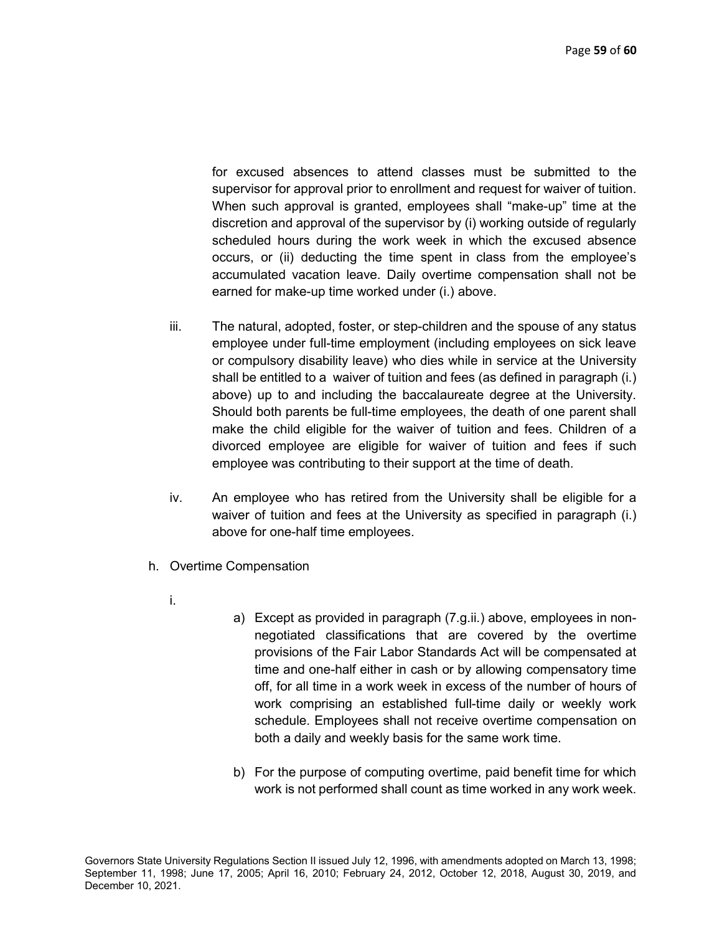for excused absences to attend classes must be submitted to the supervisor for approval prior to enrollment and request for waiver of tuition. When such approval is granted, employees shall "make-up" time at the discretion and approval of the supervisor by (i) working outside of regularly scheduled hours during the work week in which the excused absence occurs, or (ii) deducting the time spent in class from the employee's accumulated vacation leave. Daily overtime compensation shall not be earned for make-up time worked under (i.) above.

- iii. The natural, adopted, foster, or step-children and the spouse of any status employee under full-time employment (including employees on sick leave or compulsory disability leave) who dies while in service at the University shall be entitled to a waiver of tuition and fees (as defined in paragraph (i.) above) up to and including the baccalaureate degree at the University. Should both parents be full-time employees, the death of one parent shall make the child eligible for the waiver of tuition and fees. Children of a divorced employee are eligible for waiver of tuition and fees if such employee was contributing to their support at the time of death.
- iv. An employee who has retired from the University shall be eligible for a waiver of tuition and fees at the University as specified in paragraph (i.) above for one-half time employees.
- h. Overtime Compensation
	- i.
- a) Except as provided in paragraph (7.g.ii.) above, employees in nonnegotiated classifications that are covered by the overtime provisions of the Fair Labor Standards Act will be compensated at time and one-half either in cash or by allowing compensatory time off, for all time in a work week in excess of the number of hours of work comprising an established full-time daily or weekly work schedule. Employees shall not receive overtime compensation on both a daily and weekly basis for the same work time.
- b) For the purpose of computing overtime, paid benefit time for which work is not performed shall count as time worked in any work week.